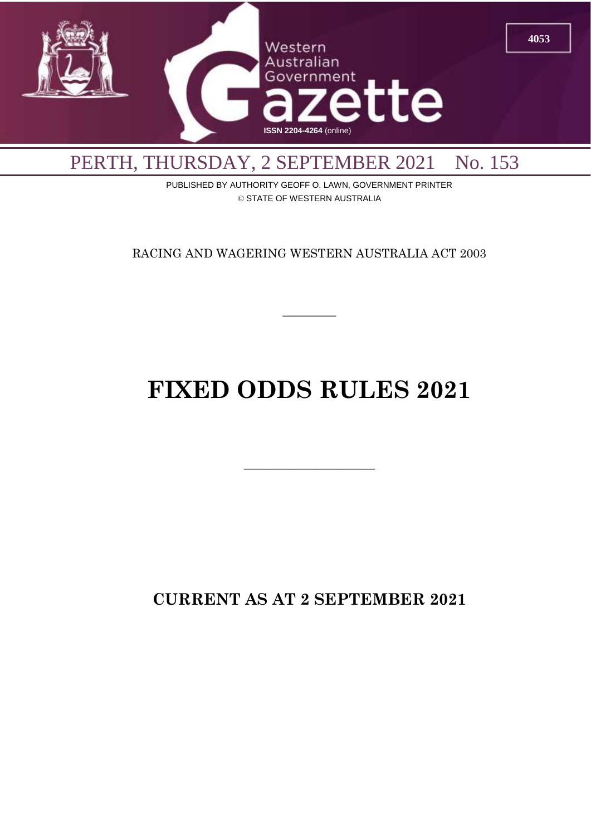

PUBLISHED BY AUTHORITY GEOFF O. LAWN, GOVERNMENT PRINTER © STATE OF WESTERN AUSTRALIA

RACING AND WAGERING WESTERN AUSTRALIA ACT 2003

 $\overline{\phantom{a}}$ 

# **FIXED ODDS RULES 2021**

 $\overline{\phantom{a}}$  , and the contract of  $\overline{\phantom{a}}$ 

**CURRENT AS AT 2 SEPTEMBER 2021**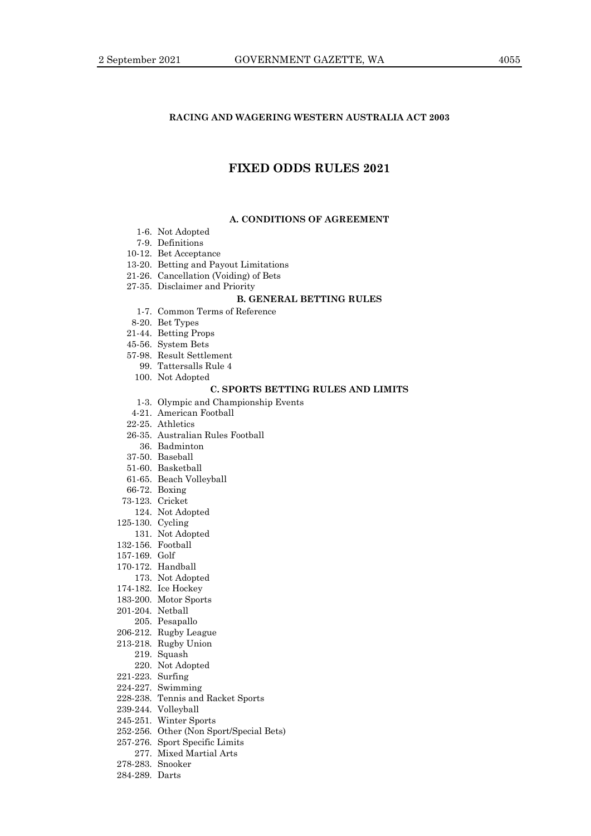### **RACING AND WAGERING WESTERN AUSTRALIA ACT 2003**

# **FIXED ODDS RULES 2021**

#### **A. CONDITIONS OF AGREEMENT**

- 1-6. Not Adopted
- 7-9. Definitions
- 10-12. Bet Acceptance
- 13-20. Betting and Payout Limitations
- 21-26. Cancellation (Voiding) of Bets
- 27-35. Disclaimer and Priority

## **B. GENERAL BETTING RULES**

- 1-7. Common Terms of Reference
- 8-20. Bet Types
- 21-44. Betting Props
- 45-56. System Bets
- 57-98. Result Settlement
- 99. Tattersalls Rule 4
- 100. Not Adopted

#### **C. SPORTS BETTING RULES AND LIMITS**

- 1-3. Olympic and Championship Events
- 4-21. American Football
- 22-25. Athletics
- 26-35. Australian Rules Football
- 36. Badminton
- 37-50. Baseball
- 51-60. Basketball
- 61-65. Beach Volleyball
- 66-72. Boxing
- 73-123. Cricket
	- 124. Not Adopted
- 125-130. Cycling
- 131. Not Adopted
- 132-156. Football
- 157-169. Golf
- 170-172. Handball
- 173. Not Adopted
- 174-182. Ice Hockey
- 183-200. Motor Sports
- 201-204. Netball
- 205. Pesapallo
- 206-212. Rugby League
- 213-218. Rugby Union
	- 219. Squash
		- 220. Not Adopted
- 221-223. Surfing
- 224-227. Swimming
- 
- 228-238. Tennis and Racket Sports
- 239-244. Volleyball
- 245-251. Winter Sports
- 252-256. Other (Non Sport/Special Bets)
- 257-276. Sport Specific Limits
	- 277. Mixed Martial Arts
- 278-283. Snooker
- 284-289. Darts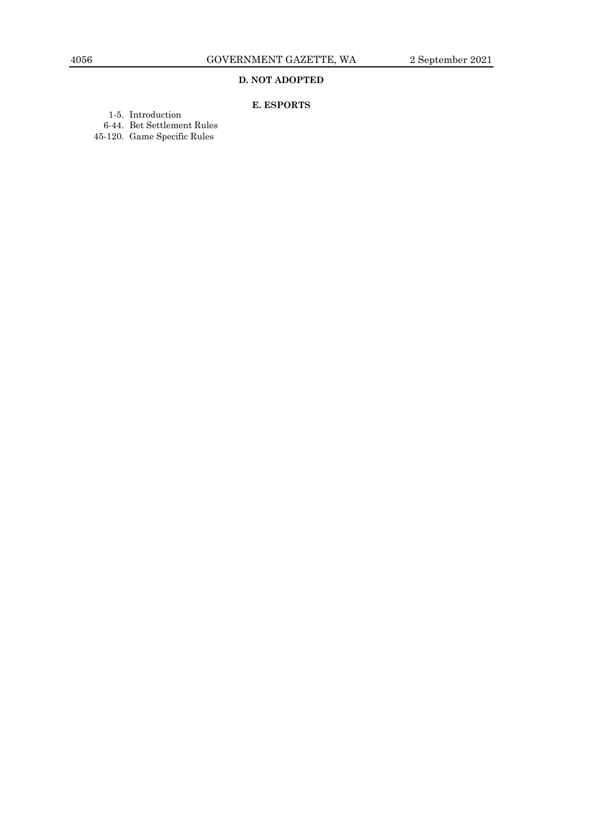## **D. NOT ADOPTED**

# **E. ESPORTS**

- 1-5. Introduction
- 6-44. Bet Settlement Rules
- 45-120. Game Specific Rules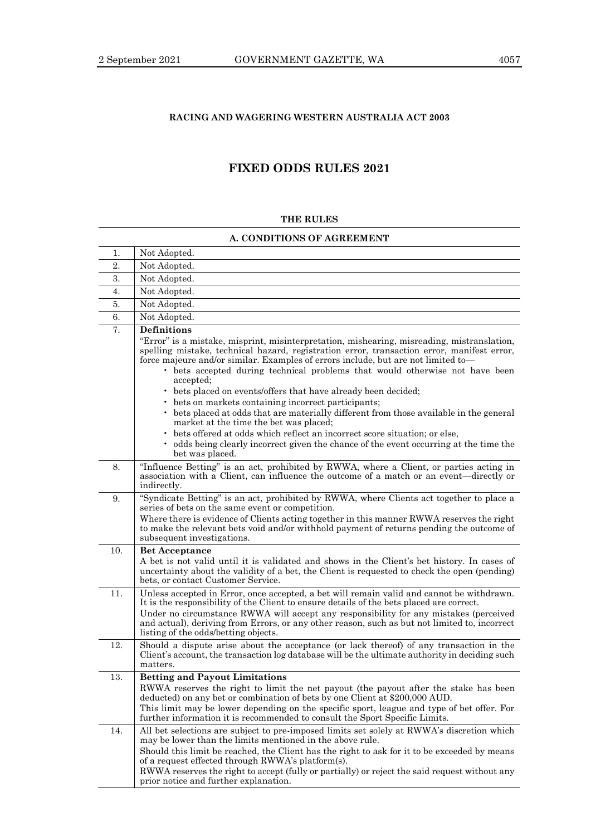## **RACING AND WAGERING WESTERN AUSTRALIA ACT 2003**

# **FIXED ODDS RULES 2021**

#### **THE RULES**

### **A. CONDITIONS OF AGREEMENT**

| 1.  | Not Adopted.                                                                                                                                                                                                                                                                                                                                                                                                                                                                                                                                                                                                                                                                                                                                                                                                                                              |
|-----|-----------------------------------------------------------------------------------------------------------------------------------------------------------------------------------------------------------------------------------------------------------------------------------------------------------------------------------------------------------------------------------------------------------------------------------------------------------------------------------------------------------------------------------------------------------------------------------------------------------------------------------------------------------------------------------------------------------------------------------------------------------------------------------------------------------------------------------------------------------|
| 2.  | Not Adopted.                                                                                                                                                                                                                                                                                                                                                                                                                                                                                                                                                                                                                                                                                                                                                                                                                                              |
| 3.  | Not Adopted.                                                                                                                                                                                                                                                                                                                                                                                                                                                                                                                                                                                                                                                                                                                                                                                                                                              |
| 4.  | Not Adopted.                                                                                                                                                                                                                                                                                                                                                                                                                                                                                                                                                                                                                                                                                                                                                                                                                                              |
| 5.  | Not Adopted.                                                                                                                                                                                                                                                                                                                                                                                                                                                                                                                                                                                                                                                                                                                                                                                                                                              |
| 6.  | Not Adopted.                                                                                                                                                                                                                                                                                                                                                                                                                                                                                                                                                                                                                                                                                                                                                                                                                                              |
| 7.  | <b>Definitions</b><br>"Error" is a mistake, misprint, misinterpretation, mishearing, misreading, mistranslation,<br>spelling mistake, technical hazard, registration error, transaction error, manifest error,<br>force majeure and/or similar. Examples of errors include, but are not limited to-<br>• bets accepted during technical problems that would otherwise not have been<br>accepted;<br>• bets placed on events/offers that have already been decided;<br>• bets on markets containing incorrect participants;<br>• bets placed at odds that are materially different from those available in the general<br>market at the time the bet was placed;<br>bets offered at odds which reflect an incorrect score situation; or else,<br>• odds being clearly incorrect given the chance of the event occurring at the time the<br>bet was placed. |
| 8.  | "Influence Betting" is an act, prohibited by RWWA, where a Client, or parties acting in<br>association with a Client, can influence the outcome of a match or an event—directly or<br>indirectly.                                                                                                                                                                                                                                                                                                                                                                                                                                                                                                                                                                                                                                                         |
| 9.  | "Syndicate Betting" is an act, prohibited by RWWA, where Clients act together to place a<br>series of bets on the same event or competition.<br>Where there is evidence of Clients acting together in this manner RWWA reserves the right<br>to make the relevant bets void and/or withhold payment of returns pending the outcome of<br>subsequent investigations.                                                                                                                                                                                                                                                                                                                                                                                                                                                                                       |
| 10. | <b>Bet Acceptance</b><br>A bet is not valid until it is validated and shows in the Client's bet history. In cases of<br>uncertainty about the validity of a bet, the Client is requested to check the open (pending)<br>bets, or contact Customer Service.                                                                                                                                                                                                                                                                                                                                                                                                                                                                                                                                                                                                |
| 11. | Unless accepted in Error, once accepted, a bet will remain valid and cannot be withdrawn.<br>It is the responsibility of the Client to ensure details of the bets placed are correct.<br>Under no circumstance RWWA will accept any responsibility for any mistakes (perceived<br>and actual), deriving from Errors, or any other reason, such as but not limited to, incorrect<br>listing of the odds/betting objects.                                                                                                                                                                                                                                                                                                                                                                                                                                   |
| 12. | Should a dispute arise about the acceptance (or lack thereof) of any transaction in the<br>Client's account, the transaction log database will be the ultimate authority in deciding such<br>matters.                                                                                                                                                                                                                                                                                                                                                                                                                                                                                                                                                                                                                                                     |
| 13. | <b>Betting and Payout Limitations</b><br>RWWA reserves the right to limit the net payout (the payout after the stake has been<br>deducted) on any bet or combination of bets by one Client at \$200,000 AUD.<br>This limit may be lower depending on the specific sport, league and type of bet offer. For<br>further information it is recommended to consult the Sport Specific Limits.                                                                                                                                                                                                                                                                                                                                                                                                                                                                 |
| 14. | All bet selections are subject to pre-imposed limits set solely at RWWA's discretion which<br>may be lower than the limits mentioned in the above rule.<br>Should this limit be reached, the Client has the right to ask for it to be exceeded by means<br>of a request effected through RWWA's platform(s).<br>RWWA reserves the right to accept (fully or partially) or reject the said request without any<br>prior notice and further explanation.                                                                                                                                                                                                                                                                                                                                                                                                    |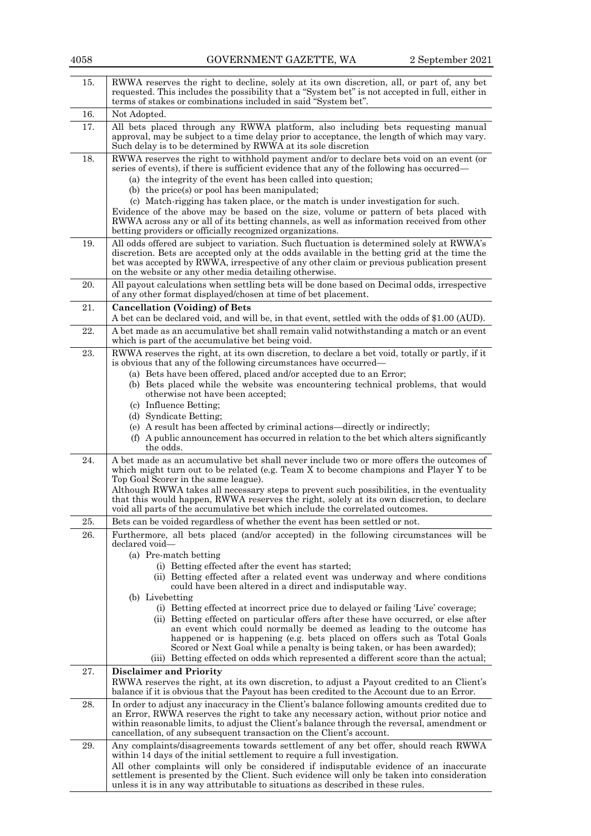| 15. | RWWA reserves the right to decline, solely at its own discretion, all, or part of, any bet<br>requested. This includes the possibility that a "System bet" is not accepted in full, either in<br>terms of stakes or combinations included in said "System bet".                                                                                   |  |  |
|-----|---------------------------------------------------------------------------------------------------------------------------------------------------------------------------------------------------------------------------------------------------------------------------------------------------------------------------------------------------|--|--|
| 16. | Not Adopted.                                                                                                                                                                                                                                                                                                                                      |  |  |
| 17. | All bets placed through any RWWA platform, also including bets requesting manual<br>approval, may be subject to a time delay prior to acceptance, the length of which may vary.<br>Such delay is to be determined by RWWA at its sole discretion                                                                                                  |  |  |
| 18. | RWWA reserves the right to withhold payment and/or to declare bets void on an event (or<br>series of events), if there is sufficient evidence that any of the following has occurred—<br>(a) the integrity of the event has been called into question;                                                                                            |  |  |
|     | (b) the price(s) or pool has been manipulated;                                                                                                                                                                                                                                                                                                    |  |  |
|     | (c) Match-rigging has taken place, or the match is under investigation for such.<br>Evidence of the above may be based on the size, volume or pattern of bets placed with<br>RWWA across any or all of its betting channels, as well as information received from other<br>betting providers or officially recognized organizations.              |  |  |
| 19. | All odds offered are subject to variation. Such fluctuation is determined solely at RWWA's<br>discretion. Bets are accepted only at the odds available in the betting grid at the time the<br>bet was accepted by RWWA, irrespective of any other claim or previous publication present<br>on the website or any other media detailing otherwise. |  |  |
| 20. | All payout calculations when settling bets will be done based on Decimal odds, irrespective<br>of any other format displayed/chosen at time of bet placement.                                                                                                                                                                                     |  |  |
| 21. | <b>Cancellation (Voiding) of Bets</b><br>A bet can be declared void, and will be, in that event, settled with the odds of \$1.00 (AUD).                                                                                                                                                                                                           |  |  |
| 22. | A bet made as an accumulative bet shall remain valid notwithstanding a match or an event<br>which is part of the accumulative bet being void.                                                                                                                                                                                                     |  |  |
| 23. | RWWA reserves the right, at its own discretion, to declare a bet void, totally or partly, if it<br>is obvious that any of the following circumstances have occurred—                                                                                                                                                                              |  |  |
|     | (a) Bets have been offered, placed and/or accepted due to an Error;<br>(b) Bets placed while the website was encountering technical problems, that would                                                                                                                                                                                          |  |  |
|     | otherwise not have been accepted;<br>(c) Influence Betting;                                                                                                                                                                                                                                                                                       |  |  |
|     | (d) Syndicate Betting;                                                                                                                                                                                                                                                                                                                            |  |  |
|     | (e) A result has been affected by criminal actions—directly or indirectly;<br>(f) A public announcement has occurred in relation to the bet which alters significantly<br>the odds.                                                                                                                                                               |  |  |
| 24. | A bet made as an accumulative bet shall never include two or more offers the outcomes of<br>which might turn out to be related (e.g. Team X to become champions and Player Y to be<br>Top Goal Scorer in the same league).                                                                                                                        |  |  |
|     | Although RWWA takes all necessary steps to prevent such possibilities, in the eventuality<br>that this would happen, RWWA reserves the right, solely at its own discretion, to declare<br>void all parts of the accumulative bet which include the correlated outcomes.                                                                           |  |  |
| 25. | Bets can be voided regardless of whether the event has been settled or not.                                                                                                                                                                                                                                                                       |  |  |
| 26. | Furthermore, all bets placed (and/or accepted) in the following circumstances will be<br>declared void-                                                                                                                                                                                                                                           |  |  |
|     | (a) Pre-match betting<br>(i) Betting effected after the event has started;                                                                                                                                                                                                                                                                        |  |  |
|     | (ii) Betting effected after a related event was underway and where conditions<br>could have been altered in a direct and indisputable way.                                                                                                                                                                                                        |  |  |
|     | (b) Livebetting                                                                                                                                                                                                                                                                                                                                   |  |  |
|     | (i) Betting effected at incorrect price due to delayed or failing 'Live' coverage;<br>(ii) Betting effected on particular offers after these have occurred, or else after                                                                                                                                                                         |  |  |
|     | an event which could normally be deemed as leading to the outcome has                                                                                                                                                                                                                                                                             |  |  |
|     | happened or is happening (e.g. bets placed on offers such as Total Goals<br>Scored or Next Goal while a penalty is being taken, or has been awarded);                                                                                                                                                                                             |  |  |
| 27. | (iii) Betting effected on odds which represented a different score than the actual;<br><b>Disclaimer and Priority</b>                                                                                                                                                                                                                             |  |  |
|     | RWWA reserves the right, at its own discretion, to adjust a Payout credited to an Client's<br>balance if it is obvious that the Payout has been credited to the Account due to an Error.                                                                                                                                                          |  |  |
| 28. | In order to adjust any inaccuracy in the Client's balance following amounts credited due to                                                                                                                                                                                                                                                       |  |  |
|     | an Error, RWWA reserves the right to take any necessary action, without prior notice and<br>within reasonable limits, to adjust the Client's balance through the reversal, amendment or<br>cancellation, of any subsequent transaction on the Client's account.                                                                                   |  |  |
| 29. | Any complaints/disagreements towards settlement of any bet offer, should reach RWWA<br>within 14 days of the initial settlement to require a full investigation.                                                                                                                                                                                  |  |  |
|     | All other complaints will only be considered if indisputable evidence of an inaccurate<br>settlement is presented by the Client. Such evidence will only be taken into consideration<br>unless it is in any way attributable to situations as described in these rules.                                                                           |  |  |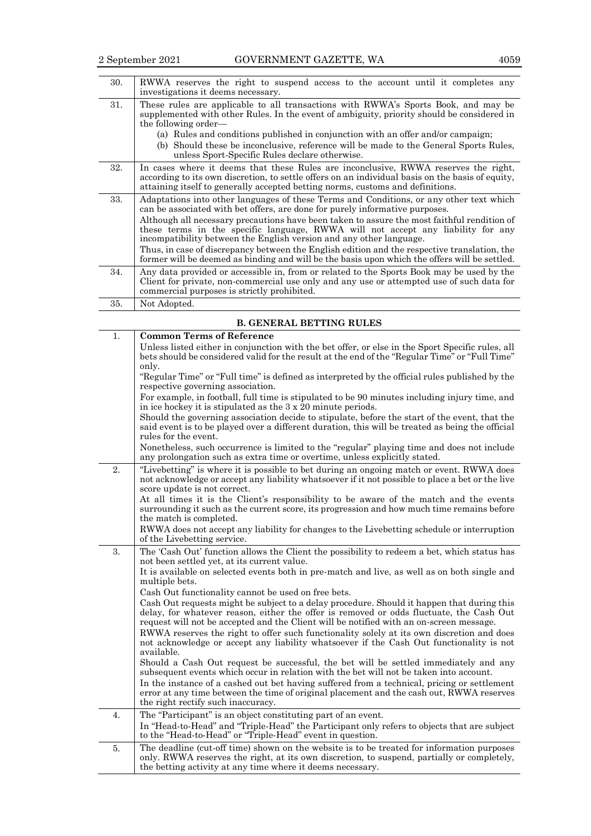|--|--|

| RWWA reserves the right to suspend access to the account until it completes any<br>investigations it deems necessary.                                                                                                                                                                                                                                                                                                                                                                                                                                                                                                                                                                                                                                                                    |  |
|------------------------------------------------------------------------------------------------------------------------------------------------------------------------------------------------------------------------------------------------------------------------------------------------------------------------------------------------------------------------------------------------------------------------------------------------------------------------------------------------------------------------------------------------------------------------------------------------------------------------------------------------------------------------------------------------------------------------------------------------------------------------------------------|--|
| These rules are applicable to all transactions with RWWA's Sports Book, and may be<br>supplemented with other Rules. In the event of ambiguity, priority should be considered in<br>the following order—                                                                                                                                                                                                                                                                                                                                                                                                                                                                                                                                                                                 |  |
| (a) Rules and conditions published in conjunction with an offer and/or campaign;<br>(b) Should these be inconclusive, reference will be made to the General Sports Rules,<br>unless Sport-Specific Rules declare otherwise.                                                                                                                                                                                                                                                                                                                                                                                                                                                                                                                                                              |  |
| In cases where it deems that these Rules are inconclusive, RWWA reserves the right,<br>according to its own discretion, to settle offers on an individual basis on the basis of equity,<br>attaining itself to generally accepted betting norms, customs and definitions.                                                                                                                                                                                                                                                                                                                                                                                                                                                                                                                |  |
| Adaptations into other languages of these Terms and Conditions, or any other text which<br>can be associated with bet offers, are done for purely informative purposes.<br>Although all necessary precautions have been taken to assure the most faithful rendition of<br>these terms in the specific language, RWWA will not accept any liability for any<br>incompatibility between the English version and any other language.<br>Thus, in case of discrepancy between the English edition and the respective translation, the                                                                                                                                                                                                                                                        |  |
| former will be deemed as binding and will be the basis upon which the offers will be settled.<br>Any data provided or accessible in, from or related to the Sports Book may be used by the<br>Client for private, non-commercial use only and any use or attempted use of such data for<br>commercial purposes is strictly prohibited.                                                                                                                                                                                                                                                                                                                                                                                                                                                   |  |
| Not Adopted.                                                                                                                                                                                                                                                                                                                                                                                                                                                                                                                                                                                                                                                                                                                                                                             |  |
| <b>B. GENERAL BETTING RULES</b>                                                                                                                                                                                                                                                                                                                                                                                                                                                                                                                                                                                                                                                                                                                                                          |  |
| <b>Common Terms of Reference</b><br>Unless listed either in conjunction with the bet offer, or else in the Sport Specific rules, all<br>bets should be considered valid for the result at the end of the "Regular Time" or "Full Time"<br>only.<br>"Regular Time" or "Full time" is defined as interpreted by the official rules published by the<br>respective governing association.<br>For example, in football, full time is stipulated to be 90 minutes including injury time, and<br>$\frac{1}{2}$ and $\frac{1}{2}$ and $\frac{1}{2}$ are $\frac{1}{2}$ and $\frac{1}{2}$ and $\frac{1}{2}$ and $\frac{1}{2}$ and $\frac{1}{2}$ and $\frac{1}{2}$ and $\frac{1}{2}$ and $\frac{1}{2}$ and $\frac{1}{2}$ and $\frac{1}{2}$ and $\frac{1}{2}$ and $\frac{1}{2}$ and $\frac{1}{2}$ a |  |
|                                                                                                                                                                                                                                                                                                                                                                                                                                                                                                                                                                                                                                                                                                                                                                                          |  |

in ice hockey it is stipulated as the 3 x 20 minute periods. Should the governing association decide to stipulate, before the start of the event, that the said event is to be played over a different duration, this will be treated as being the official rules for the event. Nonetheless, such occurrence is limited to the "regular" playing time and does not include any prolongation such as extra time or overtime, unless explicitly stated. 2. "Livebetting" is where it is possible to bet during an ongoing match or event. RWWA does not acknowledge or accept any liability whatsoever if it not possible to place a bet or the live score update is not correct.

At all times it is the Client's responsibility to be aware of the match and the events surrounding it such as the current score, its progression and how much time remains before the match is completed.

RWWA does not accept any liability for changes to the Livebetting schedule or interruption of the Livebetting service. 3. The 'Cash Out' function allows the Client the possibility to redeem a bet, which status has not been settled yet, at its current value. It is available on selected events both in pre-match and live, as well as on both single and multiple bets. Cash Out functionality cannot be used on free bets. Cash Out requests might be subject to a delay procedure. Should it happen that during this delay, for whatever reason, either the offer is removed or odds fluctuate, the Cash Out request will not be accepted and the Client will be notified with an on-screen message. RWWA reserves the right to offer such functionality solely at its own discretion and does not acknowledge or accept any liability whatsoever if the Cash Out functionality is not available. Should a Cash Out request be successful, the bet will be settled immediately and any subsequent events which occur in relation with the bet will not be taken into account. In the instance of a cashed out bet having suffered from a technical, pricing or settlement error at any time between the time of original placement and the cash out, RWWA reserves the right rectify such inaccuracy. 4. The "Participant" is an object constituting part of an event. In "Head-to-Head" and "Triple-Head" the Participant only refers to objects that are subject to the "Head-to-Head" or "Triple-Head" event in question. 5. The deadline (cut-off time) shown on the website is to be treated for information purposes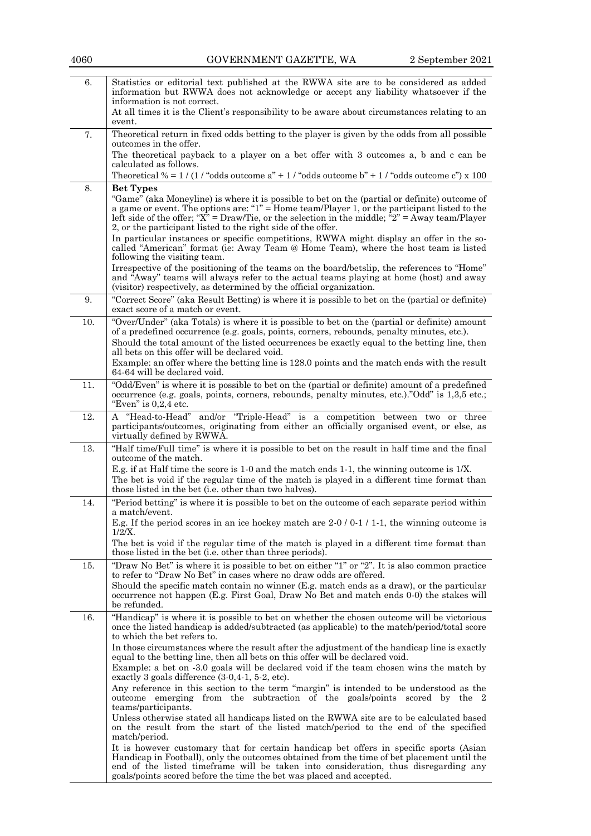| 6.  | Statistics or editorial text published at the RWWA site are to be considered as added<br>information but RWWA does not acknowledge or accept any liability whatsoever if the                                                                                                                                                                                                         |  |  |
|-----|--------------------------------------------------------------------------------------------------------------------------------------------------------------------------------------------------------------------------------------------------------------------------------------------------------------------------------------------------------------------------------------|--|--|
|     | information is not correct.<br>At all times it is the Client's responsibility to be aware about circumstances relating to an<br>event.                                                                                                                                                                                                                                               |  |  |
| 7.  | Theoretical return in fixed odds betting to the player is given by the odds from all possible<br>outcomes in the offer.                                                                                                                                                                                                                                                              |  |  |
|     | The theoretical payback to a player on a bet offer with 3 outcomes a, b and c can be<br>calculated as follows.                                                                                                                                                                                                                                                                       |  |  |
|     | Theoretical % = $1/(1/\text{°odds}$ outcome a" + $1/\text{°odds}$ outcome b" + $1/\text{°odds}$ outcome c") x 100                                                                                                                                                                                                                                                                    |  |  |
| 8.  | <b>Bet Types</b>                                                                                                                                                                                                                                                                                                                                                                     |  |  |
|     | "Game" (aka Moneyline) is where it is possible to bet on the (partial or definite) outcome of<br>a game or event. The options are: " $1"$ = Home team/Player 1, or the participant listed to the<br>left side of the offer; " $\hat{X}$ " = Draw/Tie, or the selection in the middle; ${}^{a}2$ " = Away team/Player<br>2, or the participant listed to the right side of the offer. |  |  |
|     | In particular instances or specific competitions, RWWA might display an offer in the so-<br>called "American" format (ie: Away Team @ Home Team), where the host team is listed<br>following the visiting team.                                                                                                                                                                      |  |  |
|     | Irrespective of the positioning of the teams on the board/betslip, the references to "Home"<br>and "Away" teams will always refer to the actual teams playing at home (host) and away<br>(visitor) respectively, as determined by the official organization.                                                                                                                         |  |  |
| 9.  | "Correct Score" (aka Result Betting) is where it is possible to bet on the (partial or definite)<br>exact score of a match or event.                                                                                                                                                                                                                                                 |  |  |
| 10. | "Over/Under" (aka Totals) is where it is possible to bet on the (partial or definite) amount<br>of a predefined occurrence (e.g. goals, points, corners, rebounds, penalty minutes, etc.).<br>Should the total amount of the listed occurrences be exactly equal to the betting line, then<br>all bets on this offer will be declared void.                                          |  |  |
|     | Example: an offer where the betting line is 128.0 points and the match ends with the result<br>64-64 will be declared void.                                                                                                                                                                                                                                                          |  |  |
| 11. | "Odd/Even" is where it is possible to bet on the (partial or definite) amount of a predefined<br>occurrence (e.g. goals, points, corners, rebounds, penalty minutes, etc.)."Odd" is 1,3,5 etc.;<br>"Even" is $0,2,4$ etc.                                                                                                                                                            |  |  |
| 12. | A "Head-to-Head" and/or "Triple-Head" is a competition between two or three<br>participants/outcomes, originating from either an officially organised event, or else, as<br>virtually defined by RWWA.                                                                                                                                                                               |  |  |
| 13. | "Half time/Full time" is where it is possible to bet on the result in half time and the final<br>outcome of the match.                                                                                                                                                                                                                                                               |  |  |
|     | E.g. if at Half time the score is 1.0 and the match ends 1.1, the winning outcome is 1/X.<br>The bet is void if the regular time of the match is played in a different time format than<br>those listed in the bet (i.e. other than two halves).                                                                                                                                     |  |  |
| 14. | "Period betting" is where it is possible to bet on the outcome of each separate period within<br>a match/event.                                                                                                                                                                                                                                                                      |  |  |
|     | E.g. If the period scores in an ice hockey match are $2-0/0-1/1-1$ , the winning outcome is<br>$1/2/X$ .                                                                                                                                                                                                                                                                             |  |  |
|     | The bet is void if the regular time of the match is played in a different time format than<br>those listed in the bet (i.e. other than three periods).                                                                                                                                                                                                                               |  |  |
| 15. | "Draw No Bet" is where it is possible to bet on either "1" or "2". It is also common practice<br>to refer to "Draw No Bet" in cases where no draw odds are offered.                                                                                                                                                                                                                  |  |  |
|     | Should the specific match contain no winner (E.g. match ends as a draw), or the particular<br>occurrence not happen (E.g. First Goal, Draw No Bet and match ends 0-0) the stakes will<br>be refunded.                                                                                                                                                                                |  |  |
| 16. | "Handicap" is where it is possible to bet on whether the chosen outcome will be victorious<br>once the listed handicap is added/subtracted (as applicable) to the match/period/total score<br>to which the bet refers to.                                                                                                                                                            |  |  |
|     | In those circumstances where the result after the adjustment of the handicap line is exactly<br>equal to the betting line, then all bets on this offer will be declared void.<br>Example: a bet on -3.0 goals will be declared void if the team chosen wins the match by                                                                                                             |  |  |
|     | exactly 3 goals difference $(3-0,4-1, 5-2, etc).$<br>Any reference in this section to the term "margin" is intended to be understood as the<br>outcome emerging from the subtraction of the goals/points scored by the 2                                                                                                                                                             |  |  |
|     | teams/participants.<br>Unless otherwise stated all handicaps listed on the RWWA site are to be calculated based                                                                                                                                                                                                                                                                      |  |  |
|     | on the result from the start of the listed match/period to the end of the specified<br>match/period.                                                                                                                                                                                                                                                                                 |  |  |
|     | It is however customary that for certain handicap bet offers in specific sports (Asian<br>Handicap in Football), only the outcomes obtained from the time of bet placement until the<br>end of the listed timeframe will be taken into consideration, thus disregarding any<br>goals/points scored before the time the bet was placed and accepted.                                  |  |  |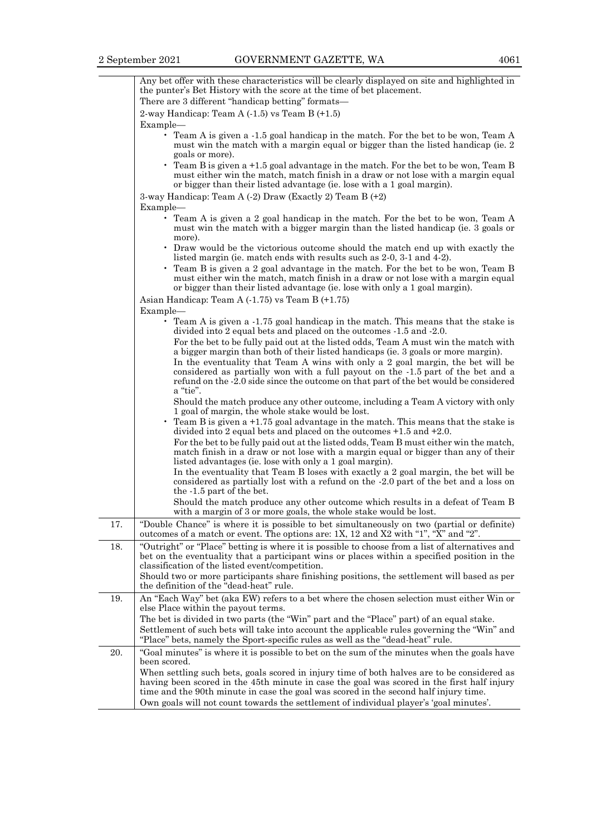Any bet offer with these characteristics will be clearly displayed on site and highlighted in the punter's Bet History with the score at the time of bet placement. There are 3 different "handicap betting" formats— 2-way Handicap: Team A  $(-1.5)$  vs Team B  $(+1.5)$ Example— • Team A is given a -1.5 goal handicap in the match. For the bet to be won, Team A must win the match with a margin equal or bigger than the listed handicap (ie. 2 goals or more). • Team B is given a +1.5 goal advantage in the match. For the bet to be won, Team B must either win the match, match finish in a draw or not lose with a margin equal or bigger than their listed advantage (ie. lose with a 1 goal margin). 3-way Handicap: Team A (-2) Draw (Exactly 2) Team B (+2) Example— • Team A is given a 2 goal handicap in the match. For the bet to be won, Team A must win the match with a bigger margin than the listed handicap (ie. 3 goals or more). • Draw would be the victorious outcome should the match end up with exactly the listed margin (ie. match ends with results such as 2-0, 3-1 and 4-2). • Team B is given a 2 goal advantage in the match. For the bet to be won, Team B must either win the match, match finish in a draw or not lose with a margin equal or bigger than their listed advantage (ie. lose with only a 1 goal margin). Asian Handicap: Team A (-1.75) vs Team B (+1.75) Example— • Team A is given a -1.75 goal handicap in the match. This means that the stake is divided into 2 equal bets and placed on the outcomes -1.5 and -2.0. For the bet to be fully paid out at the listed odds, Team A must win the match with a bigger margin than both of their listed handicaps (ie. 3 goals or more margin). In the eventuality that Team A wins with only a 2 goal margin, the bet will be considered as partially won with a full payout on the -1.5 part of the bet and a refund on the -2.0 side since the outcome on that part of the bet would be considered a "tie". Should the match produce any other outcome, including a Team A victory with only 1 goal of margin, the whole stake would be lost. Team B is given a  $+1.75$  goal advantage in the match. This means that the stake is divided into 2 equal bets and placed on the outcomes +1.5 and +2.0. For the bet to be fully paid out at the listed odds, Team B must either win the match, match finish in a draw or not lose with a margin equal or bigger than any of their listed advantages (ie. lose with only a 1 goal margin). In the eventuality that Team B loses with exactly a 2 goal margin, the bet will be considered as partially lost with a refund on the -2.0 part of the bet and a loss on the -1.5 part of the bet. Should the match produce any other outcome which results in a defeat of Team B with a margin of 3 or more goals, the whole stake would be lost. 17. "Double Chance" is where it is possible to bet simultaneously on two (partial or definite) outcomes of a match or event. The options are: 1X, 12 and X2 with "1", "X" and "2". 18. "Outright" or "Place" betting is where it is possible to choose from a list of alternatives and bet on the eventuality that a participant wins or places within a specified position in the classification of the listed event/competition. Should two or more participants share finishing positions, the settlement will based as per the definition of the "dead-heat" rule. 19. An "Each Way" bet (aka EW) refers to a bet where the chosen selection must either Win or else Place within the payout terms. The bet is divided in two parts (the "Win" part and the "Place" part) of an equal stake. Settlement of such bets will take into account the applicable rules governing the "Win" and "Place" bets, namely the Sport-specific rules as well as the "dead-heat" rule. 20. "Goal minutes" is where it is possible to bet on the sum of the minutes when the goals have been scored. When settling such bets, goals scored in injury time of both halves are to be considered as having been scored in the 45th minute in case the goal was scored in the first half injury time and the 90th minute in case the goal was scored in the second half injury time. Own goals will not count towards the settlement of individual player's 'goal minutes'.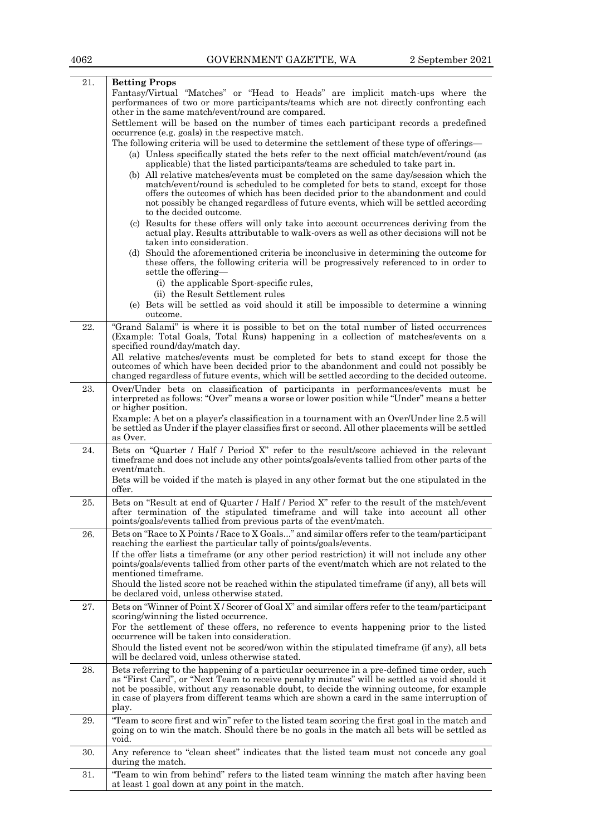| 21.      | <b>Betting Props</b>                                                                                                                                                                                                                                                                                                                                                                             |
|----------|--------------------------------------------------------------------------------------------------------------------------------------------------------------------------------------------------------------------------------------------------------------------------------------------------------------------------------------------------------------------------------------------------|
|          | Fantasy/Virtual "Matches" or "Head to Heads" are implicit match-ups where the<br>performances of two or more participants/teams which are not directly confronting each<br>other in the same match/event/round are compared.                                                                                                                                                                     |
|          | Settlement will be based on the number of times each participant records a predefined<br>occurrence (e.g. goals) in the respective match.                                                                                                                                                                                                                                                        |
|          | The following criteria will be used to determine the settlement of these type of offerings—                                                                                                                                                                                                                                                                                                      |
|          | (a) Unless specifically stated the bets refer to the next official match/event/round (as<br>applicable) that the listed participants/teams are scheduled to take part in.                                                                                                                                                                                                                        |
|          | (b) All relative matches/events must be completed on the same day/session which the<br>match/event/round is scheduled to be completed for bets to stand, except for those<br>offers the outcomes of which has been decided prior to the abandonment and could<br>not possibly be changed regardless of future events, which will be settled according<br>to the decided outcome.                 |
|          | (c) Results for these offers will only take into account occurrences deriving from the<br>actual play. Results attributable to walk-overs as well as other decisions will not be<br>taken into consideration.                                                                                                                                                                                    |
|          | (d) Should the aforementioned criteria be inconclusive in determining the outcome for<br>these offers, the following criteria will be progressively referenced to in order to<br>settle the offering—                                                                                                                                                                                            |
|          | (i) the applicable Sport-specific rules,<br>(ii) the Result Settlement rules                                                                                                                                                                                                                                                                                                                     |
|          | (e) Bets will be settled as void should it still be impossible to determine a winning<br>outcome.                                                                                                                                                                                                                                                                                                |
| 22.      | "Grand Salami" is where it is possible to bet on the total number of listed occurrences<br>(Example: Total Goals, Total Runs) happening in a collection of matches/events on a<br>specified round/day/match day.                                                                                                                                                                                 |
|          | All relative matches/events must be completed for bets to stand except for those the<br>outcomes of which have been decided prior to the abandonment and could not possibly be<br>changed regardless of future events, which will be settled according to the decided outcome.                                                                                                                   |
| 23.      | Over/Under bets on classification of participants in performances/events must be<br>interpreted as follows: "Over" means a worse or lower position while "Under" means a better<br>or higher position.                                                                                                                                                                                           |
|          | Example: A bet on a player's classification in a tournament with an Over/Under line 2.5 will<br>be settled as Under if the player classifies first or second. All other placements will be settled<br>as Over.                                                                                                                                                                                   |
| 24.      | Bets on "Quarter / Half / Period X" refer to the result/score achieved in the relevant<br>timeframe and does not include any other points/goals/events tallied from other parts of the<br>event/match.                                                                                                                                                                                           |
|          | Bets will be voided if the match is played in any other format but the one stipulated in the<br>offer.                                                                                                                                                                                                                                                                                           |
| 25.      | Bets on "Result at end of Quarter / Half / Period X" refer to the result of the match/event<br>after termination of the stipulated timeframe and will take into account all other<br>points/goals/events tallied from previous parts of the event/match.                                                                                                                                         |
| $26. \,$ | Bets on "Race to X Points / Race to X Goals" and similar offers refer to the team/participant<br>reaching the earliest the particular tally of points/goals/events.                                                                                                                                                                                                                              |
|          | If the offer lists a timeframe (or any other period restriction) it will not include any other<br>points/goals/events tallied from other parts of the event/match which are not related to the<br>mentioned timeframe.                                                                                                                                                                           |
|          | Should the listed score not be reached within the stipulated timeframe (if any), all bets will<br>be declared void, unless otherwise stated.                                                                                                                                                                                                                                                     |
| 27.      | Bets on "Winner of Point X / Scorer of Goal X" and similar offers refer to the team/participant<br>scoring/winning the listed occurrence.<br>For the settlement of these offers, no reference to events happening prior to the listed                                                                                                                                                            |
|          | occurrence will be taken into consideration.<br>Should the listed event not be scored/won within the stipulated timeframe (if any), all bets                                                                                                                                                                                                                                                     |
|          | will be declared void, unless otherwise stated.                                                                                                                                                                                                                                                                                                                                                  |
| 28.      | Bets referring to the happening of a particular occurrence in a pre-defined time order, such<br>as "First Card", or "Next Team to receive penalty minutes" will be settled as void should it<br>not be possible, without any reasonable doubt, to decide the winning outcome, for example<br>in case of players from different teams which are shown a card in the same interruption of<br>play. |
| 29.      | "Team to score first and win" refer to the listed team scoring the first goal in the match and<br>going on to win the match. Should there be no goals in the match all bets will be settled as<br>void.                                                                                                                                                                                          |
| 30.      | Any reference to "clean sheet" indicates that the listed team must not concede any goal<br>during the match.                                                                                                                                                                                                                                                                                     |
| 31.      | "Team to win from behind" refers to the listed team winning the match after having been<br>at least 1 goal down at any point in the match.                                                                                                                                                                                                                                                       |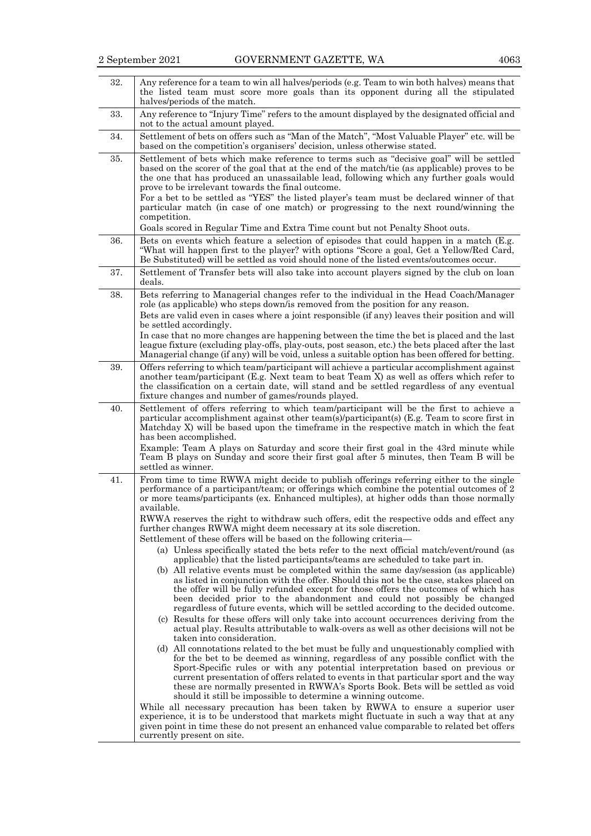| 32. | Any reference for a team to win all halves/periods (e.g. Team to win both halves) means that<br>the listed team must score more goals than its opponent during all the stipulated<br>halves/periods of the match.                                                                                                                                                                                                                                                                                                                                                                                                                                                                                                                                                                                                                                                                                                                                                                                                                                                                                                                                                                                            |  |  |
|-----|--------------------------------------------------------------------------------------------------------------------------------------------------------------------------------------------------------------------------------------------------------------------------------------------------------------------------------------------------------------------------------------------------------------------------------------------------------------------------------------------------------------------------------------------------------------------------------------------------------------------------------------------------------------------------------------------------------------------------------------------------------------------------------------------------------------------------------------------------------------------------------------------------------------------------------------------------------------------------------------------------------------------------------------------------------------------------------------------------------------------------------------------------------------------------------------------------------------|--|--|
| 33. | Any reference to "Injury Time" refers to the amount displayed by the designated official and<br>not to the actual amount played.                                                                                                                                                                                                                                                                                                                                                                                                                                                                                                                                                                                                                                                                                                                                                                                                                                                                                                                                                                                                                                                                             |  |  |
| 34. | Settlement of bets on offers such as "Man of the Match", "Most Valuable Player" etc. will be<br>based on the competition's organisers' decision, unless otherwise stated.                                                                                                                                                                                                                                                                                                                                                                                                                                                                                                                                                                                                                                                                                                                                                                                                                                                                                                                                                                                                                                    |  |  |
| 35. | Settlement of bets which make reference to terms such as "decisive goal" will be settled<br>based on the scorer of the goal that at the end of the match/tie (as applicable) proves to be<br>the one that has produced an unassailable lead, following which any further goals would<br>prove to be irrelevant towards the final outcome.<br>For a bet to be settled as "YES" the listed player's team must be declared winner of that<br>particular match (in case of one match) or progressing to the next round/winning the<br>competition.<br>Goals scored in Regular Time and Extra Time count but not Penalty Shoot outs.                                                                                                                                                                                                                                                                                                                                                                                                                                                                                                                                                                              |  |  |
| 36. | Bets on events which feature a selection of episodes that could happen in a match (E.g.<br>"What will happen first to the player? with options "Score a goal, Get a Yellow/Red Card,                                                                                                                                                                                                                                                                                                                                                                                                                                                                                                                                                                                                                                                                                                                                                                                                                                                                                                                                                                                                                         |  |  |
|     | Be Substituted) will be settled as void should none of the listed events/outcomes occur.                                                                                                                                                                                                                                                                                                                                                                                                                                                                                                                                                                                                                                                                                                                                                                                                                                                                                                                                                                                                                                                                                                                     |  |  |
| 37. | Settlement of Transfer bets will also take into account players signed by the club on loan<br>deals.                                                                                                                                                                                                                                                                                                                                                                                                                                                                                                                                                                                                                                                                                                                                                                                                                                                                                                                                                                                                                                                                                                         |  |  |
| 38. | Bets referring to Managerial changes refer to the individual in the Head Coach/Manager<br>role (as applicable) who steps down/is removed from the position for any reason.                                                                                                                                                                                                                                                                                                                                                                                                                                                                                                                                                                                                                                                                                                                                                                                                                                                                                                                                                                                                                                   |  |  |
|     | Bets are valid even in cases where a joint responsible (if any) leaves their position and will<br>be settled accordingly.                                                                                                                                                                                                                                                                                                                                                                                                                                                                                                                                                                                                                                                                                                                                                                                                                                                                                                                                                                                                                                                                                    |  |  |
|     | In case that no more changes are happening between the time the bet is placed and the last<br>league fixture (excluding play-offs, play-outs, post season, etc.) the bets placed after the last<br>Managerial change (if any) will be void, unless a suitable option has been offered for betting.                                                                                                                                                                                                                                                                                                                                                                                                                                                                                                                                                                                                                                                                                                                                                                                                                                                                                                           |  |  |
| 39. | Offers referring to which team/participant will achieve a particular accomplishment against<br>another team/participant (E.g. Next team to beat Team X) as well as offers which refer to<br>the classification on a certain date, will stand and be settled regardless of any eventual<br>fixture changes and number of games/rounds played.                                                                                                                                                                                                                                                                                                                                                                                                                                                                                                                                                                                                                                                                                                                                                                                                                                                                 |  |  |
| 40. | Settlement of offers referring to which team/participant will be the first to achieve a<br>particular accomplishment against other team(s)/participant(s) (E.g. Team to score first in<br>Matchday X) will be based upon the timeframe in the respective match in which the feat<br>has been accomplished.<br>Example: Team A plays on Saturday and score their first goal in the 43rd minute while<br>Team B plays on Sunday and score their first goal after 5 minutes, then Team B will be<br>settled as winner.                                                                                                                                                                                                                                                                                                                                                                                                                                                                                                                                                                                                                                                                                          |  |  |
| 41. | From time to time RWWA might decide to publish offerings referring either to the single<br>performance of a participant/team; or offerings which combine the potential outcomes of 2<br>or more teams/participants (ex. Enhanced multiples), at higher odds than those normally<br>available.<br>RWWA reserves the right to withdraw such offers, edit the respective odds and effect any<br>further changes RWWA might deem necessary at its sole discretion.<br>Settlement of these offers will be based on the following criteria-<br>(a) Unless specifically stated the bets refer to the next official match/event/round (as<br>applicable) that the listed participants/teams are scheduled to take part in.<br>(b) All relative events must be completed within the same day/session (as applicable)<br>as listed in conjunction with the offer. Should this not be the case, stakes placed on<br>the offer will be fully refunded except for those offers the outcomes of which has                                                                                                                                                                                                                  |  |  |
|     | been decided prior to the abandonment and could not possibly be changed<br>regardless of future events, which will be settled according to the decided outcome.<br>(c) Results for these offers will only take into account occurrences deriving from the<br>actual play. Results attributable to walk-overs as well as other decisions will not be<br>taken into consideration.<br>(d) All connotations related to the bet must be fully and unquestionably complied with<br>for the bet to be deemed as winning, regardless of any possible conflict with the<br>Sport-Specific rules or with any potential interpretation based on previous or<br>current presentation of offers related to events in that particular sport and the way<br>these are normally presented in RWWA's Sports Book. Bets will be settled as void<br>should it still be impossible to determine a winning outcome.<br>While all necessary precaution has been taken by RWWA to ensure a superior user<br>experience, it is to be understood that markets might fluctuate in such a way that at any<br>given point in time these do not present an enhanced value comparable to related bet offers<br>currently present on site. |  |  |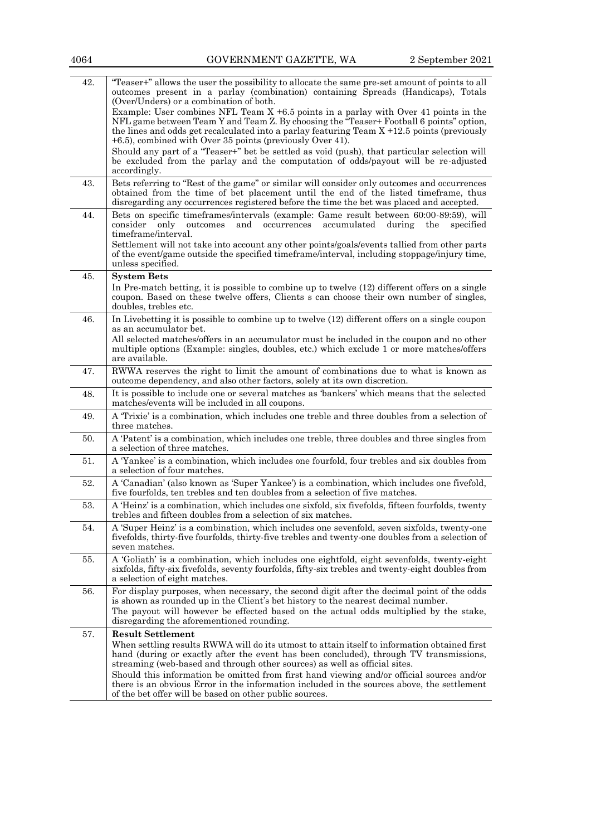| 42. | "Teaser+" allows the user the possibility to allocate the same pre-set amount of points to all<br>outcomes present in a parlay (combination) containing Spreads (Handicaps), Totals<br>(Over/Unders) or a combination of both.                                                                                                                                                                                                                                                                                                                         |  |  |
|-----|--------------------------------------------------------------------------------------------------------------------------------------------------------------------------------------------------------------------------------------------------------------------------------------------------------------------------------------------------------------------------------------------------------------------------------------------------------------------------------------------------------------------------------------------------------|--|--|
|     | Example: User combines NFL Team $X + 6.5$ points in a parlay with Over 41 points in the<br>NFL game between Team Y and Team Z. By choosing the "Teaser+ Football 6 points" option,<br>the lines and odds get recalculated into a parlay featuring Team $X + 12.5$ points (previously<br>+6.5), combined with Over 35 points (previously Over 41).                                                                                                                                                                                                      |  |  |
|     | Should any part of a "Teaser+" bet be settled as void (push), that particular selection will<br>be excluded from the parlay and the computation of odds/payout will be re-adjusted<br>accordingly.                                                                                                                                                                                                                                                                                                                                                     |  |  |
| 43. | Bets referring to "Rest of the game" or similar will consider only outcomes and occurrences<br>obtained from the time of bet placement until the end of the listed timeframe, thus<br>disregarding any occurrences registered before the time the bet was placed and accepted.                                                                                                                                                                                                                                                                         |  |  |
| 44. | Bets on specific timeframes/intervals (example: Game result between 60:00-89:59), will<br>consider only outcomes<br>and occurrences<br>accumulated during<br>the<br>specified<br>timeframe/interval.<br>Settlement will not take into account any other points/goals/events tallied from other parts<br>of the event/game outside the specified timeframe/interval, including stoppage/injury time,<br>unless specified.                                                                                                                               |  |  |
| 45. | <b>System Bets</b><br>In Pre-match betting, it is possible to combine up to twelve (12) different offers on a single<br>coupon. Based on these twelve offers, Clients s can choose their own number of singles,<br>doubles, trebles etc.                                                                                                                                                                                                                                                                                                               |  |  |
| 46. | In Livebetting it is possible to combine up to twelve (12) different offers on a single coupon<br>as an accumulator bet.<br>All selected matches/offers in an accumulator must be included in the coupon and no other<br>multiple options (Example: singles, doubles, etc.) which exclude 1 or more matches/offers<br>are available.                                                                                                                                                                                                                   |  |  |
| 47. | RWWA reserves the right to limit the amount of combinations due to what is known as<br>outcome dependency, and also other factors, solely at its own discretion.                                                                                                                                                                                                                                                                                                                                                                                       |  |  |
| 48. | It is possible to include one or several matches as 'bankers' which means that the selected<br>matches/events will be included in all coupons.                                                                                                                                                                                                                                                                                                                                                                                                         |  |  |
| 49. | A 'Trixie' is a combination, which includes one treble and three doubles from a selection of<br>three matches.                                                                                                                                                                                                                                                                                                                                                                                                                                         |  |  |
| 50. | A 'Patent' is a combination, which includes one treble, three doubles and three singles from<br>a selection of three matches.                                                                                                                                                                                                                                                                                                                                                                                                                          |  |  |
| 51. | A 'Yankee' is a combination, which includes one fourfold, four trebles and six doubles from<br>a selection of four matches.                                                                                                                                                                                                                                                                                                                                                                                                                            |  |  |
| 52. | A 'Canadian' (also known as 'Super Yankee') is a combination, which includes one fivefold,<br>five fourfolds, ten trebles and ten doubles from a selection of five matches.                                                                                                                                                                                                                                                                                                                                                                            |  |  |
| 53. | A 'Heinz' is a combination, which includes one sixfold, six fivefolds, fifteen fourfolds, twenty<br>trebles and fifteen doubles from a selection of six matches.                                                                                                                                                                                                                                                                                                                                                                                       |  |  |
| 54. | A 'Super Heinz' is a combination, which includes one sevenfold, seven sixfolds, twenty-one<br>fivefolds, thirty-five fourfolds, thirty-five trebles and twenty-one doubles from a selection of<br>seven matches.                                                                                                                                                                                                                                                                                                                                       |  |  |
| 55. | A 'Goliath' is a combination, which includes one eightfold, eight sevenfolds, twenty-eight<br>sixfolds, fifty-six fivefolds, seventy fourfolds, fifty-six trebles and twenty-eight doubles from<br>a selection of eight matches.                                                                                                                                                                                                                                                                                                                       |  |  |
| 56. | For display purposes, when necessary, the second digit after the decimal point of the odds<br>is shown as rounded up in the Client's bet history to the nearest decimal number.<br>The payout will however be effected based on the actual odds multiplied by the stake,<br>disregarding the aforementioned rounding.                                                                                                                                                                                                                                  |  |  |
| 57. | <b>Result Settlement</b><br>When settling results RWWA will do its utmost to attain itself to information obtained first<br>hand (during or exactly after the event has been concluded), through TV transmissions,<br>streaming (web-based and through other sources) as well as official sites.<br>Should this information be omitted from first hand viewing and/or official sources and/or<br>there is an obvious Error in the information included in the sources above, the settlement<br>of the bet offer will be based on other public sources. |  |  |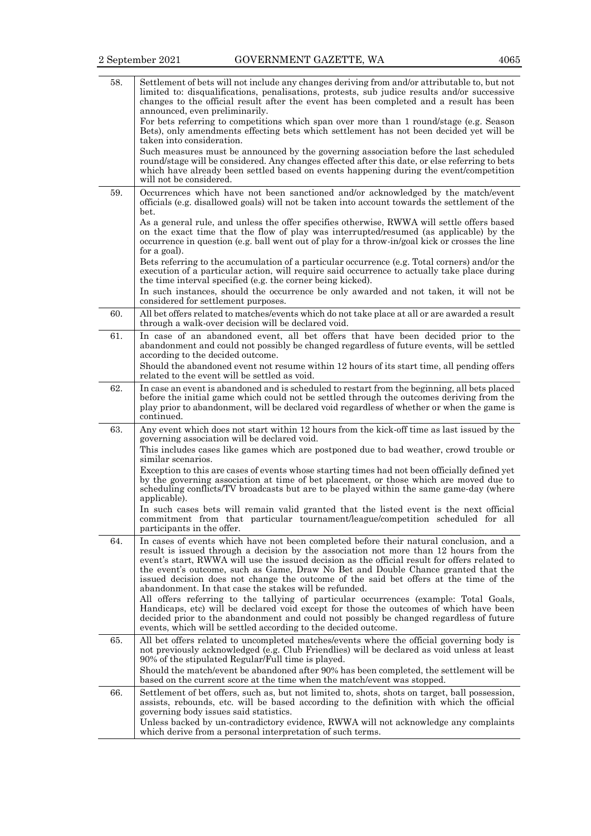| 58. | Settlement of bets will not include any changes deriving from and/or attributable to, but not<br>limited to: disqualifications, penalisations, protests, sub judice results and/or successive<br>changes to the official result after the event has been completed and a result has been<br>announced, even preliminarily.<br>For bets referring to competitions which span over more than 1 round/stage (e.g. Season                                                                                                                                                                                               |
|-----|---------------------------------------------------------------------------------------------------------------------------------------------------------------------------------------------------------------------------------------------------------------------------------------------------------------------------------------------------------------------------------------------------------------------------------------------------------------------------------------------------------------------------------------------------------------------------------------------------------------------|
|     | Bets), only amendments effecting bets which settlement has not been decided yet will be<br>taken into consideration.<br>Such measures must be announced by the governing association before the last scheduled<br>round/stage will be considered. Any changes effected after this date, or else referring to bets<br>which have already been settled based on events happening during the event/competition<br>will not be considered.                                                                                                                                                                              |
| 59. | Occurrences which have not been sanctioned and/or acknowledged by the match/event<br>officials (e.g. disallowed goals) will not be taken into account towards the settlement of the<br>bet.                                                                                                                                                                                                                                                                                                                                                                                                                         |
|     | As a general rule, and unless the offer specifies otherwise, RWWA will settle offers based<br>on the exact time that the flow of play was interrupted/resumed (as applicable) by the<br>occurrence in question (e.g. ball went out of play for a throw-in/goal kick or crosses the line<br>for a goal).                                                                                                                                                                                                                                                                                                             |
|     | Bets referring to the accumulation of a particular occurrence (e.g. Total corners) and/or the<br>execution of a particular action, will require said occurrence to actually take place during<br>the time interval specified (e.g. the corner being kicked).                                                                                                                                                                                                                                                                                                                                                        |
|     | In such instances, should the occurrence be only awarded and not taken, it will not be<br>considered for settlement purposes.                                                                                                                                                                                                                                                                                                                                                                                                                                                                                       |
| 60. | All bet offers related to matches/events which do not take place at all or are awarded a result<br>through a walk-over decision will be declared void.                                                                                                                                                                                                                                                                                                                                                                                                                                                              |
| 61. | In case of an abandoned event, all bet offers that have been decided prior to the<br>abandonment and could not possibly be changed regardless of future events, will be settled<br>according to the decided outcome.<br>Should the abandoned event not resume within 12 hours of its start time, all pending offers                                                                                                                                                                                                                                                                                                 |
|     | related to the event will be settled as void.                                                                                                                                                                                                                                                                                                                                                                                                                                                                                                                                                                       |
| 62. | In case an event is abandoned and is scheduled to restart from the beginning, all bets placed<br>before the initial game which could not be settled through the outcomes deriving from the<br>play prior to abandonment, will be declared void regardless of whether or when the game is<br>continued.                                                                                                                                                                                                                                                                                                              |
| 63. | Any event which does not start within 12 hours from the kick-off time as last issued by the<br>governing association will be declared void.<br>This includes cases like games which are postponed due to bad weather, crowd trouble or<br>similar scenarios.                                                                                                                                                                                                                                                                                                                                                        |
|     | Exception to this are cases of events whose starting times had not been officially defined yet<br>by the governing association at time of bet placement, or those which are moved due to<br>scheduling conflicts/TV broadcasts but are to be played within the same game-day (where<br>applicable).                                                                                                                                                                                                                                                                                                                 |
|     | In such cases bets will remain valid granted that the listed event is the next official<br>commitment from that particular tournament/league/competition scheduled for all<br>participants in the offer.                                                                                                                                                                                                                                                                                                                                                                                                            |
| 64. | In cases of events which have not been completed before their natural conclusion, and a<br>result is issued through a decision by the association not more than 12 hours from the<br>event's start, RWWA will use the issued decision as the official result for offers related to<br>the event's outcome, such as Game, Draw No Bet and Double Chance granted that the<br>issued decision does not change the outcome of the said bet offers at the time of the<br>abandonment. In that case the stakes will be refunded.<br>All offers referring to the tallying of particular occurrences (example: Total Goals, |
|     | Handicaps, etc) will be declared void except for those the outcomes of which have been<br>decided prior to the abandonment and could not possibly be changed regardless of future<br>events, which will be settled according to the decided outcome.                                                                                                                                                                                                                                                                                                                                                                |
| 65. | All bet offers related to uncompleted matches/events where the official governing body is<br>not previously acknowledged (e.g. Club Friendlies) will be declared as void unless at least<br>90% of the stipulated Regular/Full time is played.<br>Should the match/event be abandoned after 90% has been completed, the settlement will be<br>based on the current score at the time when the match/event was stopped.                                                                                                                                                                                              |
| 66. | Settlement of bet offers, such as, but not limited to, shots, shots on target, ball possession,<br>assists, rebounds, etc. will be based according to the definition with which the official                                                                                                                                                                                                                                                                                                                                                                                                                        |
|     | governing body issues said statistics.<br>Unless backed by un-contradictory evidence, RWWA will not acknowledge any complaints<br>which derive from a personal interpretation of such terms.                                                                                                                                                                                                                                                                                                                                                                                                                        |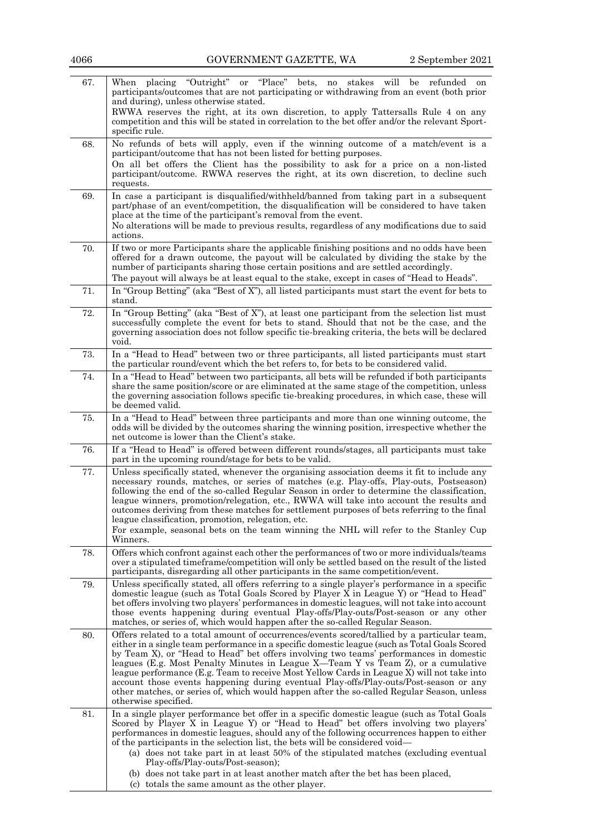| 67. | "Outright"<br>"Place"<br>stakes<br>will<br>When<br>placing<br>bets,<br>be<br>refunded<br>or<br>no<br>on<br>participants/outcomes that are not participating or withdrawing from an event (both prior<br>and during), unless otherwise stated.<br>RWWA reserves the right, at its own discretion, to apply Tattersalls Rule 4 on any<br>competition and this will be stated in correlation to the bet offer and/or the relevant Sport-<br>specific rule.                                                                                                                                                                                                                                  |
|-----|------------------------------------------------------------------------------------------------------------------------------------------------------------------------------------------------------------------------------------------------------------------------------------------------------------------------------------------------------------------------------------------------------------------------------------------------------------------------------------------------------------------------------------------------------------------------------------------------------------------------------------------------------------------------------------------|
| 68. | No refunds of bets will apply, even if the winning outcome of a match/event is a<br>participant/outcome that has not been listed for betting purposes.<br>On all bet offers the Client has the possibility to ask for a price on a non-listed<br>participant/outcome. RWWA reserves the right, at its own discretion, to decline such<br>requests.                                                                                                                                                                                                                                                                                                                                       |
| 69. | In case a participant is disqualified/withheld/banned from taking part in a subsequent<br>part/phase of an event/competition, the disqualification will be considered to have taken<br>place at the time of the participant's removal from the event.<br>No alterations will be made to previous results, regardless of any modifications due to said<br>actions.                                                                                                                                                                                                                                                                                                                        |
| 70. | If two or more Participants share the applicable finishing positions and no odds have been<br>offered for a drawn outcome, the payout will be calculated by dividing the stake by the<br>number of participants sharing those certain positions and are settled accordingly.<br>The payout will always be at least equal to the stake, except in cases of "Head to Heads".                                                                                                                                                                                                                                                                                                               |
| 71. | In "Group Betting" (aka "Best of X"), all listed participants must start the event for bets to<br>stand.                                                                                                                                                                                                                                                                                                                                                                                                                                                                                                                                                                                 |
| 72. | In "Group Betting" (aka "Best of X"), at least one participant from the selection list must<br>successfully complete the event for bets to stand. Should that not be the case, and the<br>governing association does not follow specific tie-breaking criteria, the bets will be declared<br>void.                                                                                                                                                                                                                                                                                                                                                                                       |
| 73. | In a "Head to Head" between two or three participants, all listed participants must start<br>the particular round/event which the bet refers to, for bets to be considered valid.                                                                                                                                                                                                                                                                                                                                                                                                                                                                                                        |
| 74. | In a "Head to Head" between two participants, all bets will be refunded if both participants<br>share the same position/score or are eliminated at the same stage of the competition, unless<br>the governing association follows specific tie-breaking procedures, in which case, these will<br>be deemed valid.                                                                                                                                                                                                                                                                                                                                                                        |
| 75. | In a "Head to Head" between three participants and more than one winning outcome, the<br>odds will be divided by the outcomes sharing the winning position, irrespective whether the<br>net outcome is lower than the Client's stake.                                                                                                                                                                                                                                                                                                                                                                                                                                                    |
| 76. | If a "Head to Head" is offered between different rounds/stages, all participants must take<br>part in the upcoming round/stage for bets to be valid.                                                                                                                                                                                                                                                                                                                                                                                                                                                                                                                                     |
| 77. | Unless specifically stated, whenever the organising association deems it fit to include any<br>necessary rounds, matches, or series of matches (e.g. Play-offs, Play-outs, Postseason)<br>following the end of the so-called Regular Season in order to determine the classification,<br>league winners, promotion/relegation, etc., RWWA will take into account the results and<br>outcomes deriving from these matches for settlement purposes of bets referring to the final<br>league classification, promotion, relegation, etc.                                                                                                                                                    |
|     | For example, seasonal bets on the team winning the NHL will refer to the Stanley Cup<br>Winners.                                                                                                                                                                                                                                                                                                                                                                                                                                                                                                                                                                                         |
| 78. | Offers which confront against each other the performances of two or more individuals/teams<br>over a stipulated time frame/competition will only be settled based on the result of the listed<br>participants, disregarding all other participants in the same competition/event.                                                                                                                                                                                                                                                                                                                                                                                                        |
| 79. | Unless specifically stated, all offers referring to a single player's performance in a specific<br>domestic league (such as Total Goals Scored by Player X in League Y) or "Head to Head"<br>bet offers involving two players' performances in domestic leagues, will not take into account<br>those events happening during eventual Play-offs/Play-outs/Post-season or any other<br>matches, or series of, which would happen after the so-called Regular Season.                                                                                                                                                                                                                      |
| 80. | Offers related to a total amount of occurrences/events scored/tallied by a particular team,<br>either in a single team performance in a specific domestic league (such as Total Goals Scored<br>by Team X), or "Head to Head" bet offers involving two teams' performances in domestic<br>leagues (E.g. Most Penalty Minutes in League X—Team Y vs Team Z), or a cumulative<br>league performance (E.g. Team to receive Most Yellow Cards in League X) will not take into<br>account those events happening during eventual Play-offs/Play-outs/Post-season or any<br>other matches, or series of, which would happen after the so-called Regular Season, unless<br>otherwise specified. |
| 81. | In a single player performance bet offer in a specific domestic league (such as Total Goals<br>Scored by Player X in League Y) or "Head to Head" bet offers involving two players"<br>performances in domestic leagues, should any of the following occurrences happen to either<br>of the participants in the selection list, the bets will be considered void—<br>(a) does not take part in at least 50% of the stipulated matches (excluding eventual<br>Play-offs/Play-outs/Post-season);<br>(b) does not take part in at least another match after the bet has been placed,<br>(c) totals the same amount as the other player.                                                      |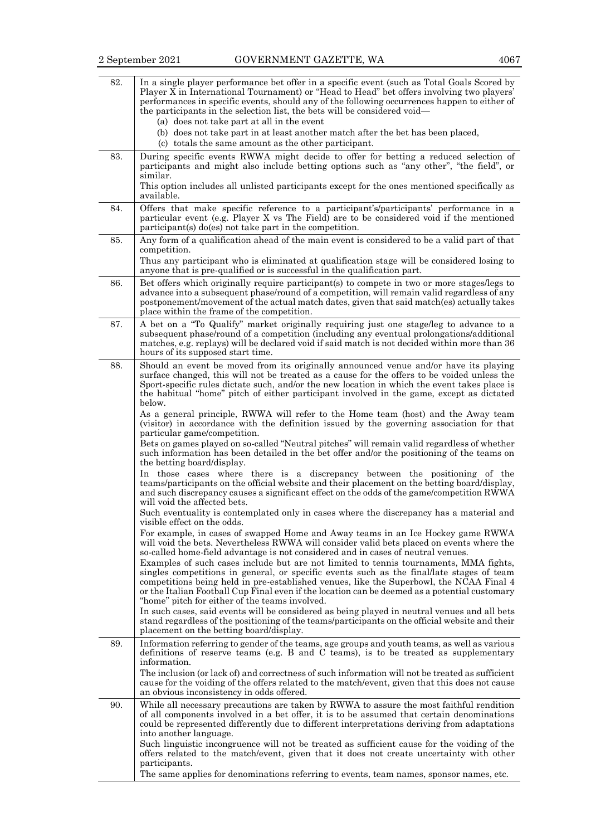| 82. | In a single player performance bet offer in a specific event (such as Total Goals Scored by<br>Player X in International Tournament) or "Head to Head" bet offers involving two players'<br>performances in specific events, should any of the following occurrences happen to either of<br>the participants in the selection list, the bets will be considered void—<br>(a) does not take part at all in the event<br>(b) does not take part in at least another match after the bet has been placed, |  |
|-----|--------------------------------------------------------------------------------------------------------------------------------------------------------------------------------------------------------------------------------------------------------------------------------------------------------------------------------------------------------------------------------------------------------------------------------------------------------------------------------------------------------|--|
| 83. | (c) totals the same amount as the other participant.<br>During specific events RWWA might decide to offer for betting a reduced selection of<br>participants and might also include betting options such as "any other", "the field", or<br>similar.                                                                                                                                                                                                                                                   |  |
|     | This option includes all unlisted participants except for the ones mentioned specifically as<br>available.                                                                                                                                                                                                                                                                                                                                                                                             |  |
| 84. | Offers that make specific reference to a participant's/participants' performance in a<br>particular event (e.g. Player X vs The Field) are to be considered void if the mentioned<br>$participant(s)$ do(es) not take part in the competition.                                                                                                                                                                                                                                                         |  |
| 85. | Any form of a qualification ahead of the main event is considered to be a valid part of that<br>competition.                                                                                                                                                                                                                                                                                                                                                                                           |  |
|     | Thus any participant who is eliminated at qualification stage will be considered losing to<br>anyone that is pre-qualified or is successful in the qualification part.                                                                                                                                                                                                                                                                                                                                 |  |
| 86. | Bet offers which originally require participant(s) to compete in two or more stages/legs to<br>advance into a subsequent phase/round of a competition, will remain valid regardless of any<br>postponement/movement of the actual match dates, given that said match(es) actually takes<br>place within the frame of the competition.                                                                                                                                                                  |  |
| 87. | A bet on a "To Qualify" market originally requiring just one stage/leg to advance to a<br>subsequent phase/round of a competition (including any eventual prolongations/additional<br>matches, e.g. replays) will be declared void if said match is not decided within more than 36<br>hours of its supposed start time.                                                                                                                                                                               |  |
| 88. | Should an event be moved from its originally announced venue and/or have its playing<br>surface changed, this will not be treated as a cause for the offers to be voided unless the<br>Sport-specific rules dictate such, and/or the new location in which the event takes place is<br>the habitual "home" pitch of either participant involved in the game, except as dictated<br>below.                                                                                                              |  |
|     | As a general principle, RWWA will refer to the Home team (host) and the Away team<br>(visitor) in accordance with the definition issued by the governing association for that<br>particular game/competition.                                                                                                                                                                                                                                                                                          |  |
|     | Bets on games played on so-called "Neutral pitches" will remain valid regardless of whether<br>such information has been detailed in the bet offer and/or the positioning of the teams on<br>the betting board/display.                                                                                                                                                                                                                                                                                |  |
|     | In those cases where there is a discrepancy between the positioning of the<br>teams/participants on the official website and their placement on the betting board/display,<br>and such discrepancy causes a significant effect on the odds of the game/competition RWWA<br>will void the affected bets.                                                                                                                                                                                                |  |
|     | Such eventuality is contemplated only in cases where the discrepancy has a material and<br>visible effect on the odds.                                                                                                                                                                                                                                                                                                                                                                                 |  |
|     | For example, in cases of swapped Home and Away teams in an Ice Hockey game RWWA<br>will void the bets. Nevertheless RWWA will consider valid bets placed on events where the<br>so-called home-field advantage is not considered and in cases of neutral venues.                                                                                                                                                                                                                                       |  |
|     | Examples of such cases include but are not limited to tennis tournaments, MMA fights,<br>singles competitions in general, or specific events such as the final/late stages of team<br>competitions being held in pre-established venues, like the Superbowl, the NCAA Final 4<br>or the Italian Football Cup Final even if the location can be deemed as a potential customary<br>"home" pitch for either of the teams involved.                                                                       |  |
|     | In such cases, said events will be considered as being played in neutral venues and all bets<br>stand regardless of the positioning of the teams/participants on the official website and their<br>placement on the betting board/display.                                                                                                                                                                                                                                                             |  |
| 89. | Information referring to gender of the teams, age groups and youth teams, as well as various<br>definitions of reserve teams (e.g. B and C teams), is to be treated as supplementary<br>information.                                                                                                                                                                                                                                                                                                   |  |
|     | The inclusion (or lack of) and correctness of such information will not be treated as sufficient<br>cause for the voiding of the offers related to the match/event, given that this does not cause<br>an obvious inconsistency in odds offered.                                                                                                                                                                                                                                                        |  |
| 90. | While all necessary precautions are taken by RWWA to assure the most faithful rendition<br>of all components involved in a bet offer, it is to be assumed that certain denominations<br>could be represented differently due to different interpretations deriving from adaptations<br>into another language.                                                                                                                                                                                          |  |
|     | Such linguistic incongruence will not be treated as sufficient cause for the voiding of the<br>offers related to the match/event, given that it does not create uncertainty with other<br>participants.                                                                                                                                                                                                                                                                                                |  |
|     | The same applies for denominations referring to events, team names, sponsor names, etc.                                                                                                                                                                                                                                                                                                                                                                                                                |  |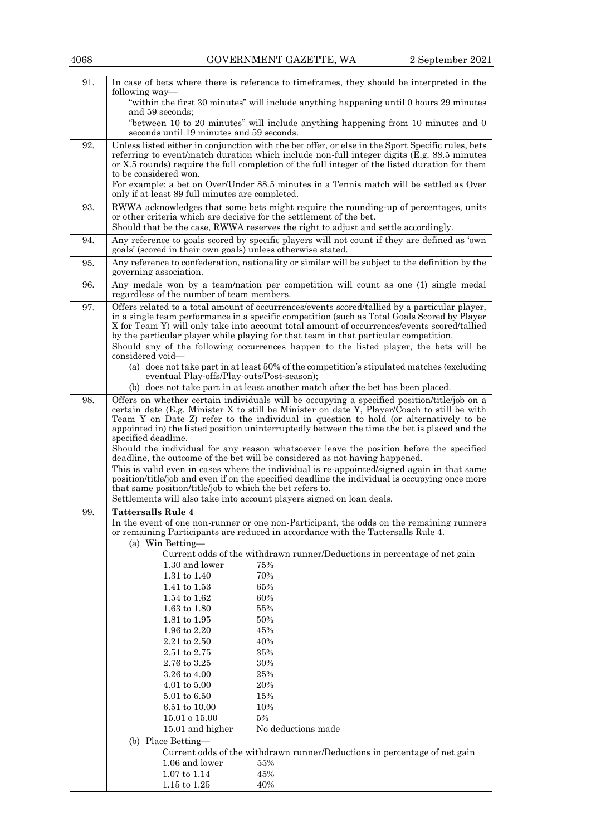| 91. | following way—                                                                                                                                                                                | In case of bets where there is reference to time frames, they should be interpreted in the                                                                                                       |  |
|-----|-----------------------------------------------------------------------------------------------------------------------------------------------------------------------------------------------|--------------------------------------------------------------------------------------------------------------------------------------------------------------------------------------------------|--|
|     |                                                                                                                                                                                               | "within the first 30 minutes" will include anything happening until 0 hours 29 minutes                                                                                                           |  |
|     | and 59 seconds;                                                                                                                                                                               |                                                                                                                                                                                                  |  |
|     | seconds until 19 minutes and 59 seconds.                                                                                                                                                      | "between 10 to 20 minutes" will include anything happening from 10 minutes and 0                                                                                                                 |  |
| 92. |                                                                                                                                                                                               | Unless listed either in conjunction with the bet offer, or else in the Sport Specific rules, bets<br>referring to event/match duration which include non-full integer digits (E.g. 88.5 minutes) |  |
|     |                                                                                                                                                                                               | or X.5 rounds) require the full completion of the full integer of the listed duration for them                                                                                                   |  |
|     | to be considered won.                                                                                                                                                                         |                                                                                                                                                                                                  |  |
|     | only if at least 89 full minutes are completed.                                                                                                                                               | For example: a bet on Over/Under 88.5 minutes in a Tennis match will be settled as Over                                                                                                          |  |
| 93. | or other criteria which are decisive for the settlement of the bet.                                                                                                                           | RWWA acknowledges that some bets might require the rounding-up of percentages, units                                                                                                             |  |
|     |                                                                                                                                                                                               | Should that be the case, RWWA reserves the right to adjust and settle accordingly.                                                                                                               |  |
| 94. | goals' (scored in their own goals) unless otherwise stated.                                                                                                                                   | Any reference to goals scored by specific players will not count if they are defined as 'own                                                                                                     |  |
| 95. | governing association.                                                                                                                                                                        | Any reference to confederation, nationality or similar will be subject to the definition by the                                                                                                  |  |
| 96. | regardless of the number of team members.                                                                                                                                                     | Any medals won by a team/nation per competition will count as one (1) single medal                                                                                                               |  |
| 97. |                                                                                                                                                                                               | Offers related to a total amount of occurrences/events scored/tallied by a particular player,                                                                                                    |  |
|     |                                                                                                                                                                                               | in a single team performance in a specific competition (such as Total Goals Scored by Player<br>X for Team Y) will only take into account total amount of occurrences/events scored/tallied      |  |
|     |                                                                                                                                                                                               | by the particular player while playing for that team in that particular competition.                                                                                                             |  |
|     | considered void-                                                                                                                                                                              | Should any of the following occurrences happen to the listed player, the bets will be                                                                                                            |  |
|     |                                                                                                                                                                                               | (a) does not take part in at least 50% of the competition's stipulated matches (excluding                                                                                                        |  |
|     | eventual Play-offs/Play-outs/Post-season);                                                                                                                                                    |                                                                                                                                                                                                  |  |
|     |                                                                                                                                                                                               | (b) does not take part in at least another match after the bet has been placed.                                                                                                                  |  |
| 98. |                                                                                                                                                                                               | Offers on whether certain individuals will be occupying a specified position/title/job on a<br>certain date (E.g. Minister X to still be Minister on date Y, Player/Coach to still be with       |  |
|     |                                                                                                                                                                                               | Team Y on Date Z) refer to the individual in question to hold (or alternatively to be                                                                                                            |  |
|     |                                                                                                                                                                                               | appointed in) the listed position uninterruptedly between the time the bet is placed and the                                                                                                     |  |
|     | specified deadline.<br>Should the individual for any reason whatsoever leave the position before the specified<br>deadline, the outcome of the bet will be considered as not having happened. |                                                                                                                                                                                                  |  |
|     |                                                                                                                                                                                               |                                                                                                                                                                                                  |  |
|     |                                                                                                                                                                                               | This is valid even in cases where the individual is re-appointed/signed again in that same<br>position/title/job and even if on the specified deadline the individual is occupying once more     |  |
|     | that same position/title/job to which the bet refers to.                                                                                                                                      |                                                                                                                                                                                                  |  |
|     |                                                                                                                                                                                               | Settlements will also take into account players signed on loan deals.                                                                                                                            |  |
| 99. | <b>Tattersalls Rule 4</b>                                                                                                                                                                     |                                                                                                                                                                                                  |  |
|     |                                                                                                                                                                                               | In the event of one non-runner or one non-Participant, the odds on the remaining runners<br>or remaining Participants are reduced in accordance with the Tattersalls Rule 4.                     |  |
|     | (a) Win Betting-                                                                                                                                                                              |                                                                                                                                                                                                  |  |
|     |                                                                                                                                                                                               | Current odds of the withdrawn runner/Deductions in percentage of net gain                                                                                                                        |  |
|     | 1.30 and lower<br>1.31 to 1.40                                                                                                                                                                | 75%<br>70%                                                                                                                                                                                       |  |
|     | 1.41 to 1.53                                                                                                                                                                                  | 65%                                                                                                                                                                                              |  |
|     | 1.54 to 1.62                                                                                                                                                                                  | 60%                                                                                                                                                                                              |  |
|     | 1.63 to 1.80                                                                                                                                                                                  | 55%                                                                                                                                                                                              |  |
|     | 1.81 to 1.95                                                                                                                                                                                  | 50%                                                                                                                                                                                              |  |
|     | 1.96 to 2.20                                                                                                                                                                                  | 45%                                                                                                                                                                                              |  |
|     | 2.21 to 2.50<br>2.51 to 2.75                                                                                                                                                                  | 40%<br>35%                                                                                                                                                                                       |  |
|     | 2.76 to 3.25                                                                                                                                                                                  | 30%                                                                                                                                                                                              |  |
|     | 3.26 to 4.00                                                                                                                                                                                  | 25%                                                                                                                                                                                              |  |
|     | $4.01 \text{ to } 5.00$                                                                                                                                                                       | 20%                                                                                                                                                                                              |  |
|     | 5.01 to 6.50                                                                                                                                                                                  | 15%                                                                                                                                                                                              |  |
|     | 6.51 to 10.00                                                                                                                                                                                 | 10%                                                                                                                                                                                              |  |
|     | 15.01 o 15.00                                                                                                                                                                                 | $5\%$                                                                                                                                                                                            |  |
|     | 15.01 and higher                                                                                                                                                                              | No deductions made                                                                                                                                                                               |  |
|     | (b) Place Betting-                                                                                                                                                                            |                                                                                                                                                                                                  |  |
|     |                                                                                                                                                                                               | Current odds of the withdrawn runner/Deductions in percentage of net gain                                                                                                                        |  |
|     | 1.06 and lower<br>$1.07 \text{ to } 1.14$                                                                                                                                                     | 55%<br>45%                                                                                                                                                                                       |  |
|     | $1.15$ to $1.25$                                                                                                                                                                              | 40%                                                                                                                                                                                              |  |
|     |                                                                                                                                                                                               |                                                                                                                                                                                                  |  |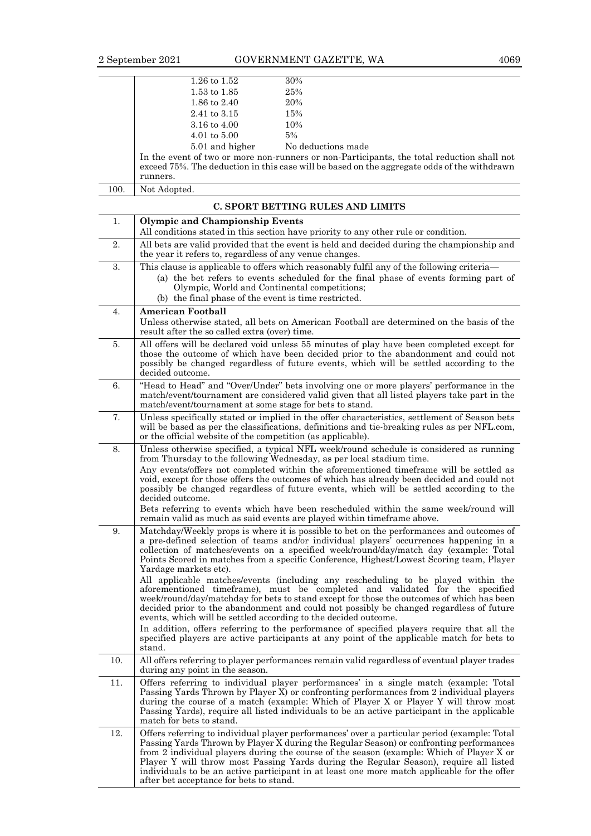|      | $1.26 \text{ to } 1.52$ | 30%                                                                                                                                                                                       |
|------|-------------------------|-------------------------------------------------------------------------------------------------------------------------------------------------------------------------------------------|
|      | $1.53 \text{ to } 1.85$ | 25%                                                                                                                                                                                       |
|      | 1.86 to 2.40            | 20%                                                                                                                                                                                       |
|      | 2.41 to 3.15            | 15%                                                                                                                                                                                       |
|      | 3.16 to $4.00$          | 10%                                                                                                                                                                                       |
|      | $4.01 \text{ to } 5.00$ | 5%                                                                                                                                                                                        |
|      | 5.01 and higher         | No deductions made                                                                                                                                                                        |
|      |                         | In the event of two or more non-runners or non-Participants, the total reduction shall not<br>exceed 75%. The deduction in this case will be based on the aggregate odds of the withdrawn |
|      | runners.                |                                                                                                                                                                                           |
| 100. | Not Adopted.            |                                                                                                                                                                                           |

|     | C. SPORT BETTING RULES AND LIMITS                                                                                                                                                                                                                                                                                                                                                                                                                                                                                                                                                                                                                                                                                                                                                                                                                                                                                                                                                                                                     |
|-----|---------------------------------------------------------------------------------------------------------------------------------------------------------------------------------------------------------------------------------------------------------------------------------------------------------------------------------------------------------------------------------------------------------------------------------------------------------------------------------------------------------------------------------------------------------------------------------------------------------------------------------------------------------------------------------------------------------------------------------------------------------------------------------------------------------------------------------------------------------------------------------------------------------------------------------------------------------------------------------------------------------------------------------------|
| 1.  | <b>Olympic and Championship Events</b>                                                                                                                                                                                                                                                                                                                                                                                                                                                                                                                                                                                                                                                                                                                                                                                                                                                                                                                                                                                                |
|     | All conditions stated in this section have priority to any other rule or condition.                                                                                                                                                                                                                                                                                                                                                                                                                                                                                                                                                                                                                                                                                                                                                                                                                                                                                                                                                   |
| 2.  | All bets are valid provided that the event is held and decided during the championship and<br>the year it refers to, regardless of any venue changes.                                                                                                                                                                                                                                                                                                                                                                                                                                                                                                                                                                                                                                                                                                                                                                                                                                                                                 |
| 3.  | This clause is applicable to offers which reasonably fulfil any of the following criteria—                                                                                                                                                                                                                                                                                                                                                                                                                                                                                                                                                                                                                                                                                                                                                                                                                                                                                                                                            |
|     | (a) the bet refers to events scheduled for the final phase of events forming part of<br>Olympic, World and Continental competitions;<br>(b) the final phase of the event is time restricted.                                                                                                                                                                                                                                                                                                                                                                                                                                                                                                                                                                                                                                                                                                                                                                                                                                          |
| 4.  | <b>American Football</b>                                                                                                                                                                                                                                                                                                                                                                                                                                                                                                                                                                                                                                                                                                                                                                                                                                                                                                                                                                                                              |
|     | Unless otherwise stated, all bets on American Football are determined on the basis of the<br>result after the so called extra (over) time.                                                                                                                                                                                                                                                                                                                                                                                                                                                                                                                                                                                                                                                                                                                                                                                                                                                                                            |
| 5.  | All offers will be declared void unless 55 minutes of play have been completed except for<br>those the outcome of which have been decided prior to the abandonment and could not<br>possibly be changed regardless of future events, which will be settled according to the<br>decided outcome.                                                                                                                                                                                                                                                                                                                                                                                                                                                                                                                                                                                                                                                                                                                                       |
| 6.  | "Head to Head" and "Over/Under" bets involving one or more players' performance in the<br>match/event/tournament are considered valid given that all listed players take part in the<br>match/event/tournament at some stage for bets to stand.                                                                                                                                                                                                                                                                                                                                                                                                                                                                                                                                                                                                                                                                                                                                                                                       |
| 7.  | Unless specifically stated or implied in the offer characteristics, settlement of Season bets<br>will be based as per the classifications, definitions and tie-breaking rules as per NFL.com,<br>or the official website of the competition (as applicable).                                                                                                                                                                                                                                                                                                                                                                                                                                                                                                                                                                                                                                                                                                                                                                          |
| 8.  | Unless otherwise specified, a typical NFL week/round schedule is considered as running<br>from Thursday to the following Wednesday, as per local stadium time.<br>Any events/offers not completed within the aforementioned timeframe will be settled as<br>void, except for those offers the outcomes of which has already been decided and could not<br>possibly be changed regardless of future events, which will be settled according to the<br>decided outcome.<br>Bets referring to events which have been rescheduled within the same week/round will<br>remain valid as much as said events are played within time frame above.                                                                                                                                                                                                                                                                                                                                                                                              |
| 9.  | Matchday/Weekly props is where it is possible to bet on the performances and outcomes of<br>a pre-defined selection of teams and/or individual players' occurrences happening in a<br>collection of matches/events on a specified week/round/day/match day (example: Total<br>Points Scored in matches from a specific Conference, Highest/Lowest Scoring team, Player<br>Yardage markets etc).<br>All applicable matches/events (including any rescheduling to be played within the<br>aforementioned timeframe), must be completed and validated for the specified<br>week/round/day/matchday for bets to stand except for those the outcomes of which has been<br>decided prior to the abandonment and could not possibly be changed regardless of future<br>events, which will be settled according to the decided outcome.<br>In addition, offers referring to the performance of specified players require that all the<br>specified players are active participants at any point of the applicable match for bets to<br>stand. |
| 10. | All offers referring to player performances remain valid regardless of eventual player trades<br>during any point in the season.                                                                                                                                                                                                                                                                                                                                                                                                                                                                                                                                                                                                                                                                                                                                                                                                                                                                                                      |
| 11. | Offers referring to individual player performances' in a single match (example: Total<br>Passing Yards Thrown by Player X) or confronting performances from 2 individual players<br>during the course of a match (example: Which of Player X or Player Y will throw most<br>Passing Yards), require all listed individuals to be an active participant in the applicable<br>match for bets to stand.                                                                                                                                                                                                                                                                                                                                                                                                                                                                                                                                                                                                                                  |
| 12. | Offers referring to individual player performances' over a particular period (example: Total<br>Passing Yards Thrown by Player X during the Regular Season) or confronting performances<br>from 2 individual players during the course of the season (example: Which of Player X or<br>Player Y will throw most Passing Yards during the Regular Season), require all listed<br>individuals to be an active participant in at least one more match applicable for the offer<br>after bet acceptance for bets to stand.                                                                                                                                                                                                                                                                                                                                                                                                                                                                                                                |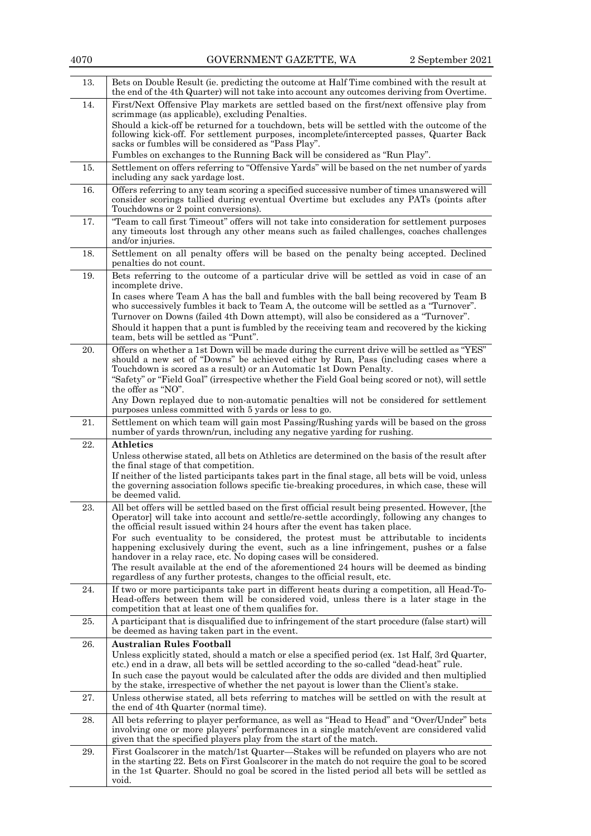| 13. | Bets on Double Result (ie. predicting the outcome at Half Time combined with the result at<br>the end of the 4th Quarter) will not take into account any outcomes deriving from Overtime.                                                                                                                                                                                                                                                                                                                                                                                                                                                                                                                      |
|-----|----------------------------------------------------------------------------------------------------------------------------------------------------------------------------------------------------------------------------------------------------------------------------------------------------------------------------------------------------------------------------------------------------------------------------------------------------------------------------------------------------------------------------------------------------------------------------------------------------------------------------------------------------------------------------------------------------------------|
| 14. | First/Next Offensive Play markets are settled based on the first/next offensive play from<br>scrimmage (as applicable), excluding Penalties.<br>Should a kick-off be returned for a touchdown, bets will be settled with the outcome of the<br>following kick-off. For settlement purposes, incomplete/intercepted passes, Quarter Back<br>sacks or fumbles will be considered as "Pass Play".                                                                                                                                                                                                                                                                                                                 |
|     | Fumbles on exchanges to the Running Back will be considered as "Run Play".                                                                                                                                                                                                                                                                                                                                                                                                                                                                                                                                                                                                                                     |
| 15. | Settlement on offers referring to "Offensive Yards" will be based on the net number of yards<br>including any sack yardage lost.                                                                                                                                                                                                                                                                                                                                                                                                                                                                                                                                                                               |
| 16. | Offers referring to any team scoring a specified successive number of times unanswered will<br>consider scorings tallied during eventual Overtime but excludes any PATs (points after<br>Touchdowns or 2 point conversions).                                                                                                                                                                                                                                                                                                                                                                                                                                                                                   |
| 17. | "Team to call first Timeout" offers will not take into consideration for settlement purposes<br>any timeouts lost through any other means such as failed challenges, coaches challenges<br>and/or injuries.                                                                                                                                                                                                                                                                                                                                                                                                                                                                                                    |
| 18. | Settlement on all penalty offers will be based on the penalty being accepted. Declined<br>penalties do not count.                                                                                                                                                                                                                                                                                                                                                                                                                                                                                                                                                                                              |
| 19. | Bets referring to the outcome of a particular drive will be settled as void in case of an<br>incomplete drive.<br>In cases where Team A has the ball and fumbles with the ball being recovered by Team B                                                                                                                                                                                                                                                                                                                                                                                                                                                                                                       |
|     | who successively fumbles it back to Team A, the outcome will be settled as a "Turnover".<br>Turnover on Downs (failed 4th Down attempt), will also be considered as a "Turnover".<br>Should it happen that a punt is fumbled by the receiving team and recovered by the kicking<br>team, bets will be settled as "Punt".                                                                                                                                                                                                                                                                                                                                                                                       |
| 20. | Offers on whether a 1st Down will be made during the current drive will be settled as "YES"<br>should a new set of "Downs" be achieved either by Run, Pass (including cases where a<br>Touchdown is scored as a result) or an Automatic 1st Down Penalty.<br>"Safety" or "Field Goal" (irrespective whether the Field Goal being scored or not), will settle<br>the offer as "NO".                                                                                                                                                                                                                                                                                                                             |
|     | Any Down replayed due to non-automatic penalties will not be considered for settlement<br>purposes unless committed with 5 yards or less to go.                                                                                                                                                                                                                                                                                                                                                                                                                                                                                                                                                                |
| 21. | Settlement on which team will gain most Passing/Rushing yards will be based on the gross<br>number of yards thrown/run, including any negative yarding for rushing.                                                                                                                                                                                                                                                                                                                                                                                                                                                                                                                                            |
| 22. | <b>Athletics</b><br>Unless otherwise stated, all bets on Athletics are determined on the basis of the result after<br>the final stage of that competition.<br>If neither of the listed participants takes part in the final stage, all bets will be void, unless<br>the governing association follows specific tie-breaking procedures, in which case, these will<br>be deemed valid.                                                                                                                                                                                                                                                                                                                          |
| 23. | All bet offers will be settled based on the first official result being presented. However, [the<br>Operator] will take into account and settle/re-settle accordingly, following any changes to<br>the official result issued within 24 hours after the event has taken place.<br>For such eventuality to be considered, the protest must be attributable to incidents<br>happening exclusively during the event, such as a line infringement, pushes or a false<br>handover in a relay race, etc. No doping cases will be considered.<br>The result available at the end of the aforementioned 24 hours will be deemed as binding<br>regardless of any further protests, changes to the official result, etc. |
| 24. | If two or more participants take part in different heats during a competition, all Head-To-<br>Head-offers between them will be considered void, unless there is a later stage in the<br>competition that at least one of them qualifies for.                                                                                                                                                                                                                                                                                                                                                                                                                                                                  |
| 25. | A participant that is disqualified due to infringement of the start procedure (false start) will<br>be deemed as having taken part in the event.                                                                                                                                                                                                                                                                                                                                                                                                                                                                                                                                                               |
| 26. | <b>Australian Rules Football</b><br>Unless explicitly stated, should a match or else a specified period (ex. 1st Half, 3rd Quarter,<br>etc.) end in a draw, all bets will be settled according to the so-called "dead-heat" rule.<br>In such case the payout would be calculated after the odds are divided and then multiplied<br>by the stake, irrespective of whether the net payout is lower than the Client's stake.                                                                                                                                                                                                                                                                                      |
| 27. | Unless otherwise stated, all bets referring to matches will be settled on with the result at<br>the end of 4th Quarter (normal time).                                                                                                                                                                                                                                                                                                                                                                                                                                                                                                                                                                          |
| 28. | All bets referring to player performance, as well as "Head to Head" and "Over/Under" bets<br>involving one or more players' performances in a single match/event are considered valid<br>given that the specified players play from the start of the match.                                                                                                                                                                                                                                                                                                                                                                                                                                                    |
| 29. | First Goalscorer in the match/1st Quarter—Stakes will be refunded on players who are not<br>in the starting 22. Bets on First Goalscorer in the match do not require the goal to be scored<br>in the 1st Quarter. Should no goal be scored in the listed period all bets will be settled as<br>void.                                                                                                                                                                                                                                                                                                                                                                                                           |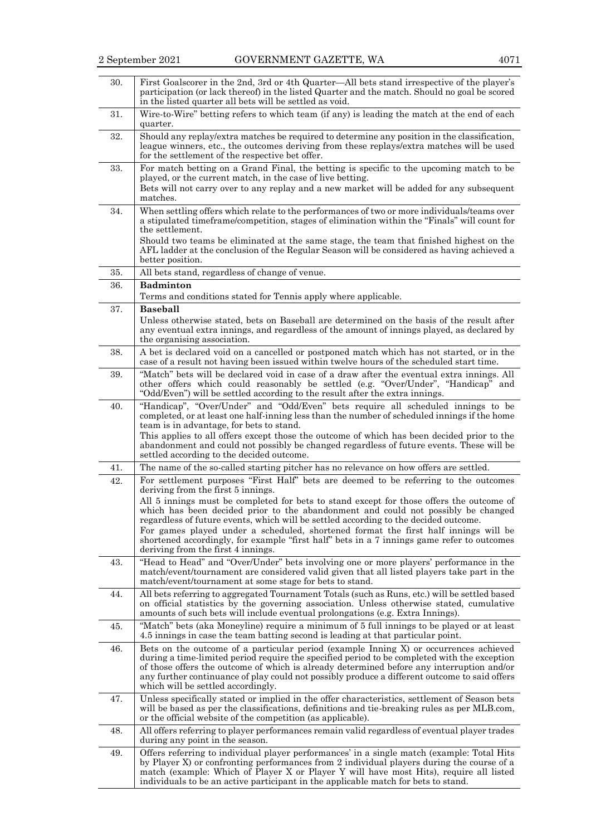| 30. | First Goalscorer in the 2nd, 3rd or 4th Quarter—All bets stand irrespective of the player's<br>participation (or lack thereof) in the listed Quarter and the match. Should no goal be scored<br>in the listed quarter all bets will be settled as void.                                                                                                                                                                                                             |
|-----|---------------------------------------------------------------------------------------------------------------------------------------------------------------------------------------------------------------------------------------------------------------------------------------------------------------------------------------------------------------------------------------------------------------------------------------------------------------------|
| 31. | Wire-to-Wire" betting refers to which team (if any) is leading the match at the end of each<br>quarter.                                                                                                                                                                                                                                                                                                                                                             |
| 32. | Should any replay/extra matches be required to determine any position in the classification,<br>league winners, etc., the outcomes deriving from these replays/extra matches will be used<br>for the settlement of the respective bet offer.                                                                                                                                                                                                                        |
| 33. | For match betting on a Grand Final, the betting is specific to the upcoming match to be<br>played, or the current match, in the case of live betting.                                                                                                                                                                                                                                                                                                               |
|     | Bets will not carry over to any replay and a new market will be added for any subsequent<br>matches.                                                                                                                                                                                                                                                                                                                                                                |
| 34. | When settling offers which relate to the performances of two or more individuals/teams over<br>a stipulated timeframe/competition, stages of elimination within the "Finals" will count for<br>the settlement.<br>Should two teams be eliminated at the same stage, the team that finished highest on the                                                                                                                                                           |
|     | AFL ladder at the conclusion of the Regular Season will be considered as having achieved a<br>better position.                                                                                                                                                                                                                                                                                                                                                      |
| 35. | All bets stand, regardless of change of venue.                                                                                                                                                                                                                                                                                                                                                                                                                      |
| 36. | <b>Badminton</b>                                                                                                                                                                                                                                                                                                                                                                                                                                                    |
|     | Terms and conditions stated for Tennis apply where applicable.                                                                                                                                                                                                                                                                                                                                                                                                      |
| 37. | <b>Baseball</b>                                                                                                                                                                                                                                                                                                                                                                                                                                                     |
|     | Unless otherwise stated, bets on Baseball are determined on the basis of the result after<br>any eventual extra innings, and regardless of the amount of innings played, as declared by<br>the organising association.                                                                                                                                                                                                                                              |
| 38. | A bet is declared void on a cancelled or postponed match which has not started, or in the<br>case of a result not having been issued within twelve hours of the scheduled start time.                                                                                                                                                                                                                                                                               |
| 39. | "Match" bets will be declared void in case of a draw after the eventual extra innings. All<br>other offers which could reasonably be settled (e.g. "Over/Under", "Handicap" and<br>"Odd/Even") will be settled according to the result after the extra innings.                                                                                                                                                                                                     |
| 40. | "Handicap", "Over/Under" and "Odd/Even" bets require all scheduled innings to be<br>completed, or at least one half-inning less than the number of scheduled innings if the home<br>team is in advantage, for bets to stand.<br>This applies to all offers except those the outcome of which has been decided prior to the<br>abandonment and could not possibly be changed regardless of future events. These will be<br>settled according to the decided outcome. |
| 41. | The name of the so-called starting pitcher has no relevance on how offers are settled.                                                                                                                                                                                                                                                                                                                                                                              |
| 42. | For settlement purposes "First Half" bets are deemed to be referring to the outcomes<br>deriving from the first 5 innings.                                                                                                                                                                                                                                                                                                                                          |
|     | All 5 innings must be completed for bets to stand except for those offers the outcome of<br>which has been decided prior to the abandonment and could not possibly be changed<br>regardless of future events, which will be settled according to the decided outcome.                                                                                                                                                                                               |
|     | For games played under a scheduled, shortened format the first half innings will be<br>shortened accordingly, for example "first half" bets in a 7 innings game refer to outcomes<br>deriving from the first 4 innings.                                                                                                                                                                                                                                             |
| 43. | "Head to Head" and "Over/Under" bets involving one or more players' performance in the<br>match/event/tournament are considered valid given that all listed players take part in the<br>match/event/tournament at some stage for bets to stand.                                                                                                                                                                                                                     |
| 44. | All bets referring to aggregated Tournament Totals (such as Runs, etc.) will be settled based<br>on official statistics by the governing association. Unless otherwise stated, cumulative<br>amounts of such bets will include eventual prolongations (e.g. Extra Innings).                                                                                                                                                                                         |
| 45. | "Match" bets (aka Moneyline) require a minimum of 5 full innings to be played or at least<br>4.5 innings in case the team batting second is leading at that particular point.                                                                                                                                                                                                                                                                                       |
| 46. | Bets on the outcome of a particular period (example Inning X) or occurrences achieved<br>during a time-limited period require the specified period to be completed with the exception<br>of those offers the outcome of which is already determined before any interruption and/or<br>any further continuance of play could not possibly produce a different outcome to said offers<br>which will be settled accordingly.                                           |
| 47. | Unless specifically stated or implied in the offer characteristics, settlement of Season bets<br>will be based as per the classifications, definitions and tie-breaking rules as per MLB.com,<br>or the official website of the competition (as applicable).                                                                                                                                                                                                        |
| 48. | All offers referring to player performances remain valid regardless of eventual player trades<br>during any point in the season.                                                                                                                                                                                                                                                                                                                                    |
| 49. | Offers referring to individual player performances' in a single match (example: Total Hits<br>by Player X) or confronting performances from 2 individual players during the course of a<br>match (example: Which of Player X or Player Y will have most Hits), require all listed<br>individuals to be an active participant in the applicable match for bets to stand.                                                                                             |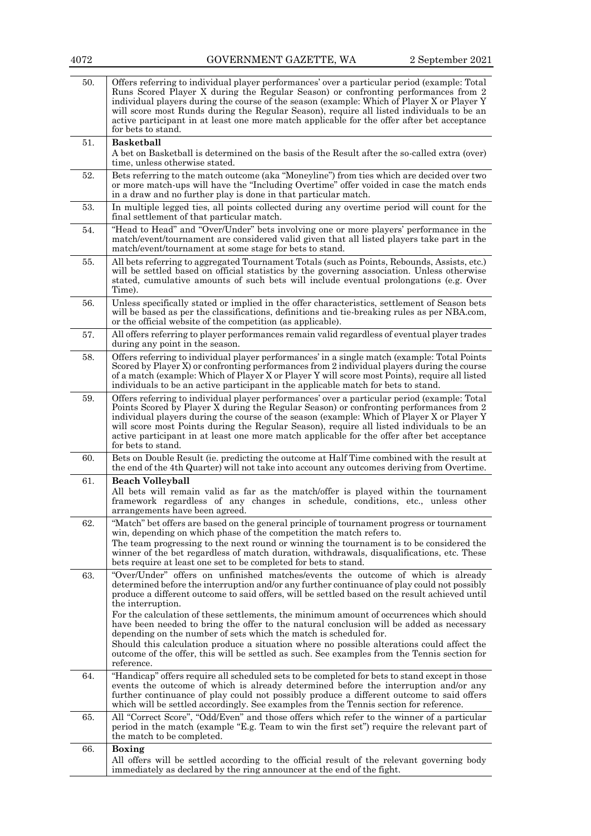| 4072 | GOVERNMENT GAZETTE, WA                                                                                                                                                                                                                                                                                                                                                                                                                                                                                                                                               | 2 September 2021 |
|------|----------------------------------------------------------------------------------------------------------------------------------------------------------------------------------------------------------------------------------------------------------------------------------------------------------------------------------------------------------------------------------------------------------------------------------------------------------------------------------------------------------------------------------------------------------------------|------------------|
| 50.  | Offers referring to individual player performances' over a particular period (example: Total<br>Runs Scored Player X during the Regular Season) or confronting performances from 2<br>individual players during the course of the season (example: Which of Player X or Player Y<br>will score most Runds during the Regular Season), require all listed individuals to be an<br>active participant in at least one more match applicable for the offer after bet acceptance<br>for bets to stand.                                                                   |                  |
| 51.  | <b>Basketball</b><br>A bet on Basketball is determined on the basis of the Result after the so-called extra (over)<br>time, unless otherwise stated.                                                                                                                                                                                                                                                                                                                                                                                                                 |                  |
| 52.  | Bets referring to the match outcome (aka "Moneyline") from ties which are decided over two<br>or more match-ups will have the "Including Overtime" offer voided in case the match ends<br>in a draw and no further play is done in that particular match.                                                                                                                                                                                                                                                                                                            |                  |
| 53.  | In multiple legged ties, all points collected during any overtime period will count for the<br>final settlement of that particular match.                                                                                                                                                                                                                                                                                                                                                                                                                            |                  |
| 54.  | "Head to Head" and "Over/Under" bets involving one or more players' performance in the<br>match/event/tournament are considered valid given that all listed players take part in the<br>match/event/tournament at some stage for bets to stand.                                                                                                                                                                                                                                                                                                                      |                  |
| 55.  | All bets referring to aggregated Tournament Totals (such as Points, Rebounds, Assists, etc.)<br>will be settled based on official statistics by the governing association. Unless otherwise<br>stated, cumulative amounts of such bets will include eventual prolongations (e.g. Over<br>Time).                                                                                                                                                                                                                                                                      |                  |
| 56.  | Unless specifically stated or implied in the offer characteristics, settlement of Season bets<br>will be based as per the classifications, definitions and tie-breaking rules as per NBA.com,<br>or the official website of the competition (as applicable).                                                                                                                                                                                                                                                                                                         |                  |
| 57.  | All offers referring to player performances remain valid regardless of eventual player trades<br>during any point in the season.                                                                                                                                                                                                                                                                                                                                                                                                                                     |                  |
| 58.  | Offers referring to individual player performances' in a single match (example: Total Points<br>Scored by Player X) or confronting performances from 2 individual players during the course<br>of a match (example: Which of Player X or Player Y will score most Points), require all listed<br>individuals to be an active participant in the applicable match for bets to stand.                                                                                                                                                                                  |                  |
| 59.  | Offers referring to individual player performances' over a particular period (example: Total<br>Points Scored by Player X during the Regular Season) or confronting performances from 2<br>individual players during the course of the season (example: Which of Player X or Player Y<br>will score most Points during the Regular Season), require all listed individuals to be an<br>active participant in at least one more match applicable for the offer after bet acceptance<br>for bets to stand.                                                             |                  |
| 60.  | Bets on Double Result (ie. predicting the outcome at Half Time combined with the result at<br>the end of the 4th Quarter) will not take into account any outcomes deriving from Overtime.                                                                                                                                                                                                                                                                                                                                                                            |                  |
| 61.  | <b>Beach Volleyball</b><br>All bets will remain valid as far as the match/offer is played within the tournament<br>tramework regardless of any changes in schedule, conditions, etc., unless other<br>arrangements have been agreed.                                                                                                                                                                                                                                                                                                                                 |                  |
| 62.  | "Match" bet offers are based on the general principle of tournament progress or tournament<br>win, depending on which phase of the competition the match refers to.<br>The team progressing to the next round or winning the tournament is to be considered the<br>winner of the bet regardless of match duration, withdrawals, disqualifications, etc. These<br>bets require at least one set to be completed for bets to stand.                                                                                                                                    |                  |
| 63.  | "Over/Under" offers on unfinished matches/events the outcome of which is already<br>determined before the interruption and/or any further continuance of play could not possibly<br>produce a different outcome to said offers, will be settled based on the result achieved until<br>the interruption.<br>For the calculation of these settlements, the minimum amount of occurrences which should<br>have been needed to bring the offer to the natural conclusion will be added as necessary<br>depending on the number of sets which the match is scheduled for. |                  |
|      | Should this calculation produce a situation where no possible alterations could affect the<br>outcome of the offer, this will be settled as such. See examples from the Tennis section for<br>reference.                                                                                                                                                                                                                                                                                                                                                             |                  |
| 64.  | "Handicap" offers require all scheduled sets to be completed for bets to stand except in those<br>events the outcome of which is already determined before the interruption and/or any<br>further continuance of play could not possibly produce a different outcome to said offers<br>which will be settled accordingly. See examples from the Tennis section for reference.                                                                                                                                                                                        |                  |
| 65.  | All "Correct Score", "Odd/Even" and those offers which refer to the winner of a particular<br>period in the match (example "E.g. Team to win the first set") require the relevant part of<br>the match to be completed.                                                                                                                                                                                                                                                                                                                                              |                  |
| 66.  | <b>Boxing</b><br>All offers will be settled according to the official result of the relevant governing body<br>immediately as declared by the ring announcer at the end of the fight.                                                                                                                                                                                                                                                                                                                                                                                |                  |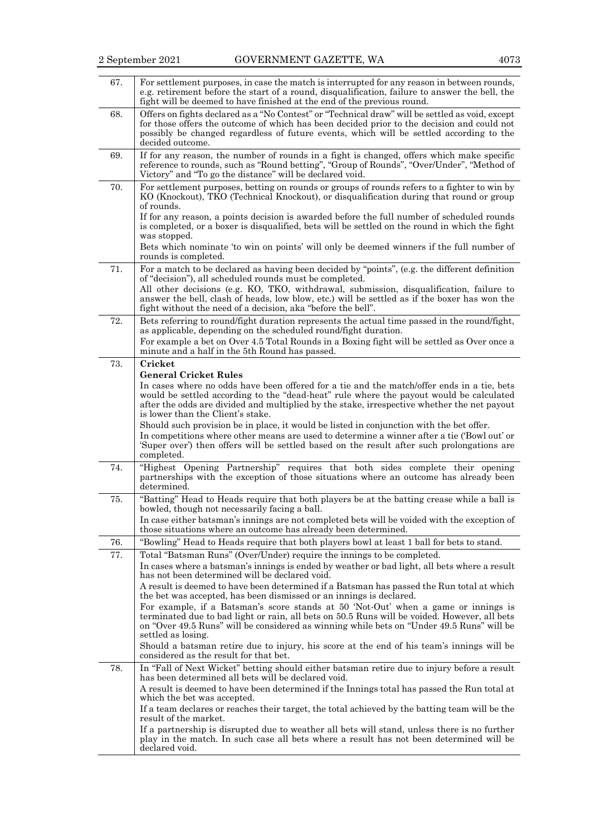| 67. | For settlement purposes, in case the match is interrupted for any reason in between rounds,<br>e.g. retirement before the start of a round, disqualification, failure to answer the bell, the<br>fight will be deemed to have finished at the end of the previous round.                                         |
|-----|------------------------------------------------------------------------------------------------------------------------------------------------------------------------------------------------------------------------------------------------------------------------------------------------------------------|
| 68. | Offers on fights declared as a "No Contest" or "Technical draw" will be settled as void, except<br>for those offers the outcome of which has been decided prior to the decision and could not<br>possibly be changed regardless of future events, which will be settled according to the<br>decided outcome.     |
| 69. | If for any reason, the number of rounds in a fight is changed, offers which make specific<br>reference to rounds, such as "Round betting", "Group of Rounds", "Over/Under", "Method of<br>Victory" and "To go the distance" will be declared void.                                                               |
| 70. | For settlement purposes, betting on rounds or groups of rounds refers to a fighter to win by<br>KO (Knockout), TKO (Technical Knockout), or disqualification during that round or group<br>of rounds.                                                                                                            |
|     | If for any reason, a points decision is awarded before the full number of scheduled rounds<br>is completed, or a boxer is disqualified, bets will be settled on the round in which the fight<br>was stopped.                                                                                                     |
|     | Bets which nominate 'to win on points' will only be deemed winners if the full number of<br>rounds is completed.                                                                                                                                                                                                 |
| 71. | For a match to be declared as having been decided by "points", (e.g. the different definition<br>of "decision"), all scheduled rounds must be completed.                                                                                                                                                         |
|     | All other decisions (e.g. KO, TKO, withdrawal, submission, disqualification, failure to<br>answer the bell, clash of heads, low blow, etc.) will be settled as if the boxer has won the<br>fight without the need of a decision, aka "before the bell".                                                          |
| 72. | Bets referring to round/fight duration represents the actual time passed in the round/fight,<br>as applicable, depending on the scheduled round/fight duration.<br>For example a bet on Over 4.5 Total Rounds in a Boxing fight will be settled as Over once a<br>minute and a half in the 5th Round has passed. |
| 73. | Cricket                                                                                                                                                                                                                                                                                                          |
|     | <b>General Cricket Rules</b>                                                                                                                                                                                                                                                                                     |
|     | In cases where no odds have been offered for a tie and the match/offer ends in a tie, bets                                                                                                                                                                                                                       |
|     | would be settled according to the "dead-heat" rule where the payout would be calculated<br>after the odds are divided and multiplied by the stake, irrespective whether the net payout<br>is lower than the Client's stake.                                                                                      |
|     | Should such provision be in place, it would be listed in conjunction with the bet offer.                                                                                                                                                                                                                         |
|     | In competitions where other means are used to determine a winner after a tie ('Bowl out' or<br>'Super over') then offers will be settled based on the result after such prolongations are<br>completed.                                                                                                          |
| 74. | "Highest Opening Partnership" requires that both sides complete their opening<br>partnerships with the exception of those situations where an outcome has already been<br>determined.                                                                                                                            |
| 75. | "Batting" Head to Heads require that both players be at the batting crease while a ball is<br>bowled, though not necessarily facing a ball.                                                                                                                                                                      |
|     | In case either batsman's innings are not completed bets will be voided with the exception of<br>those situations where an outcome has already been determined.                                                                                                                                                   |
| 76. | "Bowling" Head to Heads require that both players bowl at least 1 ball for bets to stand.                                                                                                                                                                                                                        |
| 77. | Total "Batsman Runs" (Over/Under) require the innings to be completed.                                                                                                                                                                                                                                           |
|     | In cases where a batsman's innings is ended by weather or bad light, all bets where a result<br>has not been determined will be declared void.                                                                                                                                                                   |
|     | A result is deemed to have been determined if a Batsman has passed the Run total at which<br>the bet was accepted, has been dismissed or an innings is declared.                                                                                                                                                 |
|     | For example, if a Batsman's score stands at 50 'Not-Out' when a game or innings is                                                                                                                                                                                                                               |
|     | terminated due to bad light or rain, all bets on 50.5 Runs will be voided. However, all bets<br>on "Over 49.5 Runs" will be considered as winning while bets on "Under 49.5 Runs" will be<br>settled as losing.                                                                                                  |
|     | Should a batsman retire due to injury, his score at the end of his team's innings will be                                                                                                                                                                                                                        |
|     | considered as the result for that bet.                                                                                                                                                                                                                                                                           |
| 78. | In "Fall of Next Wicket" betting should either batsman retire due to injury before a result<br>has been determined all bets will be declared void.                                                                                                                                                               |
|     | A result is deemed to have been determined if the Innings total has passed the Run total at<br>which the bet was accepted.                                                                                                                                                                                       |
|     | If a team declares or reaches their target, the total achieved by the batting team will be the<br>result of the market.                                                                                                                                                                                          |
|     | If a partnership is disrupted due to weather all bets will stand, unless there is no further<br>play in the match. In such case all bets where a result has not been determined will be<br>declared void.                                                                                                        |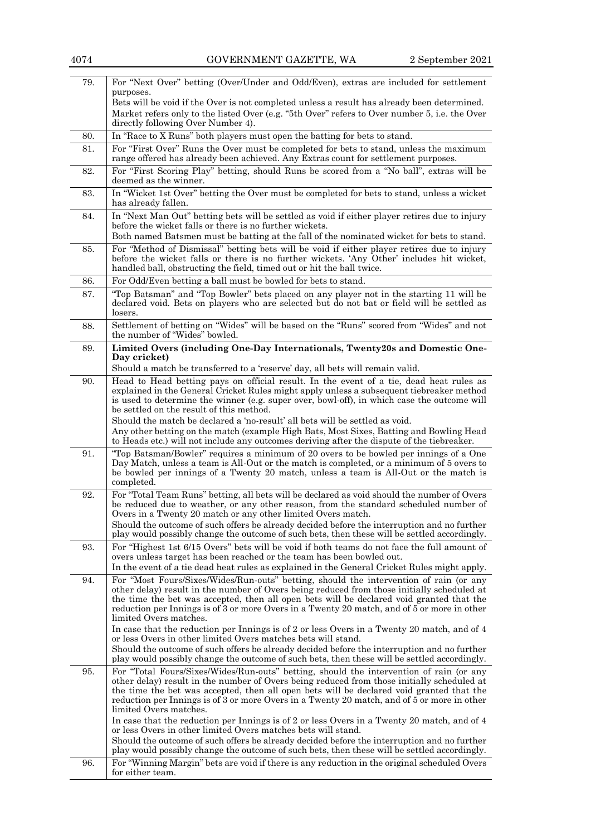| For "Next Over" betting (Over/Under and Odd/Even), extras are included for settlement<br>79.<br>purposes.<br>Bets will be void if the Over is not completed unless a result has already been determined.<br>Market refers only to the listed Over (e.g. "5th Over" refers to Over number 5, i.e. the Over<br>directly following Over Number 4).<br>In "Race to X Runs" both players must open the batting for bets to stand.<br>80.<br>For "First Over" Runs the Over must be completed for bets to stand, unless the maximum<br>81.<br>range offered has already been achieved. Any Extras count for settlement purposes.<br>For "First Scoring Play" betting, should Runs be scored from a "No ball", extras will be<br>82.<br>deemed as the winner.<br>In "Wicket 1st Over" betting the Over must be completed for bets to stand, unless a wicket<br>83.<br>has already fallen.<br>In "Next Man Out" betting bets will be settled as void if either player retires due to injury<br>84.<br>before the wicket falls or there is no further wickets.<br>Both named Batsmen must be batting at the fall of the nominated wicket for bets to stand.<br>For "Method of Dismissal" betting bets will be void if either player retires due to injury<br>85.<br>before the wicket falls or there is no further wickets. 'Any Other' includes hit wicket,<br>handled ball, obstructing the field, timed out or hit the ball twice.<br>For Odd/Even betting a ball must be bowled for bets to stand.<br>86.<br>87.<br>"Top Batsman" and "Top Bowler" bets placed on any player not in the starting 11 will be<br>declared void. Bets on players who are selected but do not bat or field will be settled as<br>losers.<br>Settlement of betting on "Wides" will be based on the "Runs" scored from "Wides" and not<br>88.<br>the number of "Wides" bowled.<br>Limited Overs (including One-Day Internationals, Twenty20s and Domestic One-<br>89.<br>Day cricket)<br>Should a match be transferred to a 'reserve' day, all bets will remain valid.<br>Head to Head betting pays on official result. In the event of a tie, dead heat rules as<br>90.<br>explained in the General Cricket Rules might apply unless a subsequent tiebreaker method<br>is used to determine the winner (e.g. super over, bowl-off), in which case the outcome will<br>be settled on the result of this method.<br>Should the match be declared a 'no-result' all bets will be settled as void.<br>Any other betting on the match (example High Bats, Most Sixes, Batting and Bowling Head<br>to Heads etc.) will not include any outcomes deriving after the dispute of the tiebreaker.<br>"Top Batsman/Bowler" requires a minimum of 20 overs to be bowled per innings of a One<br>91.<br>Day Match, unless a team is All-Out or the match is completed, or a minimum of 5 overs to<br>be bowled per innings of a Twenty 20 match, unless a team is All-Out or the match is<br>completed.<br>For "Total Team Runs" betting, all bets will be declared as void should the number of Overs<br>92.<br>be reduced due to weather, or any other reason, from the standard scheduled number of<br>Overs in a Twenty 20 match or any other limited Overs match.<br>Should the outcome of such offers be already decided before the interruption and no further<br>play would possibly change the outcome of such bets, then these will be settled accordingly.<br>For "Highest 1st 6/15 Overs" bets will be void if both teams do not face the full amount of<br>93.<br>overs unless target has been reached or the team has been bowled out.<br>In the event of a tie dead heat rules as explained in the General Cricket Rules might apply.<br>For "Most Fours/Sixes/Wides/Run-outs" betting, should the intervention of rain (or any<br>94.<br>other delay) result in the number of Overs being reduced from those initially scheduled at<br>the time the bet was accepted, then all open bets will be declared void granted that the<br>reduction per Innings is of 3 or more Overs in a Twenty 20 match, and of 5 or more in other<br>limited Overs matches.<br>In case that the reduction per Innings is of 2 or less Overs in a Twenty 20 match, and of 4 | 2 September 2021 |
|----------------------------------------------------------------------------------------------------------------------------------------------------------------------------------------------------------------------------------------------------------------------------------------------------------------------------------------------------------------------------------------------------------------------------------------------------------------------------------------------------------------------------------------------------------------------------------------------------------------------------------------------------------------------------------------------------------------------------------------------------------------------------------------------------------------------------------------------------------------------------------------------------------------------------------------------------------------------------------------------------------------------------------------------------------------------------------------------------------------------------------------------------------------------------------------------------------------------------------------------------------------------------------------------------------------------------------------------------------------------------------------------------------------------------------------------------------------------------------------------------------------------------------------------------------------------------------------------------------------------------------------------------------------------------------------------------------------------------------------------------------------------------------------------------------------------------------------------------------------------------------------------------------------------------------------------------------------------------------------------------------------------------------------------------------------------------------------------------------------------------------------------------------------------------------------------------------------------------------------------------------------------------------------------------------------------------------------------------------------------------------------------------------------------------------------------------------------------------------------------------------------------------------------------------------------------------------------------------------------------------------------------------------------------------------------------------------------------------------------------------------------------------------------------------------------------------------------------------------------------------------------------------------------------------------------------------------------------------------------------------------------------------------------------------------------------------------------------------------------------------------------------------------------------------------------------------------------------------------------------------------------------------------------------------------------------------------------------------------------------------------------------------------------------------------------------------------------------------------------------------------------------------------------------------------------------------------------------------------------------------------------------------------------------------------------------------------------------------------------------------------------------------------------------------------------------------------------------------------------------------------------------------------------------------------------------------------------------------------------------------------------------------------------------------------------------------------------------------------------------------------------------------------------------------------------------------------------------------------|------------------|
|                                                                                                                                                                                                                                                                                                                                                                                                                                                                                                                                                                                                                                                                                                                                                                                                                                                                                                                                                                                                                                                                                                                                                                                                                                                                                                                                                                                                                                                                                                                                                                                                                                                                                                                                                                                                                                                                                                                                                                                                                                                                                                                                                                                                                                                                                                                                                                                                                                                                                                                                                                                                                                                                                                                                                                                                                                                                                                                                                                                                                                                                                                                                                                                                                                                                                                                                                                                                                                                                                                                                                                                                                                                                                                                                                                                                                                                                                                                                                                                                                                                                                                                                                                                                                                  |                  |
|                                                                                                                                                                                                                                                                                                                                                                                                                                                                                                                                                                                                                                                                                                                                                                                                                                                                                                                                                                                                                                                                                                                                                                                                                                                                                                                                                                                                                                                                                                                                                                                                                                                                                                                                                                                                                                                                                                                                                                                                                                                                                                                                                                                                                                                                                                                                                                                                                                                                                                                                                                                                                                                                                                                                                                                                                                                                                                                                                                                                                                                                                                                                                                                                                                                                                                                                                                                                                                                                                                                                                                                                                                                                                                                                                                                                                                                                                                                                                                                                                                                                                                                                                                                                                                  |                  |
|                                                                                                                                                                                                                                                                                                                                                                                                                                                                                                                                                                                                                                                                                                                                                                                                                                                                                                                                                                                                                                                                                                                                                                                                                                                                                                                                                                                                                                                                                                                                                                                                                                                                                                                                                                                                                                                                                                                                                                                                                                                                                                                                                                                                                                                                                                                                                                                                                                                                                                                                                                                                                                                                                                                                                                                                                                                                                                                                                                                                                                                                                                                                                                                                                                                                                                                                                                                                                                                                                                                                                                                                                                                                                                                                                                                                                                                                                                                                                                                                                                                                                                                                                                                                                                  |                  |
|                                                                                                                                                                                                                                                                                                                                                                                                                                                                                                                                                                                                                                                                                                                                                                                                                                                                                                                                                                                                                                                                                                                                                                                                                                                                                                                                                                                                                                                                                                                                                                                                                                                                                                                                                                                                                                                                                                                                                                                                                                                                                                                                                                                                                                                                                                                                                                                                                                                                                                                                                                                                                                                                                                                                                                                                                                                                                                                                                                                                                                                                                                                                                                                                                                                                                                                                                                                                                                                                                                                                                                                                                                                                                                                                                                                                                                                                                                                                                                                                                                                                                                                                                                                                                                  |                  |
|                                                                                                                                                                                                                                                                                                                                                                                                                                                                                                                                                                                                                                                                                                                                                                                                                                                                                                                                                                                                                                                                                                                                                                                                                                                                                                                                                                                                                                                                                                                                                                                                                                                                                                                                                                                                                                                                                                                                                                                                                                                                                                                                                                                                                                                                                                                                                                                                                                                                                                                                                                                                                                                                                                                                                                                                                                                                                                                                                                                                                                                                                                                                                                                                                                                                                                                                                                                                                                                                                                                                                                                                                                                                                                                                                                                                                                                                                                                                                                                                                                                                                                                                                                                                                                  |                  |
|                                                                                                                                                                                                                                                                                                                                                                                                                                                                                                                                                                                                                                                                                                                                                                                                                                                                                                                                                                                                                                                                                                                                                                                                                                                                                                                                                                                                                                                                                                                                                                                                                                                                                                                                                                                                                                                                                                                                                                                                                                                                                                                                                                                                                                                                                                                                                                                                                                                                                                                                                                                                                                                                                                                                                                                                                                                                                                                                                                                                                                                                                                                                                                                                                                                                                                                                                                                                                                                                                                                                                                                                                                                                                                                                                                                                                                                                                                                                                                                                                                                                                                                                                                                                                                  |                  |
|                                                                                                                                                                                                                                                                                                                                                                                                                                                                                                                                                                                                                                                                                                                                                                                                                                                                                                                                                                                                                                                                                                                                                                                                                                                                                                                                                                                                                                                                                                                                                                                                                                                                                                                                                                                                                                                                                                                                                                                                                                                                                                                                                                                                                                                                                                                                                                                                                                                                                                                                                                                                                                                                                                                                                                                                                                                                                                                                                                                                                                                                                                                                                                                                                                                                                                                                                                                                                                                                                                                                                                                                                                                                                                                                                                                                                                                                                                                                                                                                                                                                                                                                                                                                                                  |                  |
|                                                                                                                                                                                                                                                                                                                                                                                                                                                                                                                                                                                                                                                                                                                                                                                                                                                                                                                                                                                                                                                                                                                                                                                                                                                                                                                                                                                                                                                                                                                                                                                                                                                                                                                                                                                                                                                                                                                                                                                                                                                                                                                                                                                                                                                                                                                                                                                                                                                                                                                                                                                                                                                                                                                                                                                                                                                                                                                                                                                                                                                                                                                                                                                                                                                                                                                                                                                                                                                                                                                                                                                                                                                                                                                                                                                                                                                                                                                                                                                                                                                                                                                                                                                                                                  |                  |
|                                                                                                                                                                                                                                                                                                                                                                                                                                                                                                                                                                                                                                                                                                                                                                                                                                                                                                                                                                                                                                                                                                                                                                                                                                                                                                                                                                                                                                                                                                                                                                                                                                                                                                                                                                                                                                                                                                                                                                                                                                                                                                                                                                                                                                                                                                                                                                                                                                                                                                                                                                                                                                                                                                                                                                                                                                                                                                                                                                                                                                                                                                                                                                                                                                                                                                                                                                                                                                                                                                                                                                                                                                                                                                                                                                                                                                                                                                                                                                                                                                                                                                                                                                                                                                  |                  |
|                                                                                                                                                                                                                                                                                                                                                                                                                                                                                                                                                                                                                                                                                                                                                                                                                                                                                                                                                                                                                                                                                                                                                                                                                                                                                                                                                                                                                                                                                                                                                                                                                                                                                                                                                                                                                                                                                                                                                                                                                                                                                                                                                                                                                                                                                                                                                                                                                                                                                                                                                                                                                                                                                                                                                                                                                                                                                                                                                                                                                                                                                                                                                                                                                                                                                                                                                                                                                                                                                                                                                                                                                                                                                                                                                                                                                                                                                                                                                                                                                                                                                                                                                                                                                                  |                  |
|                                                                                                                                                                                                                                                                                                                                                                                                                                                                                                                                                                                                                                                                                                                                                                                                                                                                                                                                                                                                                                                                                                                                                                                                                                                                                                                                                                                                                                                                                                                                                                                                                                                                                                                                                                                                                                                                                                                                                                                                                                                                                                                                                                                                                                                                                                                                                                                                                                                                                                                                                                                                                                                                                                                                                                                                                                                                                                                                                                                                                                                                                                                                                                                                                                                                                                                                                                                                                                                                                                                                                                                                                                                                                                                                                                                                                                                                                                                                                                                                                                                                                                                                                                                                                                  |                  |
|                                                                                                                                                                                                                                                                                                                                                                                                                                                                                                                                                                                                                                                                                                                                                                                                                                                                                                                                                                                                                                                                                                                                                                                                                                                                                                                                                                                                                                                                                                                                                                                                                                                                                                                                                                                                                                                                                                                                                                                                                                                                                                                                                                                                                                                                                                                                                                                                                                                                                                                                                                                                                                                                                                                                                                                                                                                                                                                                                                                                                                                                                                                                                                                                                                                                                                                                                                                                                                                                                                                                                                                                                                                                                                                                                                                                                                                                                                                                                                                                                                                                                                                                                                                                                                  |                  |
|                                                                                                                                                                                                                                                                                                                                                                                                                                                                                                                                                                                                                                                                                                                                                                                                                                                                                                                                                                                                                                                                                                                                                                                                                                                                                                                                                                                                                                                                                                                                                                                                                                                                                                                                                                                                                                                                                                                                                                                                                                                                                                                                                                                                                                                                                                                                                                                                                                                                                                                                                                                                                                                                                                                                                                                                                                                                                                                                                                                                                                                                                                                                                                                                                                                                                                                                                                                                                                                                                                                                                                                                                                                                                                                                                                                                                                                                                                                                                                                                                                                                                                                                                                                                                                  |                  |
|                                                                                                                                                                                                                                                                                                                                                                                                                                                                                                                                                                                                                                                                                                                                                                                                                                                                                                                                                                                                                                                                                                                                                                                                                                                                                                                                                                                                                                                                                                                                                                                                                                                                                                                                                                                                                                                                                                                                                                                                                                                                                                                                                                                                                                                                                                                                                                                                                                                                                                                                                                                                                                                                                                                                                                                                                                                                                                                                                                                                                                                                                                                                                                                                                                                                                                                                                                                                                                                                                                                                                                                                                                                                                                                                                                                                                                                                                                                                                                                                                                                                                                                                                                                                                                  |                  |
|                                                                                                                                                                                                                                                                                                                                                                                                                                                                                                                                                                                                                                                                                                                                                                                                                                                                                                                                                                                                                                                                                                                                                                                                                                                                                                                                                                                                                                                                                                                                                                                                                                                                                                                                                                                                                                                                                                                                                                                                                                                                                                                                                                                                                                                                                                                                                                                                                                                                                                                                                                                                                                                                                                                                                                                                                                                                                                                                                                                                                                                                                                                                                                                                                                                                                                                                                                                                                                                                                                                                                                                                                                                                                                                                                                                                                                                                                                                                                                                                                                                                                                                                                                                                                                  |                  |
|                                                                                                                                                                                                                                                                                                                                                                                                                                                                                                                                                                                                                                                                                                                                                                                                                                                                                                                                                                                                                                                                                                                                                                                                                                                                                                                                                                                                                                                                                                                                                                                                                                                                                                                                                                                                                                                                                                                                                                                                                                                                                                                                                                                                                                                                                                                                                                                                                                                                                                                                                                                                                                                                                                                                                                                                                                                                                                                                                                                                                                                                                                                                                                                                                                                                                                                                                                                                                                                                                                                                                                                                                                                                                                                                                                                                                                                                                                                                                                                                                                                                                                                                                                                                                                  |                  |
|                                                                                                                                                                                                                                                                                                                                                                                                                                                                                                                                                                                                                                                                                                                                                                                                                                                                                                                                                                                                                                                                                                                                                                                                                                                                                                                                                                                                                                                                                                                                                                                                                                                                                                                                                                                                                                                                                                                                                                                                                                                                                                                                                                                                                                                                                                                                                                                                                                                                                                                                                                                                                                                                                                                                                                                                                                                                                                                                                                                                                                                                                                                                                                                                                                                                                                                                                                                                                                                                                                                                                                                                                                                                                                                                                                                                                                                                                                                                                                                                                                                                                                                                                                                                                                  |                  |
| or less Overs in other limited Overs matches bets will stand.<br>Should the outcome of such offers be already decided before the interruption and no further<br>play would possibly change the outcome of such bets, then these will be settled accordingly.                                                                                                                                                                                                                                                                                                                                                                                                                                                                                                                                                                                                                                                                                                                                                                                                                                                                                                                                                                                                                                                                                                                                                                                                                                                                                                                                                                                                                                                                                                                                                                                                                                                                                                                                                                                                                                                                                                                                                                                                                                                                                                                                                                                                                                                                                                                                                                                                                                                                                                                                                                                                                                                                                                                                                                                                                                                                                                                                                                                                                                                                                                                                                                                                                                                                                                                                                                                                                                                                                                                                                                                                                                                                                                                                                                                                                                                                                                                                                                     |                  |
| For "Total Fours/Sixes/Wides/Run-outs" betting, should the intervention of rain (or any<br>95.<br>other delay) result in the number of Overs being reduced from those initially scheduled at<br>the time the bet was accepted, then all open bets will be declared void granted that the<br>reduction per Innings is of 3 or more Overs in a Twenty 20 match, and of 5 or more in other<br>limited Overs matches.<br>In case that the reduction per Innings is of 2 or less Overs in a Twenty 20 match, and of 4                                                                                                                                                                                                                                                                                                                                                                                                                                                                                                                                                                                                                                                                                                                                                                                                                                                                                                                                                                                                                                                                                                                                                                                                                                                                                                                                                                                                                                                                                                                                                                                                                                                                                                                                                                                                                                                                                                                                                                                                                                                                                                                                                                                                                                                                                                                                                                                                                                                                                                                                                                                                                                                                                                                                                                                                                                                                                                                                                                                                                                                                                                                                                                                                                                                                                                                                                                                                                                                                                                                                                                                                                                                                                                                 |                  |
| or less Overs in other limited Overs matches bets will stand.<br>Should the outcome of such offers be already decided before the interruption and no further                                                                                                                                                                                                                                                                                                                                                                                                                                                                                                                                                                                                                                                                                                                                                                                                                                                                                                                                                                                                                                                                                                                                                                                                                                                                                                                                                                                                                                                                                                                                                                                                                                                                                                                                                                                                                                                                                                                                                                                                                                                                                                                                                                                                                                                                                                                                                                                                                                                                                                                                                                                                                                                                                                                                                                                                                                                                                                                                                                                                                                                                                                                                                                                                                                                                                                                                                                                                                                                                                                                                                                                                                                                                                                                                                                                                                                                                                                                                                                                                                                                                     |                  |
| play would possibly change the outcome of such bets, then these will be settled accordingly.<br>For "Winning Margin" bets are void if there is any reduction in the original scheduled Overs<br>96.<br>for either team.                                                                                                                                                                                                                                                                                                                                                                                                                                                                                                                                                                                                                                                                                                                                                                                                                                                                                                                                                                                                                                                                                                                                                                                                                                                                                                                                                                                                                                                                                                                                                                                                                                                                                                                                                                                                                                                                                                                                                                                                                                                                                                                                                                                                                                                                                                                                                                                                                                                                                                                                                                                                                                                                                                                                                                                                                                                                                                                                                                                                                                                                                                                                                                                                                                                                                                                                                                                                                                                                                                                                                                                                                                                                                                                                                                                                                                                                                                                                                                                                          |                  |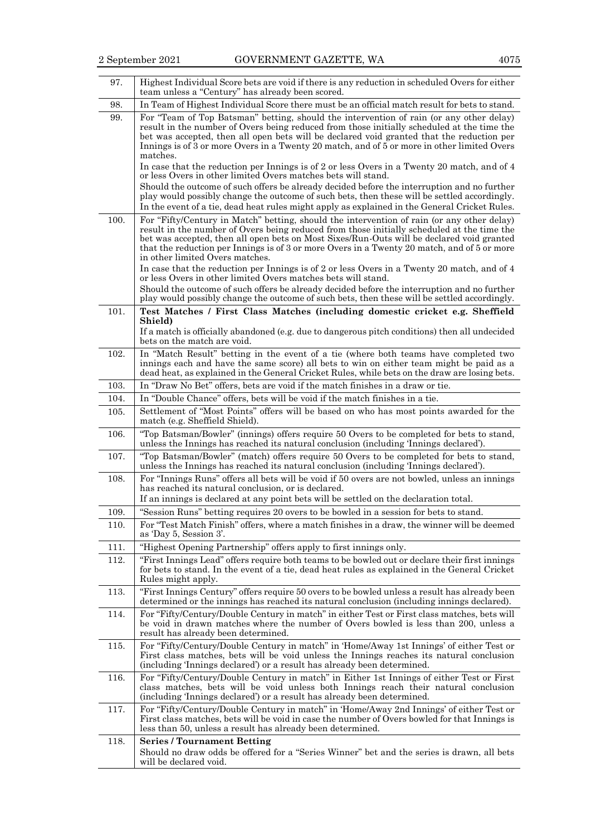| 97.  | Highest Individual Score bets are void if there is any reduction in scheduled Overs for either<br>team unless a "Century" has already been scored.                                                                                                                                                                                                                                                                      |
|------|-------------------------------------------------------------------------------------------------------------------------------------------------------------------------------------------------------------------------------------------------------------------------------------------------------------------------------------------------------------------------------------------------------------------------|
| 98.  | In Team of Highest Individual Score there must be an official match result for bets to stand.                                                                                                                                                                                                                                                                                                                           |
| 99.  | For "Team of Top Batsman" betting, should the intervention of rain (or any other delay)<br>result in the number of Overs being reduced from those initially scheduled at the time the<br>bet was accepted, then all open bets will be declared void granted that the reduction per<br>Innings is of 3 or more Overs in a Twenty 20 match, and of 5 or more in other limited Overs<br>matches.                           |
|      | In case that the reduction per Innings is of 2 or less Overs in a Twenty 20 match, and of 4<br>or less Overs in other limited Overs matches bets will stand.                                                                                                                                                                                                                                                            |
|      | Should the outcome of such offers be already decided before the interruption and no further<br>play would possibly change the outcome of such bets, then these will be settled accordingly.<br>In the event of a tie, dead heat rules might apply as explained in the General Cricket Rules.                                                                                                                            |
| 100. | For "Fifty/Century in Match" betting, should the intervention of rain (or any other delay)<br>result in the number of Overs being reduced from those initially scheduled at the time the<br>bet was accepted, then all open bets on Most Sixes/Run-Outs will be declared void granted<br>that the reduction per Innings is of 3 or more Overs in a Twenty 20 match, and of 5 or more<br>in other limited Overs matches. |
|      | In case that the reduction per Innings is of 2 or less Overs in a Twenty 20 match, and of 4<br>or less Overs in other limited Overs matches bets will stand.                                                                                                                                                                                                                                                            |
| 101. | Should the outcome of such offers be already decided before the interruption and no further<br>play would possibly change the outcome of such bets, then these will be settled accordingly.<br>Test Matches / First Class Matches (including domestic cricket e.g. Sheffield                                                                                                                                            |
|      | Shield)                                                                                                                                                                                                                                                                                                                                                                                                                 |
|      | If a match is officially abandoned (e.g. due to dangerous pitch conditions) then all undecided<br>bets on the match are void.                                                                                                                                                                                                                                                                                           |
| 102. | In "Match Result" betting in the event of a tie (where both teams have completed two<br>innings each and have the same score) all bets to win on either team might be paid as a<br>dead heat, as explained in the General Cricket Rules, while bets on the draw are losing bets.                                                                                                                                        |
| 103. | In "Draw No Bet" offers, bets are void if the match finishes in a draw or tie.                                                                                                                                                                                                                                                                                                                                          |
| 104. | In "Double Chance" offers, bets will be void if the match finishes in a tie.                                                                                                                                                                                                                                                                                                                                            |
| 105. | Settlement of "Most Points" offers will be based on who has most points awarded for the<br>match (e.g. Sheffield Shield).                                                                                                                                                                                                                                                                                               |
| 106. | "Top Batsman/Bowler" (innings) offers require 50 Overs to be completed for bets to stand,<br>unless the Innings has reached its natural conclusion (including 'Innings declared').                                                                                                                                                                                                                                      |
| 107. | "Top Batsman/Bowler" (match) offers require 50 Overs to be completed for bets to stand,<br>unless the Innings has reached its natural conclusion (including 'Innings declared').                                                                                                                                                                                                                                        |
| 108. | For "Innings Runs" offers all bets will be void if 50 overs are not bowled, unless an innings<br>has reached its natural conclusion, or is declared.<br>If an innings is declared at any point bets will be settled on the declaration total.                                                                                                                                                                           |
| 109. | "Session Runs" betting requires 20 overs to be bowled in a session for bets to stand.                                                                                                                                                                                                                                                                                                                                   |
| 110. | For "Test Match Finish" offers, where a match finishes in a draw, the winner will be deemed<br>as 'Day 5, Session 3'.                                                                                                                                                                                                                                                                                                   |
| 111. | "Highest Opening Partnership" offers apply to first innings only.                                                                                                                                                                                                                                                                                                                                                       |
| 112. | "First Innings Lead" offers require both teams to be bowled out or declare their first innings<br>for bets to stand. In the event of a tie, dead heat rules as explained in the General Cricket<br>Rules might apply.                                                                                                                                                                                                   |
| 113. | "First Innings Century" offers require 50 overs to be bowled unless a result has already been<br>determined or the innings has reached its natural conclusion (including innings declared).                                                                                                                                                                                                                             |
| 114. | For "Fifty/Century/Double Century in match" in either Test or First class matches, bets will<br>be void in drawn matches where the number of Overs bowled is less than 200, unless a<br>result has already been determined.                                                                                                                                                                                             |
| 115. | For "Fifty/Century/Double Century in match" in 'Home/Away 1st Innings' of either Test or<br>First class matches, bets will be void unless the Innings reaches its natural conclusion<br>(including 'Innings declared') or a result has already been determined.                                                                                                                                                         |
| 116. | For "Fifty/Century/Double Century in match" in Either 1st Innings of either Test or First<br>class matches, bets will be void unless both Innings reach their natural conclusion<br>(including 'Innings declared') or a result has already been determined.                                                                                                                                                             |
| 117. | For "Fifty/Century/Double Century in match" in 'Home/Away 2nd Innings' of either Test or<br>First class matches, bets will be void in case the number of Overs bowled for that Innings is<br>less than 50, unless a result has already been determined.                                                                                                                                                                 |
| 118. | <b>Series/Tournament Betting</b><br>Should no draw odds be offered for a "Series Winner" bet and the series is drawn, all bets<br>will be declared void.                                                                                                                                                                                                                                                                |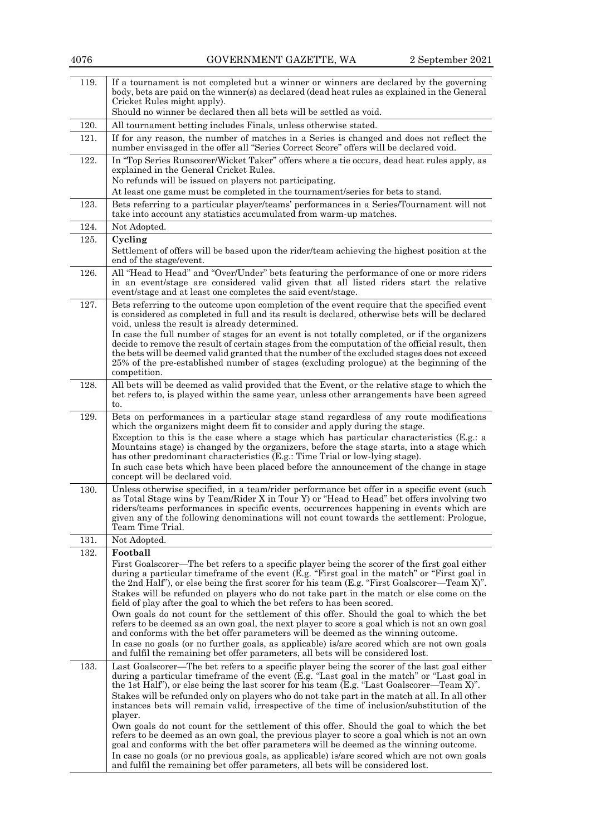|      | $\sigma$ , $\sigma$ , $\sigma$ , $\sigma$ , $\sigma$ , $\sigma$ , $\sigma$ , $\sigma$ , $\sigma$ , $\sigma$ , $\sigma$ , $\sigma$ , $\sigma$ , $\sigma$ , $\sigma$ , $\sigma$ , $\sigma$ , $\sigma$ , $\sigma$ , $\sigma$ , $\sigma$ , $\sigma$ , $\sigma$ , $\sigma$ , $\sigma$ , $\sigma$ , $\sigma$ , $\sigma$ , $\sigma$ , $\sigma$ , $\sigma$ , $\sigma$ , $\sigma$ , $\sigma$ , $\sigma$ , $\sigma$ , $\sigma$ ,<br>$\mu$ Dependent $\mu$                                                                                                                                                                                                                                                                                                                                             |
|------|---------------------------------------------------------------------------------------------------------------------------------------------------------------------------------------------------------------------------------------------------------------------------------------------------------------------------------------------------------------------------------------------------------------------------------------------------------------------------------------------------------------------------------------------------------------------------------------------------------------------------------------------------------------------------------------------------------------------------------------------------------------------------------------------|
| 119. | If a tournament is not completed but a winner or winners are declared by the governing<br>body, bets are paid on the winner(s) as declared (dead heat rules as explained in the General<br>Cricket Rules might apply).                                                                                                                                                                                                                                                                                                                                                                                                                                                                                                                                                                      |
|      | Should no winner be declared then all bets will be settled as void.                                                                                                                                                                                                                                                                                                                                                                                                                                                                                                                                                                                                                                                                                                                         |
| 120. | All tournament betting includes Finals, unless otherwise stated.                                                                                                                                                                                                                                                                                                                                                                                                                                                                                                                                                                                                                                                                                                                            |
| 121. | If for any reason, the number of matches in a Series is changed and does not reflect the<br>number envisaged in the offer all "Series Correct Score" offers will be declared void.                                                                                                                                                                                                                                                                                                                                                                                                                                                                                                                                                                                                          |
| 122. | In "Top Series Runscorer/Wicket Taker" offers where a tie occurs, dead heat rules apply, as<br>explained in the General Cricket Rules.                                                                                                                                                                                                                                                                                                                                                                                                                                                                                                                                                                                                                                                      |
|      | No refunds will be issued on players not participating.                                                                                                                                                                                                                                                                                                                                                                                                                                                                                                                                                                                                                                                                                                                                     |
|      | At least one game must be completed in the tournament/series for bets to stand.                                                                                                                                                                                                                                                                                                                                                                                                                                                                                                                                                                                                                                                                                                             |
| 123. | Bets referring to a particular player/teams' performances in a Series/Tournament will not<br>take into account any statistics accumulated from warm-up matches.                                                                                                                                                                                                                                                                                                                                                                                                                                                                                                                                                                                                                             |
| 124. | Not Adopted.                                                                                                                                                                                                                                                                                                                                                                                                                                                                                                                                                                                                                                                                                                                                                                                |
| 125. | Cycling<br>Settlement of offers will be based upon the rider/team achieving the highest position at the<br>end of the stage/event.                                                                                                                                                                                                                                                                                                                                                                                                                                                                                                                                                                                                                                                          |
| 126. | All "Head to Head" and "Over/Under" bets featuring the performance of one or more riders<br>in an event/stage are considered valid given that all listed riders start the relative<br>event/stage and at least one completes the said event/stage.                                                                                                                                                                                                                                                                                                                                                                                                                                                                                                                                          |
| 127. | Bets referring to the outcome upon completion of the event require that the specified event<br>is considered as completed in full and its result is declared, otherwise bets will be declared<br>void, unless the result is already determined.                                                                                                                                                                                                                                                                                                                                                                                                                                                                                                                                             |
|      | In case the full number of stages for an event is not totally completed, or if the organizers<br>decide to remove the result of certain stages from the computation of the official result, then<br>the bets will be deemed valid granted that the number of the excluded stages does not exceed<br>25% of the pre-established number of stages (excluding prologue) at the beginning of the<br>competition.                                                                                                                                                                                                                                                                                                                                                                                |
| 128. | All bets will be deemed as valid provided that the Event, or the relative stage to which the<br>bet refers to, is played within the same year, unless other arrangements have been agreed<br>to.                                                                                                                                                                                                                                                                                                                                                                                                                                                                                                                                                                                            |
| 129. | Bets on performances in a particular stage stand regardless of any route modifications<br>which the organizers might deem fit to consider and apply during the stage.<br>Exception to this is the case where a stage which has particular characteristics (E.g.: a<br>Mountains stage) is changed by the organizers, before the stage starts, into a stage which<br>has other predominant characteristics (E.g.: Time Trial or low-lying stage).                                                                                                                                                                                                                                                                                                                                            |
|      | In such case bets which have been placed before the announcement of the change in stage<br>concept will be declared void.                                                                                                                                                                                                                                                                                                                                                                                                                                                                                                                                                                                                                                                                   |
| 130. | Unless otherwise specified, in a team/rider performance bet offer in a specific event (such<br>as Total Stage wins by Team/Rider X in Tour Y) or "Head to Head" bet offers involving two<br>riders/teams performances in specific events, occurrences happening in events which are<br>given any of the following denominations will not count towards the settlement: Prologue,<br>Team Time Trial.                                                                                                                                                                                                                                                                                                                                                                                        |
| 131. | Not Adopted.                                                                                                                                                                                                                                                                                                                                                                                                                                                                                                                                                                                                                                                                                                                                                                                |
| 132. | Football<br>First Goalscorer—The bet refers to a specific player being the scorer of the first goal either<br>during a particular timeframe of the event (E.g. "First goal in the match" or "First goal in<br>the 2nd Half"), or else being the first scorer for his team (E.g. "First Goalscorer—Team X)".<br>Stakes will be refunded on players who do not take part in the match or else come on the<br>field of play after the goal to which the bet refers to has been scored.<br>Own goals do not count for the settlement of this offer. Should the goal to which the bet                                                                                                                                                                                                            |
|      | refers to be deemed as an own goal, the next player to score a goal which is not an own goal<br>and conforms with the bet offer parameters will be deemed as the winning outcome.<br>In case no goals (or no further goals, as applicable) is/are scored which are not own goals<br>and fulfil the remaining bet offer parameters, all bets will be considered lost.                                                                                                                                                                                                                                                                                                                                                                                                                        |
| 133. | Last Goalscorer—The bet refers to a specific player being the scorer of the last goal either<br>during a particular timeframe of the event (E.g. "Last goal in the match" or "Last goal in<br>the 1st Half"), or else being the last scorer for his team (E.g. "Last Goalscorer—Team X)".<br>Stakes will be refunded only on players who do not take part in the match at all. In all other<br>instances bets will remain valid, irrespective of the time of inclusion/substitution of the<br>player.<br>Own goals do not count for the settlement of this offer. Should the goal to which the bet<br>refers to be deemed as an own goal, the previous player to score a goal which is not an own<br>goal and conforms with the bet offer parameters will be deemed as the winning outcome. |
|      | In case no goals (or no previous goals, as applicable) is/are scored which are not own goals<br>and fulfil the remaining bet offer parameters, all bets will be considered lost.                                                                                                                                                                                                                                                                                                                                                                                                                                                                                                                                                                                                            |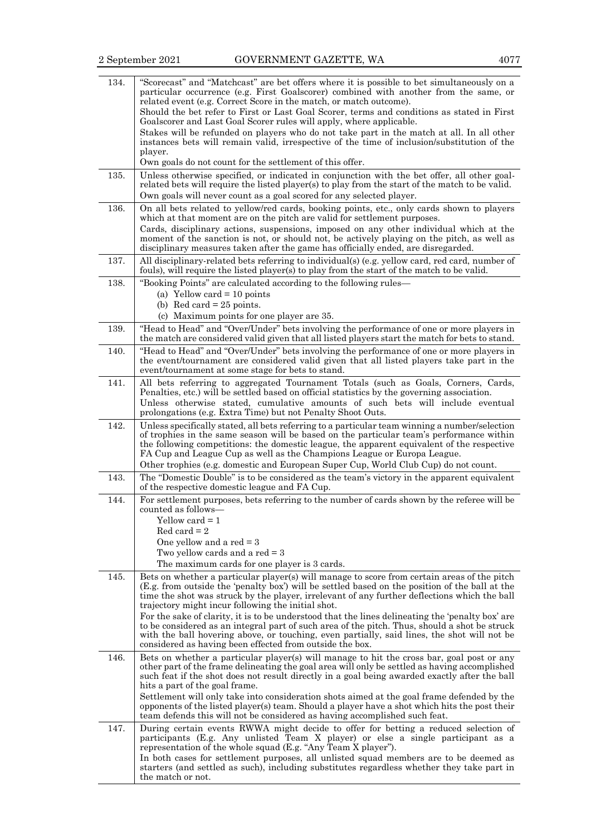| 134. | "Scorecast" and "Matchcast" are bet offers where it is possible to bet simultaneously on a<br>particular occurrence (e.g. First Goalscorer) combined with another from the same, or<br>related event (e.g. Correct Score in the match, or match outcome).                                                                                                                                                                                            |
|------|------------------------------------------------------------------------------------------------------------------------------------------------------------------------------------------------------------------------------------------------------------------------------------------------------------------------------------------------------------------------------------------------------------------------------------------------------|
|      | Should the bet refer to First or Last Goal Scorer, terms and conditions as stated in First<br>Goalscorer and Last Goal Scorer rules will apply, where applicable.                                                                                                                                                                                                                                                                                    |
|      | Stakes will be refunded on players who do not take part in the match at all. In all other<br>instances bets will remain valid, irrespective of the time of inclusion/substitution of the                                                                                                                                                                                                                                                             |
|      | player.<br>Own goals do not count for the settlement of this offer.                                                                                                                                                                                                                                                                                                                                                                                  |
| 135. | Unless otherwise specified, or indicated in conjunction with the bet offer, all other goal-<br>related bets will require the listed player(s) to play from the start of the match to be valid.<br>Own goals will never count as a goal scored for any selected player.                                                                                                                                                                               |
| 136. | On all bets related to yellow/red cards, booking points, etc., only cards shown to players<br>which at that moment are on the pitch are valid for settlement purposes.                                                                                                                                                                                                                                                                               |
|      | Cards, disciplinary actions, suspensions, imposed on any other individual which at the<br>moment of the sanction is not, or should not, be actively playing on the pitch, as well as<br>disciplinary measures taken after the game has officially ended, are disregarded.                                                                                                                                                                            |
| 137. | All disciplinary-related bets referring to individual(s) (e.g. yellow card, red card, number of<br>fouls), will require the listed player(s) to play from the start of the match to be valid.                                                                                                                                                                                                                                                        |
| 138. | "Booking Points" are calculated according to the following rules—<br>(a) Yellow card $= 10$ points                                                                                                                                                                                                                                                                                                                                                   |
|      | (b) Red card $= 25$ points.                                                                                                                                                                                                                                                                                                                                                                                                                          |
| 139. | (c) Maximum points for one player are 35.<br>"Head to Head" and "Over/Under" bets involving the performance of one or more players in                                                                                                                                                                                                                                                                                                                |
|      | the match are considered valid given that all listed players start the match for bets to stand.                                                                                                                                                                                                                                                                                                                                                      |
| 140. | "Head to Head" and "Over/Under" bets involving the performance of one or more players in<br>the event/tournament are considered valid given that all listed players take part in the<br>event/tournament at some stage for bets to stand.                                                                                                                                                                                                            |
| 141. | All bets referring to aggregated Tournament Totals (such as Goals, Corners, Cards,<br>Penalties, etc.) will be settled based on official statistics by the governing association.<br>Unless otherwise stated, cumulative amounts of such bets will include eventual<br>prolongations (e.g. Extra Time) but not Penalty Shoot Outs.                                                                                                                   |
| 142. | Unless specifically stated, all bets referring to a particular team winning a number/selection<br>of trophies in the same season will be based on the particular team's performance within<br>the following competitions: the domestic league, the apparent equivalent of the respective<br>FA Cup and League Cup as well as the Champions League or Europa League.                                                                                  |
| 143. | Other trophies (e.g. domestic and European Super Cup, World Club Cup) do not count.<br>The "Domestic Double" is to be considered as the team's victory in the apparent equivalent                                                                                                                                                                                                                                                                    |
| 144. | of the respective domestic league and FA Cup.<br>For settlement purposes, bets referring to the number of cards shown by the referee will be                                                                                                                                                                                                                                                                                                         |
|      | counted as follows-<br>Yellow card = 1<br>$Red \, card = 2$<br>One yellow and a red $=$ 3<br>Two yellow cards and a red $=$ 3<br>The maximum cards for one player is 3 cards.                                                                                                                                                                                                                                                                        |
| 145. | Bets on whether a particular player(s) will manage to score from certain areas of the pitch<br>(E.g. from outside the 'penalty box') will be settled based on the position of the ball at the                                                                                                                                                                                                                                                        |
|      | time the shot was struck by the player, irrelevant of any further deflections which the ball<br>trajectory might incur following the initial shot.                                                                                                                                                                                                                                                                                                   |
|      | For the sake of clarity, it is to be understood that the lines delineating the 'penalty box' are<br>to be considered as an integral part of such area of the pitch. Thus, should a shot be struck<br>with the ball hovering above, or touching, even partially, said lines, the shot will not be<br>considered as having been effected from outside the box.                                                                                         |
| 146. | Bets on whether a particular player(s) will manage to hit the cross bar, goal post or any<br>other part of the frame delineating the goal area will only be settled as having accomplished<br>such feat if the shot does not result directly in a goal being awarded exactly after the ball<br>hits a part of the goal frame.                                                                                                                        |
|      | Settlement will only take into consideration shots aimed at the goal frame defended by the<br>opponents of the listed player(s) team. Should a player have a shot which hits the post their<br>team defends this will not be considered as having accomplished such feat.                                                                                                                                                                            |
| 147. | During certain events RWWA might decide to offer for betting a reduced selection of<br>participants (E.g. Any unlisted Team X player) or else a single participant as a<br>representation of the whole squad (E.g. "Any Team X player").<br>In both cases for settlement purposes, all unlisted squad members are to be deemed as<br>starters (and settled as such), including substitutes regardless whether they take part in<br>the match or not. |
|      |                                                                                                                                                                                                                                                                                                                                                                                                                                                      |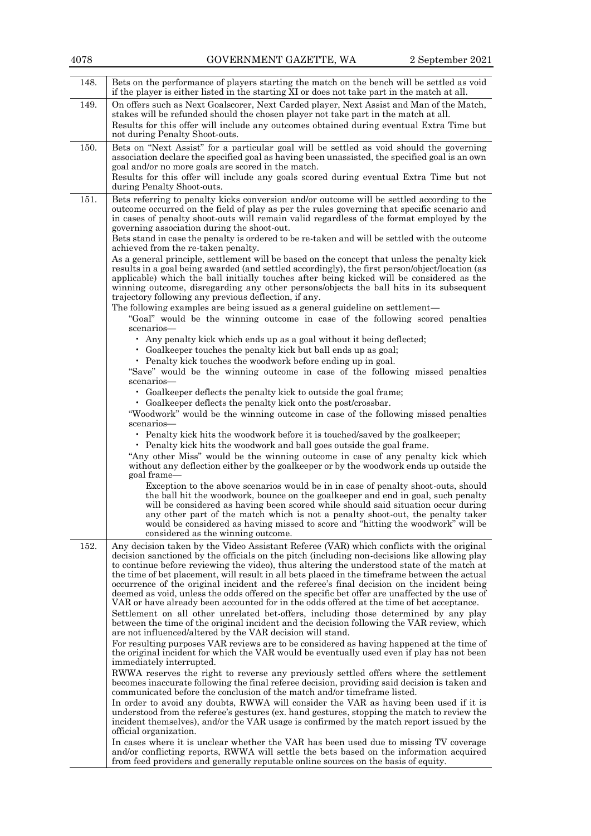| 4078 | GOVERNMENT GAZETTE, WA                                                                                                                                                                                                                                                                                                                                                                                                                                                                                                                                                                                                                                                                                                                                                                                                                                                                                                                                                                                                                                                                                                                                                                                                                                                                                                                                                                                                                                                                                                                                                                                                                                                                                                                                                                                                                                                                                                                                                                                                                                              | 2 September 2021 |
|------|---------------------------------------------------------------------------------------------------------------------------------------------------------------------------------------------------------------------------------------------------------------------------------------------------------------------------------------------------------------------------------------------------------------------------------------------------------------------------------------------------------------------------------------------------------------------------------------------------------------------------------------------------------------------------------------------------------------------------------------------------------------------------------------------------------------------------------------------------------------------------------------------------------------------------------------------------------------------------------------------------------------------------------------------------------------------------------------------------------------------------------------------------------------------------------------------------------------------------------------------------------------------------------------------------------------------------------------------------------------------------------------------------------------------------------------------------------------------------------------------------------------------------------------------------------------------------------------------------------------------------------------------------------------------------------------------------------------------------------------------------------------------------------------------------------------------------------------------------------------------------------------------------------------------------------------------------------------------------------------------------------------------------------------------------------------------|------------------|
| 148. | Bets on the performance of players starting the match on the bench will be settled as void<br>if the player is either listed in the starting XI or does not take part in the match at all.                                                                                                                                                                                                                                                                                                                                                                                                                                                                                                                                                                                                                                                                                                                                                                                                                                                                                                                                                                                                                                                                                                                                                                                                                                                                                                                                                                                                                                                                                                                                                                                                                                                                                                                                                                                                                                                                          |                  |
| 149. | On offers such as Next Goalscorer, Next Carded player, Next Assist and Man of the Match,<br>stakes will be refunded should the chosen player not take part in the match at all.<br>Results for this offer will include any outcomes obtained during eventual Extra Time but<br>not during Penalty Shoot-outs.                                                                                                                                                                                                                                                                                                                                                                                                                                                                                                                                                                                                                                                                                                                                                                                                                                                                                                                                                                                                                                                                                                                                                                                                                                                                                                                                                                                                                                                                                                                                                                                                                                                                                                                                                       |                  |
| 150. | Bets on "Next Assist" for a particular goal will be settled as void should the governing<br>association declare the specified goal as having been unassisted, the specified goal is an own<br>goal and/or no more goals are scored in the match.<br>Results for this offer will include any goals scored during eventual Extra Time but not<br>during Penalty Shoot-outs.                                                                                                                                                                                                                                                                                                                                                                                                                                                                                                                                                                                                                                                                                                                                                                                                                                                                                                                                                                                                                                                                                                                                                                                                                                                                                                                                                                                                                                                                                                                                                                                                                                                                                           |                  |
| 151. | Bets referring to penalty kicks conversion and/or outcome will be settled according to the<br>outcome occurred on the field of play as per the rules governing that specific scenario and<br>in cases of penalty shoot-outs will remain valid regardless of the format employed by the<br>governing association during the shoot-out.<br>Bets stand in case the penalty is ordered to be re-taken and will be settled with the outcome                                                                                                                                                                                                                                                                                                                                                                                                                                                                                                                                                                                                                                                                                                                                                                                                                                                                                                                                                                                                                                                                                                                                                                                                                                                                                                                                                                                                                                                                                                                                                                                                                              |                  |
|      | achieved from the re-taken penalty.<br>As a general principle, settlement will be based on the concept that unless the penalty kick<br>results in a goal being awarded (and settled accordingly), the first person/object/location (as<br>applicable) which the ball initially touches after being kicked will be considered as the<br>winning outcome, disregarding any other persons/objects the ball hits in its subsequent<br>trajectory following any previous deflection, if any.<br>The following examples are being issued as a general guideline on settlement—<br>"Goal" would be the winning outcome in case of the following scored penalties<br>scenarios-<br>• Any penalty kick which ends up as a goal without it being deflected;<br>• Goalkeeper touches the penalty kick but ball ends up as goal;<br>• Penalty kick touches the woodwork before ending up in goal.<br>"Save" would be the winning outcome in case of the following missed penalties<br>scenarios-<br>• Goalkeeper deflects the penalty kick to outside the goal frame;<br>• Goalkeeper deflects the penalty kick onto the post/crossbar.<br>"Woodwork" would be the winning outcome in case of the following missed penalties<br>scenarios-<br>• Penalty kick hits the woodwork before it is touched/saved by the goalkeeper;<br>• Penalty kick hits the woodwork and ball goes outside the goal frame.<br>"Any other Miss" would be the winning outcome in case of any penalty kick which<br>without any deflection either by the goalkeeper or by the woodwork ends up outside the<br>goal frame-<br>Exception to the above scenarios would be in in case of penalty shoot-outs, should<br>the ball hit the woodwork, bounce on the goalkeeper and end in goal, such penalty<br>will be considered as having been scored while should said situation occur during<br>any other part of the match which is not a penalty shoot-out, the penalty taker<br>would be considered as having missed to score and "hitting the woodwork" will be<br>considered as the winning outcome. |                  |
| 152. | Any decision taken by the Video Assistant Referee (VAR) which conflicts with the original<br>decision sanctioned by the officials on the pitch (including non-decisions like allowing play<br>to continue before reviewing the video), thus altering the understood state of the match at<br>the time of bet placement, will result in all bets placed in the timeframe between the actual<br>occurrence of the original incident and the referee's final decision on the incident being<br>deemed as void, unless the odds offered on the specific bet offer are unaffected by the use of<br>VAR or have already been accounted for in the odds offered at the time of bet acceptance.<br>Settlement on all other unrelated bet-offers, including those determined by any play<br>between the time of the original incident and the decision following the VAR review, which<br>are not influenced/altered by the VAR decision will stand.<br>For resulting purposes VAR reviews are to be considered as having happened at the time of<br>the original incident for which the VAR would be eventually used even if play has not been<br>immediately interrupted.<br>RWWA reserves the right to reverse any previously settled offers where the settlement<br>becomes inaccurate following the final referee decision, providing said decision is taken and<br>communicated before the conclusion of the match and/or time frame listed.<br>In order to avoid any doubts, RWWA will consider the VAR as having been used if it is<br>understood from the referee's gestures (ex. hand gestures, stopping the match to review the<br>incident themselves), and/or the VAR usage is confirmed by the match report issued by the<br>official organization.<br>In cases where it is unclear whether the VAR has been used due to missing TV coverage<br>and/or conflicting reports, RWWA will settle the bets based on the information acquired                                                                                                                        |                  |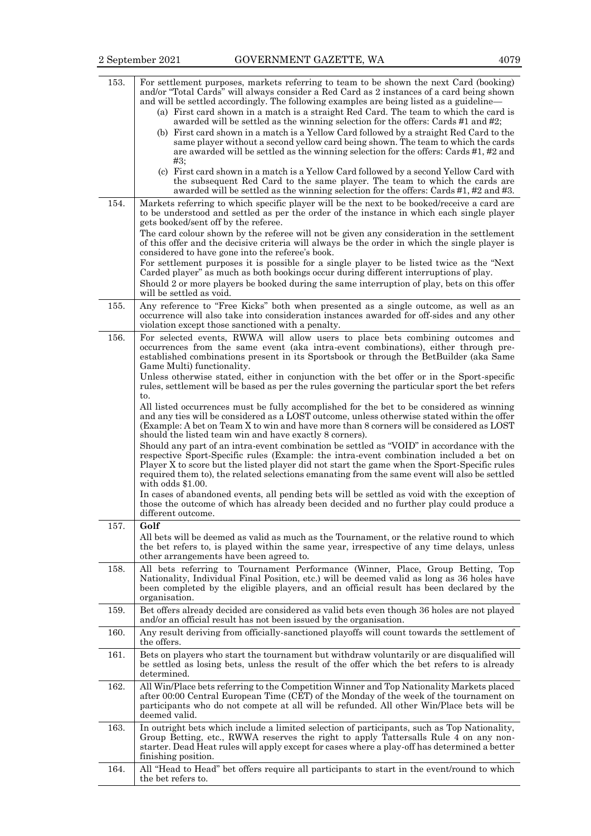| 153. | For settlement purposes, markets referring to team to be shown the next Card (booking)<br>and/or "Total Cards" will always consider a Red Card as 2 instances of a card being shown<br>and will be settled accordingly. The following examples are being listed as a guideline—<br>(a) First card shown in a match is a straight Red Card. The team to which the card is<br>awarded will be settled as the winning selection for the offers: Cards #1 and #2;<br>(b) First card shown in a match is a Yellow Card followed by a straight Red Card to the<br>same player without a second yellow card being shown. The team to which the cards<br>are awarded will be settled as the winning selection for the offers: Cards #1, #2 and<br>#3:<br>(c) First card shown in a match is a Yellow Card followed by a second Yellow Card with<br>the subsequent Red Card to the same player. The team to which the cards are                                                          |
|------|---------------------------------------------------------------------------------------------------------------------------------------------------------------------------------------------------------------------------------------------------------------------------------------------------------------------------------------------------------------------------------------------------------------------------------------------------------------------------------------------------------------------------------------------------------------------------------------------------------------------------------------------------------------------------------------------------------------------------------------------------------------------------------------------------------------------------------------------------------------------------------------------------------------------------------------------------------------------------------|
| 154. | awarded will be settled as the winning selection for the offers: Cards #1, #2 and #3.<br>Markets referring to which specific player will be the next to be booked/receive a card are                                                                                                                                                                                                                                                                                                                                                                                                                                                                                                                                                                                                                                                                                                                                                                                            |
|      | to be understood and settled as per the order of the instance in which each single player<br>gets booked/sent off by the referee.<br>The card colour shown by the referee will not be given any consideration in the settlement<br>of this offer and the decisive criteria will always be the order in which the single player is<br>considered to have gone into the referee's book.                                                                                                                                                                                                                                                                                                                                                                                                                                                                                                                                                                                           |
|      | For settlement purposes it is possible for a single player to be listed twice as the "Next"<br>Carded player" as much as both bookings occur during different interruptions of play.<br>Should 2 or more players be booked during the same interruption of play, bets on this offer<br>will be settled as void.                                                                                                                                                                                                                                                                                                                                                                                                                                                                                                                                                                                                                                                                 |
| 155. | Any reference to "Free Kicks" both when presented as a single outcome, as well as an<br>occurrence will also take into consideration instances awarded for off-sides and any other<br>violation except those sanctioned with a penalty.                                                                                                                                                                                                                                                                                                                                                                                                                                                                                                                                                                                                                                                                                                                                         |
| 156. | For selected events, RWWA will allow users to place bets combining outcomes and<br>occurrences from the same event (aka intra-event combinations), either through pre-<br>established combinations present in its Sportsbook or through the BetBuilder (aka Same<br>Game Multi) functionality.                                                                                                                                                                                                                                                                                                                                                                                                                                                                                                                                                                                                                                                                                  |
|      | Unless otherwise stated, either in conjunction with the bet offer or in the Sport-specific<br>rules, settlement will be based as per the rules governing the particular sport the bet refers<br>to.                                                                                                                                                                                                                                                                                                                                                                                                                                                                                                                                                                                                                                                                                                                                                                             |
|      | All listed occurrences must be fully accomplished for the bet to be considered as winning<br>and any ties will be considered as a LOST outcome, unless otherwise stated within the offer<br>(Example: A bet on Team X to win and have more than 8 corners will be considered as LOST<br>should the listed team win and have exactly 8 corners).<br>Should any part of an intra-event combination be settled as "VOID" in accordance with the<br>respective Sport-Specific rules (Example: the intra-event combination included a bet on<br>Player X to score but the listed player did not start the game when the Sport-Specific rules<br>required them to), the related selections emanating from the same event will also be settled<br>with odds $$1.00$ .<br>In cases of abandoned events, all pending bets will be settled as void with the exception of<br>those the outcome of which has already been decided and no further play could produce a<br>different outcome. |
| 157. | Golf<br>All bets will be deemed as valid as much as the Tournament, or the relative round to which<br>the bet refers to, is played within the same year, irrespective of any time delays, unless<br>other arrangements have been agreed to.                                                                                                                                                                                                                                                                                                                                                                                                                                                                                                                                                                                                                                                                                                                                     |
| 158. | All bets referring to Tournament Performance (Winner, Place, Group Betting, Top<br>Nationality, Individual Final Position, etc.) will be deemed valid as long as 36 holes have<br>been completed by the eligible players, and an official result has been declared by the<br>organisation.                                                                                                                                                                                                                                                                                                                                                                                                                                                                                                                                                                                                                                                                                      |
| 159. | Bet offers already decided are considered as valid bets even though 36 holes are not played<br>and/or an official result has not been issued by the organisation.                                                                                                                                                                                                                                                                                                                                                                                                                                                                                                                                                                                                                                                                                                                                                                                                               |
| 160. | Any result deriving from officially-sanctioned playoffs will count towards the settlement of<br>the offers.                                                                                                                                                                                                                                                                                                                                                                                                                                                                                                                                                                                                                                                                                                                                                                                                                                                                     |
| 161. | Bets on players who start the tournament but withdraw voluntarily or are disqualified will<br>be settled as losing bets, unless the result of the offer which the bet refers to is already<br>determined.                                                                                                                                                                                                                                                                                                                                                                                                                                                                                                                                                                                                                                                                                                                                                                       |
| 162. | All Win/Place bets referring to the Competition Winner and Top Nationality Markets placed<br>after 00:00 Central European Time (CET) of the Monday of the week of the tournament on<br>participants who do not compete at all will be refunded. All other Win/Place bets will be<br>deemed valid.                                                                                                                                                                                                                                                                                                                                                                                                                                                                                                                                                                                                                                                                               |
| 163. | In outright bets which include a limited selection of participants, such as Top Nationality,<br>Group Betting, etc., RWWA reserves the right to apply Tattersalls Rule 4 on any non-<br>starter. Dead Heat rules will apply except for cases where a play-off has determined a better<br>finishing position.                                                                                                                                                                                                                                                                                                                                                                                                                                                                                                                                                                                                                                                                    |
| 164. | All "Head to Head" bet offers require all participants to start in the event/round to which<br>the bet refers to.                                                                                                                                                                                                                                                                                                                                                                                                                                                                                                                                                                                                                                                                                                                                                                                                                                                               |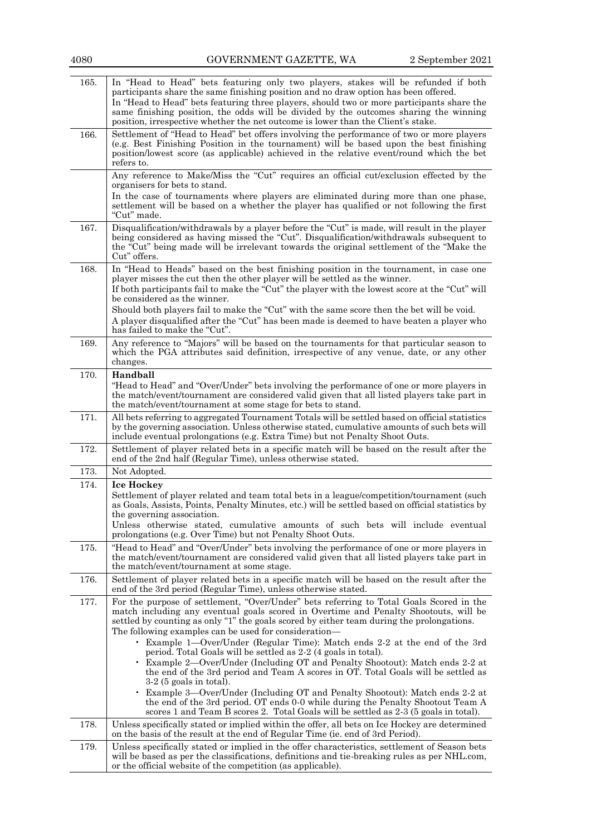| 4080 | GOVERNMENT GAZETTE, WA                                                                                                                                                                                                                                                                                                                                                                                                                              | 2 September 2021 |
|------|-----------------------------------------------------------------------------------------------------------------------------------------------------------------------------------------------------------------------------------------------------------------------------------------------------------------------------------------------------------------------------------------------------------------------------------------------------|------------------|
| 165. | In "Head to Head" bets featuring only two players, stakes will be refunded if both<br>participants share the same finishing position and no draw option has been offered.<br>In "Head to Head" bets featuring three players, should two or more participants share the<br>same finishing position, the odds will be divided by the outcomes sharing the winning<br>position, irrespective whether the net outcome is lower than the Client's stake. |                  |
| 166. | Settlement of "Head to Head" bet offers involving the performance of two or more players<br>(e.g. Best Finishing Position in the tournament) will be based upon the best finishing<br>position/lowest score (as applicable) achieved in the relative event/round which the bet<br>refers to.                                                                                                                                                        |                  |
|      | Any reference to Make/Miss the "Cut" requires an official cut/exclusion effected by the<br>organisers for bets to stand.<br>In the case of tournaments where players are eliminated during more than one phase,                                                                                                                                                                                                                                     |                  |
|      | settlement will be based on a whether the player has qualified or not following the first<br>"Cut" made.                                                                                                                                                                                                                                                                                                                                            |                  |
| 167. | Disqualification/withdrawals by a player before the "Cut" is made, will result in the player<br>being considered as having missed the "Cut". Disqualification/withdrawals subsequent to<br>the "Cut" being made will be irrelevant towards the original settlement of the "Make the<br>Cut" offers.                                                                                                                                                 |                  |
| 168. | In "Head to Heads" based on the best finishing position in the tournament, in case one<br>player misses the cut then the other player will be settled as the winner.                                                                                                                                                                                                                                                                                |                  |
|      | If both participants fail to make the "Cut" the player with the lowest score at the "Cut" will<br>be considered as the winner.<br>Should both players fail to make the "Cut" with the same score then the bet will be void.<br>A player disqualified after the "Cut" has been made is deemed to have beaten a player who<br>has failed to make the "Cut".                                                                                           |                  |
| 169. | Any reference to "Majors" will be based on the tournaments for that particular season to<br>which the PGA attributes said definition, irrespective of any venue, date, or any other<br>changes.                                                                                                                                                                                                                                                     |                  |
| 170. | Handball<br>"Head to Head" and "Over/Under" bets involving the performance of one or more players in<br>the match/event/tournament are considered valid given that all listed players take part in<br>the match/event/tournament at some stage for bets to stand.                                                                                                                                                                                   |                  |
| 171. | All bets referring to aggregated Tournament Totals will be settled based on official statistics<br>by the governing association. Unless otherwise stated, cumulative amounts of such bets will<br>include eventual prolongations (e.g. Extra Time) but not Penalty Shoot Outs.                                                                                                                                                                      |                  |
| 172. | Settlement of player related bets in a specific match will be based on the result after the<br>end of the 2nd half (Regular Time), unless otherwise stated.                                                                                                                                                                                                                                                                                         |                  |
| 173. | Not Adopted.                                                                                                                                                                                                                                                                                                                                                                                                                                        |                  |
| 174. | <b>Ice Hockey</b><br>Settlement of player related and team total bets in a league/competition/tournament (such<br>as Goals, Assists, Points, Penalty Minutes, etc.) will be settled based on official statistics by<br>the governing association.<br>Unless otherwise stated, cumulative amounts of such bets will include eventual<br>prolongations (e.g. Over Time) but not Penalty Shoot Outs.                                                   |                  |
| 175. | "Head to Head" and "Over/Under" bets involving the performance of one or more players in<br>the match/event/tournament are considered valid given that all listed players take part in<br>the match/event/tournament at some stage.                                                                                                                                                                                                                 |                  |
| 176. | Settlement of player related bets in a specific match will be based on the result after the<br>end of the 3rd period (Regular Time), unless otherwise stated.                                                                                                                                                                                                                                                                                       |                  |
| 177. | For the purpose of settlement, "Over/Under" bets referring to Total Goals Scored in the<br>match including any eventual goals scored in Overtime and Penalty Shootouts, will be<br>settled by counting as only "1" the goals scored by either team during the prolongations.                                                                                                                                                                        |                  |
|      | The following examples can be used for consideration—<br>• Example 1-Over/Under (Regular Time): Match ends 2-2 at the end of the 3rd<br>period. Total Goals will be settled as 2-2 (4 goals in total).                                                                                                                                                                                                                                              |                  |
|      | Example 2—Over/Under (Including OT and Penalty Shootout): Match ends 2-2 at<br>the end of the 3rd period and Team A scores in OT. Total Goals will be settled as<br>$3-2$ (5 goals in total).                                                                                                                                                                                                                                                       |                  |
|      | Example 3—Over/Under (Including OT and Penalty Shootout): Match ends 2-2 at<br>the end of the 3rd period. OT ends 0-0 while during the Penalty Shootout Team A<br>scores 1 and Team B scores 2. Total Goals will be settled as 2-3 (5 goals in total).                                                                                                                                                                                              |                  |
| 178. | Unless specifically stated or implied within the offer, all bets on Ice Hockey are determined<br>on the basis of the result at the end of Regular Time (ie. end of 3rd Period).                                                                                                                                                                                                                                                                     |                  |
| 179. | Unless specifically stated or implied in the offer characteristics, settlement of Season bets<br>will be based as per the classifications, definitions and tie-breaking rules as per NHL.com,<br>or the official website of the competition (as applicable).                                                                                                                                                                                        |                  |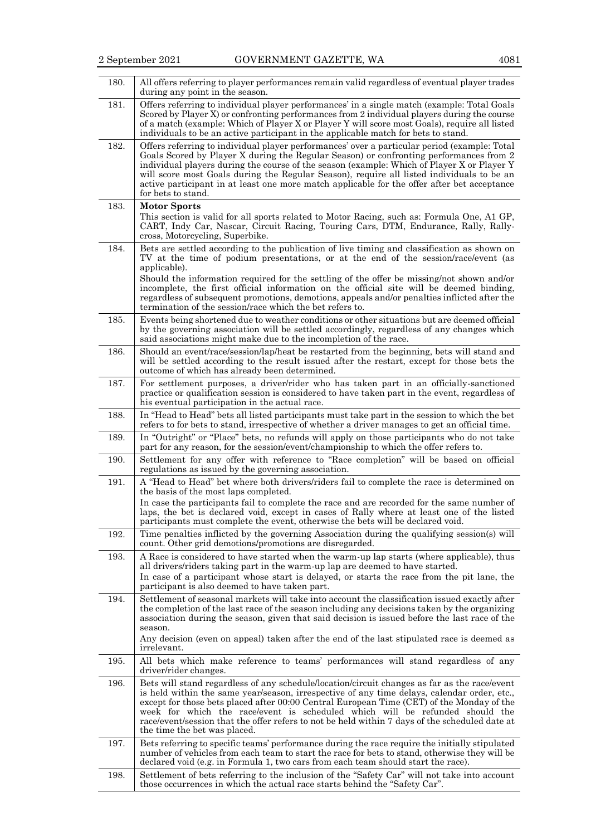| 180. | All offers referring to player performances remain valid regardless of eventual player trades<br>during any point in the season.                                                                                                                                                                                                                                                                                                                                                                           |
|------|------------------------------------------------------------------------------------------------------------------------------------------------------------------------------------------------------------------------------------------------------------------------------------------------------------------------------------------------------------------------------------------------------------------------------------------------------------------------------------------------------------|
| 181. | Offers referring to individual player performances' in a single match (example: Total Goals<br>Scored by Player X) or confronting performances from 2 individual players during the course<br>of a match (example: Which of Player X or Player Y will score most Goals), require all listed<br>individuals to be an active participant in the applicable match for bets to stand.                                                                                                                          |
| 182. | Offers referring to individual player performances' over a particular period (example: Total<br>Goals Scored by Player X during the Regular Season) or confronting performances from 2<br>individual players during the course of the season (example: Which of Player X or Player Y<br>will score most Goals during the Regular Season), require all listed individuals to be an<br>active participant in at least one more match applicable for the offer after bet acceptance<br>for bets to stand.     |
| 183. | <b>Motor Sports</b><br>This section is valid for all sports related to Motor Racing, such as: Formula One, A1 GP,<br>CART, Indy Car, Nascar, Circuit Racing, Touring Cars, DTM, Endurance, Rally, Rally-<br>cross, Motorcycling, Superbike.                                                                                                                                                                                                                                                                |
| 184. | Bets are settled according to the publication of live timing and classification as shown on<br>TV at the time of podium presentations, or at the end of the session/race/event (as<br>applicable).<br>Should the information required for the settling of the offer be missing/not shown and/or<br>incomplete, the first official information on the official site will be deemed binding,<br>regardless of subsequent promotions, demotions, appeals and/or penalties inflicted after the                 |
|      | termination of the session/race which the bet refers to.                                                                                                                                                                                                                                                                                                                                                                                                                                                   |
| 185. | Events being shortened due to weather conditions or other situations but are deemed official<br>by the governing association will be settled accordingly, regardless of any changes which<br>said associations might make due to the incompletion of the race.                                                                                                                                                                                                                                             |
| 186. | Should an event/race/session/lap/heat be restarted from the beginning, bets will stand and<br>will be settled according to the result issued after the restart, except for those bets the<br>outcome of which has already been determined.                                                                                                                                                                                                                                                                 |
| 187. | For settlement purposes, a driver/rider who has taken part in an officially-sanctioned<br>practice or qualification session is considered to have taken part in the event, regardless of<br>his eventual participation in the actual race.                                                                                                                                                                                                                                                                 |
| 188. | In "Head to Head" bets all listed participants must take part in the session to which the bet<br>refers to for bets to stand, irrespective of whether a driver manages to get an official time.                                                                                                                                                                                                                                                                                                            |
| 189. | In "Outright" or "Place" bets, no refunds will apply on those participants who do not take<br>part for any reason, for the session/event/championship to which the offer refers to.                                                                                                                                                                                                                                                                                                                        |
| 190. | Settlement for any offer with reference to "Race completion" will be based on official<br>regulations as issued by the governing association.                                                                                                                                                                                                                                                                                                                                                              |
| 191. | A "Head to Head" bet where both drivers/riders fail to complete the race is determined on<br>the basis of the most laps completed.                                                                                                                                                                                                                                                                                                                                                                         |
|      | In case the participants fail to complete the race and are recorded for the same number of<br>laps, the bet is declared void, except in cases of Rally where at least one of the listed<br>participants must complete the event, otherwise the bets will be declared void.                                                                                                                                                                                                                                 |
| 192. | Time penalties inflicted by the governing Association during the qualifying session(s) will<br>count. Other grid demotions/promotions are disregarded.                                                                                                                                                                                                                                                                                                                                                     |
| 193. | A Race is considered to have started when the warm-up lap starts (where applicable), thus<br>all drivers/riders taking part in the warm-up lap are deemed to have started.<br>In case of a participant whose start is delayed, or starts the race from the pit lane, the<br>participant is also deemed to have taken part.                                                                                                                                                                                 |
| 194. | Settlement of seasonal markets will take into account the classification issued exactly after<br>the completion of the last race of the season including any decisions taken by the organizing<br>association during the season, given that said decision is issued before the last race of the<br>season.<br>Any decision (even on appeal) taken after the end of the last stipulated race is deemed as<br>irrelevant.                                                                                    |
| 195. | All bets which make reference to teams' performances will stand regardless of any<br>driver/rider changes.                                                                                                                                                                                                                                                                                                                                                                                                 |
| 196. | Bets will stand regardless of any schedule/location/circuit changes as far as the race/event<br>is held within the same year/season, irrespective of any time delays, calendar order, etc.,<br>except for those bets placed after 00:00 Central European Time (CET) of the Monday of the<br>week for which the race/event is scheduled which will be refunded should the<br>race/event/session that the offer refers to not be held within 7 days of the scheduled date at<br>the time the bet was placed. |
| 197. | Bets referring to specific teams' performance during the race require the initially stipulated<br>number of vehicles from each team to start the race for bets to stand, otherwise they will be<br>declared void (e.g. in Formula 1, two cars from each team should start the race).                                                                                                                                                                                                                       |
| 198. | Settlement of bets referring to the inclusion of the "Safety Car" will not take into account<br>those occurrences in which the actual race starts behind the "Safety Car".                                                                                                                                                                                                                                                                                                                                 |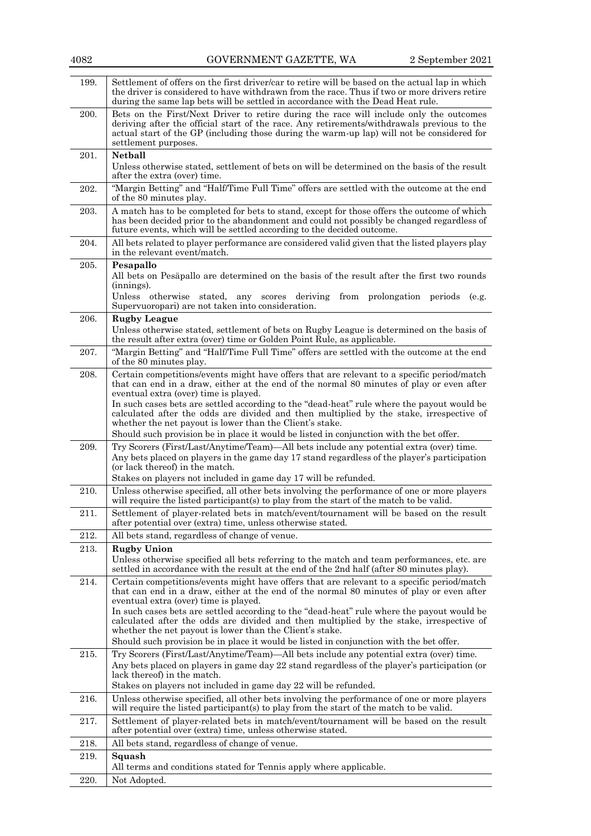| 4082 | GOVERNMENT GAZETTE, WA                                                                                                                                                                                                                                                                                                                                                                                                                                                                                                                                                          | 2 September 2021 |
|------|---------------------------------------------------------------------------------------------------------------------------------------------------------------------------------------------------------------------------------------------------------------------------------------------------------------------------------------------------------------------------------------------------------------------------------------------------------------------------------------------------------------------------------------------------------------------------------|------------------|
| 199. | Settlement of offers on the first driver/car to retire will be based on the actual lap in which<br>the driver is considered to have withdrawn from the race. Thus if two or more drivers retire<br>during the same lap bets will be settled in accordance with the Dead Heat rule.                                                                                                                                                                                                                                                                                              |                  |
| 200. | Bets on the First/Next Driver to retire during the race will include only the outcomes<br>deriving after the official start of the race. Any retirements/withdrawals previous to the<br>actual start of the GP (including those during the warm-up lap) will not be considered for<br>settlement purposes.                                                                                                                                                                                                                                                                      |                  |
| 201. | <b>Netball</b><br>Unless otherwise stated, settlement of bets on will be determined on the basis of the result<br>after the extra (over) time.                                                                                                                                                                                                                                                                                                                                                                                                                                  |                  |
| 202. | "Margin Betting" and "Half/Time Full Time" offers are settled with the outcome at the end<br>of the 80 minutes play.                                                                                                                                                                                                                                                                                                                                                                                                                                                            |                  |
| 203. | A match has to be completed for bets to stand, except for those offers the outcome of which<br>has been decided prior to the abandonment and could not possibly be changed regardless of<br>future events, which will be settled according to the decided outcome.                                                                                                                                                                                                                                                                                                              |                  |
| 204. | All bets related to player performance are considered valid given that the listed players play<br>in the relevant event/match.                                                                                                                                                                                                                                                                                                                                                                                                                                                  |                  |
| 205. | Pesapallo<br>All bets on Pesäpallo are determined on the basis of the result after the first two rounds<br>$(\text{innings})$ .<br>Unless otherwise stated, any scores deriving from prolongation periods (e.g.<br>Supervuoropari) are not taken into consideration.                                                                                                                                                                                                                                                                                                            |                  |
| 206. | <b>Rugby League</b><br>Unless otherwise stated, settlement of bets on Rugby League is determined on the basis of<br>the result after extra (over) time or Golden Point Rule, as applicable.                                                                                                                                                                                                                                                                                                                                                                                     |                  |
| 207. | "Margin Betting" and "Half/Time Full Time" offers are settled with the outcome at the end<br>of the 80 minutes play.                                                                                                                                                                                                                                                                                                                                                                                                                                                            |                  |
| 208. | Certain competitions/events might have offers that are relevant to a specific period/match<br>that can end in a draw, either at the end of the normal 80 minutes of play or even after<br>eventual extra (over) time is played.<br>In such cases bets are settled according to the "dead-heat" rule where the payout would be<br>calculated after the odds are divided and then multiplied by the stake, irrespective of<br>whether the net payout is lower than the Client's stake.<br>Should such provision be in place it would be listed in conjunction with the bet offer. |                  |
| 209. | Try Scorers (First/Last/Anytime/Team)—All bets include any potential extra (over) time.<br>Any bets placed on players in the game day 17 stand regardless of the player's participation                                                                                                                                                                                                                                                                                                                                                                                         |                  |
|      | (or lack thereof) in the match.<br>Stakes on players not included in game day 17 will be refunded.                                                                                                                                                                                                                                                                                                                                                                                                                                                                              |                  |
| 210. | Unless otherwise specified, all other bets involving the performance of one or more players<br>will require the listed participant(s) to play from the start of the match to be valid.                                                                                                                                                                                                                                                                                                                                                                                          |                  |
| 211. | Settlement of player-related bets in match/event/tournament will be based on the result<br>after potential over (extra) time, unless otherwise stated.                                                                                                                                                                                                                                                                                                                                                                                                                          |                  |
| 212. | All bets stand, regardless of change of venue.                                                                                                                                                                                                                                                                                                                                                                                                                                                                                                                                  |                  |
| 213. | <b>Rugby Union</b><br>Unless otherwise specified all bets referring to the match and team performances, etc. are<br>settled in accordance with the result at the end of the 2nd half (after 80 minutes play).                                                                                                                                                                                                                                                                                                                                                                   |                  |
| 214. | Certain competitions/events might have offers that are relevant to a specific period/match<br>that can end in a draw, either at the end of the normal 80 minutes of play or even after<br>eventual extra (over) time is played.                                                                                                                                                                                                                                                                                                                                                 |                  |
|      | In such cases bets are settled according to the "dead-heat" rule where the payout would be<br>calculated after the odds are divided and then multiplied by the stake, irrespective of<br>whether the net payout is lower than the Client's stake.<br>Should such provision be in place it would be listed in conjunction with the bet offer.                                                                                                                                                                                                                                    |                  |
| 215. | Try Scorers (First/Last/Anytime/Team)-All bets include any potential extra (over) time.<br>Any bets placed on players in game day 22 stand regardless of the player's participation (or<br>lack thereof) in the match.<br>Stakes on players not included in game day 22 will be refunded.                                                                                                                                                                                                                                                                                       |                  |
| 216. | Unless otherwise specified, all other bets involving the performance of one or more players<br>will require the listed participant(s) to play from the start of the match to be valid.                                                                                                                                                                                                                                                                                                                                                                                          |                  |
| 217. | Settlement of player-related bets in match/event/tournament will be based on the result<br>after potential over (extra) time, unless otherwise stated.                                                                                                                                                                                                                                                                                                                                                                                                                          |                  |
| 218. | All bets stand, regardless of change of venue.                                                                                                                                                                                                                                                                                                                                                                                                                                                                                                                                  |                  |
| 219. | Squash<br>All terms and conditions stated for Tennis apply where applicable.                                                                                                                                                                                                                                                                                                                                                                                                                                                                                                    |                  |
| 220. | Not Adopted.                                                                                                                                                                                                                                                                                                                                                                                                                                                                                                                                                                    |                  |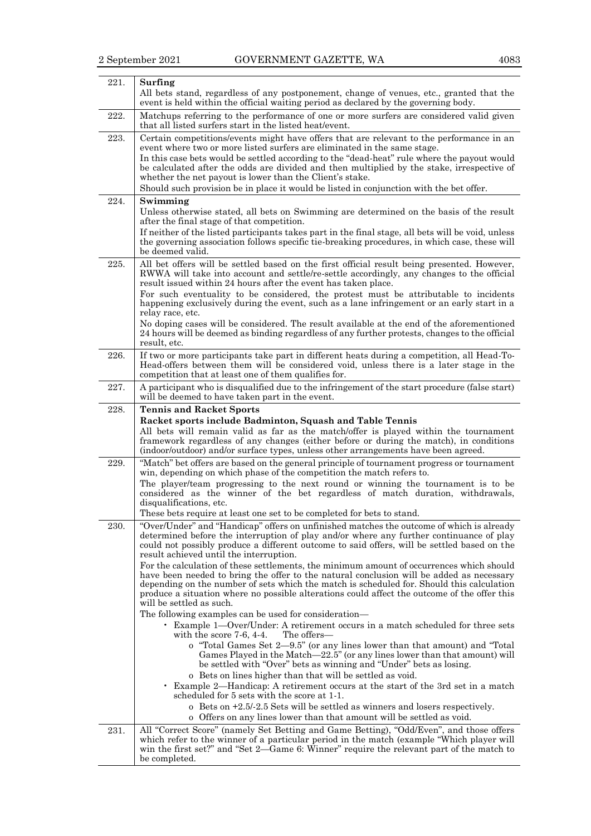| 221. | Surfing<br>All bets stand, regardless of any postponement, change of venues, etc., granted that the<br>event is held within the official waiting period as declared by the governing body.                                                                                                                                                                                                                                                                                                                                                                                                                                                                                          |
|------|-------------------------------------------------------------------------------------------------------------------------------------------------------------------------------------------------------------------------------------------------------------------------------------------------------------------------------------------------------------------------------------------------------------------------------------------------------------------------------------------------------------------------------------------------------------------------------------------------------------------------------------------------------------------------------------|
| 222. | Matchups referring to the performance of one or more surfers are considered valid given<br>that all listed surfers start in the listed heat/event.                                                                                                                                                                                                                                                                                                                                                                                                                                                                                                                                  |
| 223. | Certain competitions/events might have offers that are relevant to the performance in an<br>event where two or more listed surfers are eliminated in the same stage.                                                                                                                                                                                                                                                                                                                                                                                                                                                                                                                |
|      | In this case bets would be settled according to the "dead-heat" rule where the payout would<br>be calculated after the odds are divided and then multiplied by the stake, irrespective of<br>whether the net payout is lower than the Client's stake.                                                                                                                                                                                                                                                                                                                                                                                                                               |
|      | Should such provision be in place it would be listed in conjunction with the bet offer.                                                                                                                                                                                                                                                                                                                                                                                                                                                                                                                                                                                             |
| 224. | Swimming<br>Unless otherwise stated, all bets on Swimming are determined on the basis of the result<br>after the final stage of that competition.<br>If neither of the listed participants takes part in the final stage, all bets will be void, unless<br>the governing association follows specific tie-breaking procedures, in which case, these will<br>be deemed valid.                                                                                                                                                                                                                                                                                                        |
| 225. | All bet offers will be settled based on the first official result being presented. However,<br>RWWA will take into account and settle/re-settle accordingly, any changes to the official<br>result issued within 24 hours after the event has taken place.<br>For such eventuality to be considered, the protest must be attributable to incidents<br>happening exclusively during the event, such as a lane infringement or an early start in a<br>relay race, etc.<br>No doping cases will be considered. The result available at the end of the aforementioned<br>24 hours will be deemed as binding regardless of any further protests, changes to the official<br>result, etc. |
| 226. | If two or more participants take part in different heats during a competition, all Head-To-<br>Head-offers between them will be considered void, unless there is a later stage in the<br>competition that at least one of them qualifies for.                                                                                                                                                                                                                                                                                                                                                                                                                                       |
| 227. | A participant who is disqualified due to the infringement of the start procedure (false start)<br>will be deemed to have taken part in the event.                                                                                                                                                                                                                                                                                                                                                                                                                                                                                                                                   |
| 228. | <b>Tennis and Racket Sports</b>                                                                                                                                                                                                                                                                                                                                                                                                                                                                                                                                                                                                                                                     |
|      | Racket sports include Badminton, Squash and Table Tennis                                                                                                                                                                                                                                                                                                                                                                                                                                                                                                                                                                                                                            |
|      | All bets will remain valid as far as the match/offer is played within the tournament<br>framework regardless of any changes (either before or during the match), in conditions<br>(indoor/outdoor) and/or surface types, unless other arrangements have been agreed.                                                                                                                                                                                                                                                                                                                                                                                                                |
| 229. | "Match" bet offers are based on the general principle of tournament progress or tournament<br>win, depending on which phase of the competition the match refers to.                                                                                                                                                                                                                                                                                                                                                                                                                                                                                                                 |
|      | The player/team progressing to the next round or winning the tournament is to be<br>considered as the winner of the bet regardless of match duration, withdrawals,<br>disqualifications, etc.                                                                                                                                                                                                                                                                                                                                                                                                                                                                                       |
|      | These bets require at least one set to be completed for bets to stand.                                                                                                                                                                                                                                                                                                                                                                                                                                                                                                                                                                                                              |
| 230. | "Over/Under" and "Handicap" offers on unfinished matches the outcome of which is already<br>determined before the interruption of play and/or where any further continuance of play<br>could not possibly produce a different outcome to said offers, will be settled based on the<br>result achieved until the interruption.                                                                                                                                                                                                                                                                                                                                                       |
|      | For the calculation of these settlements, the minimum amount of occurrences which should<br>have been needed to bring the offer to the natural conclusion will be added as necessary<br>depending on the number of sets which the match is scheduled for. Should this calculation<br>produce a situation where no possible alterations could affect the outcome of the offer this<br>will be settled as such.                                                                                                                                                                                                                                                                       |
|      | The following examples can be used for consideration—<br>• Example 1—Over/Under: A retirement occurs in a match scheduled for three sets<br>The offers—<br>with the score $7-6$ , $4-4$ .                                                                                                                                                                                                                                                                                                                                                                                                                                                                                           |
|      | o "Total Games Set 2-9.5" (or any lines lower than that amount) and "Total<br>Games Played in the Match-22.5" (or any lines lower than that amount) will<br>be settled with "Over" bets as winning and "Under" bets as losing.                                                                                                                                                                                                                                                                                                                                                                                                                                                      |
|      | o Bets on lines higher than that will be settled as void.<br>• Example 2—Handicap: A retirement occurs at the start of the 3rd set in a match<br>scheduled for 5 sets with the score at 1-1.                                                                                                                                                                                                                                                                                                                                                                                                                                                                                        |
|      | $o$ Bets on $+2.5/-2.5$ Sets will be settled as winners and losers respectively.                                                                                                                                                                                                                                                                                                                                                                                                                                                                                                                                                                                                    |
|      | o Offers on any lines lower than that amount will be settled as void.                                                                                                                                                                                                                                                                                                                                                                                                                                                                                                                                                                                                               |
| 231. | All "Correct Score" (namely Set Betting and Game Betting), "Odd/Even", and those offers<br>which refer to the winner of a particular period in the match (example "Which player will<br>win the first set?" and "Set 2—Game 6: Winner" require the relevant part of the match to<br>be completed.                                                                                                                                                                                                                                                                                                                                                                                   |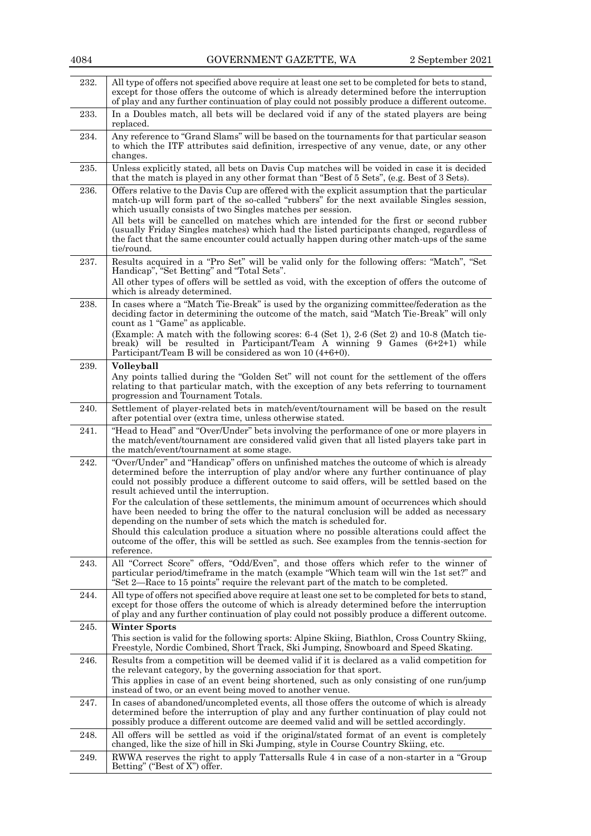| 232. | All type of offers not specified above require at least one set to be completed for bets to stand,<br>except for those offers the outcome of which is already determined before the interruption<br>of play and any further continuation of play could not possibly produce a different outcome.                              |
|------|-------------------------------------------------------------------------------------------------------------------------------------------------------------------------------------------------------------------------------------------------------------------------------------------------------------------------------|
| 233. | In a Doubles match, all bets will be declared void if any of the stated players are being<br>replaced.                                                                                                                                                                                                                        |
| 234. | Any reference to "Grand Slams" will be based on the tournaments for that particular season<br>to which the ITF attributes said definition, irrespective of any venue, date, or any other<br>changes.                                                                                                                          |
| 235. | Unless explicitly stated, all bets on Davis Cup matches will be voided in case it is decided<br>that the match is played in any other format than "Best of 5 Sets", (e.g. Best of 3 Sets).                                                                                                                                    |
| 236. | Offers relative to the Davis Cup are offered with the explicit assumption that the particular<br>match-up will form part of the so-called "rubbers" for the next available Singles session,<br>which usually consists of two Singles matches per session.                                                                     |
|      | All bets will be cancelled on matches which are intended for the first or second rubber<br>(usually Friday Singles matches) which had the listed participants changed, regardless of<br>the fact that the same encounter could actually happen during other match-ups of the same<br>tie/round.                               |
| 237. | Results acquired in a "Pro Set" will be valid only for the following offers: "Match", "Set<br>Handicap", "Set Betting" and "Total Sets".                                                                                                                                                                                      |
|      | All other types of offers will be settled as void, with the exception of offers the outcome of<br>which is already determined.                                                                                                                                                                                                |
| 238. | In cases where a "Match Tie-Break" is used by the organizing committee/federation as the<br>deciding factor in determining the outcome of the match, said "Match Tie-Break" will only<br>count as 1 "Game" as applicable.                                                                                                     |
|      | (Example: A match with the following scores: 6-4 (Set 1), 2-6 (Set 2) and 10-8 (Match tie-<br>break) will be resulted in Participant/Team A winning 9 Games $(6+2+1)$ while<br>Participant/Team B will be considered as won 10 (4+6+0).                                                                                       |
| 239. | <b>Volleyball</b>                                                                                                                                                                                                                                                                                                             |
|      | Any points tallied during the "Golden Set" will not count for the settlement of the offers<br>relating to that particular match, with the exception of any bets referring to tournament<br>progression and Tournament Totals.                                                                                                 |
| 240. | Settlement of player-related bets in match/event/tournament will be based on the result<br>after potential over (extra time, unless otherwise stated.                                                                                                                                                                         |
| 241. | "Head to Head" and "Over/Under" bets involving the performance of one or more players in<br>the match/event/tournament are considered valid given that all listed players take part in<br>the match/event/tournament at some stage.                                                                                           |
| 242. | "Over/Under" and "Handicap" offers on unfinished matches the outcome of which is already<br>determined before the interruption of play and/or where any further continuance of play<br>could not possibly produce a different outcome to said offers, will be settled based on the<br>result achieved until the interruption. |
|      | For the calculation of these settlements, the minimum amount of occurrences which should<br>have been needed to bring the offer to the natural conclusion will be added as necessary<br>depending on the number of sets which the match is scheduled for.                                                                     |
|      | Should this calculation produce a situation where no possible alterations could affect the<br>outcome of the offer, this will be settled as such. See examples from the tennis-section for<br>reference.                                                                                                                      |
| 243. | All "Correct Score" offers, "Odd/Even", and those offers which refer to the winner of<br>particular period/timeframe in the match (example "Which team will win the 1st set?" and<br>"Set 2—Race to 15 points" require the relevant part of the match to be completed.                                                        |
| 244. | All type of offers not specified above require at least one set to be completed for bets to stand,<br>except for those offers the outcome of which is already determined before the interruption<br>of play and any further continuation of play could not possibly produce a different outcome.                              |
| 245. | <b>Winter Sports</b><br>This section is valid for the following sports: Alpine Skiing, Biathlon, Cross Country Skiing,<br>Freestyle, Nordic Combined, Short Track, Ski Jumping, Snowboard and Speed Skating.                                                                                                                  |
| 246. | Results from a competition will be deemed valid if it is declared as a valid competition for<br>the relevant category, by the governing association for that sport.                                                                                                                                                           |
|      | This applies in case of an event being shortened, such as only consisting of one run/jump<br>instead of two, or an event being moved to another venue.                                                                                                                                                                        |
| 247. | In cases of abandoned/uncompleted events, all those offers the outcome of which is already<br>determined before the interruption of play and any further continuation of play could not<br>possibly produce a different outcome are deemed valid and will be settled accordingly.                                             |
| 248. | All offers will be settled as void if the original/stated format of an event is completely<br>changed, like the size of hill in Ski Jumping, style in Course Country Skiing, etc.                                                                                                                                             |
| 249. | RWWA reserves the right to apply Tattersalls Rule 4 in case of a non-starter in a "Group"<br>Betting" ("Best of X") offer.                                                                                                                                                                                                    |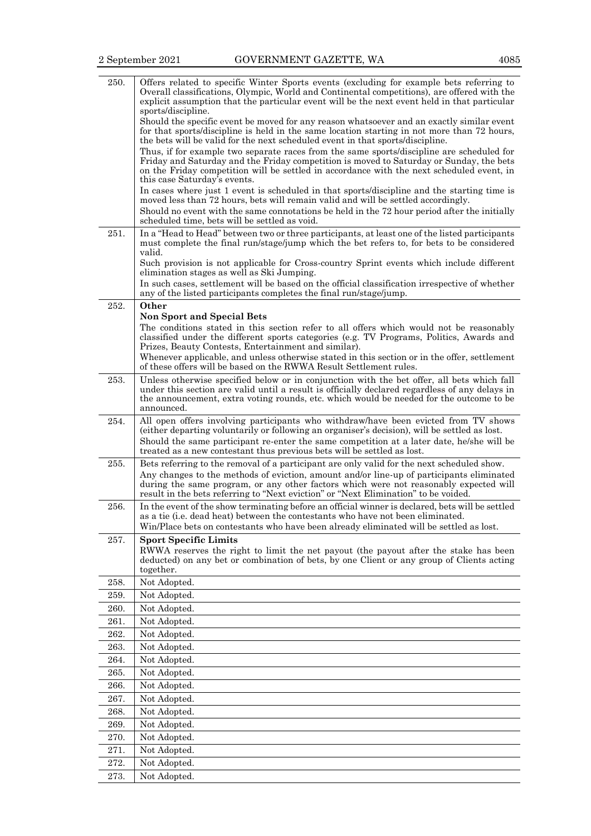| 250.         | Offers related to specific Winter Sports events (excluding for example bets referring to<br>Overall classifications, Olympic, World and Continental competitions), are offered with the<br>explicit assumption that the particular event will be the next event held in that particular<br>sports/discipline.<br>Should the specific event be moved for any reason whatsoever and an exactly similar event                                                         |
|--------------|--------------------------------------------------------------------------------------------------------------------------------------------------------------------------------------------------------------------------------------------------------------------------------------------------------------------------------------------------------------------------------------------------------------------------------------------------------------------|
|              | for that sports/discipline is held in the same location starting in not more than 72 hours,<br>the bets will be valid for the next scheduled event in that sports/discipline.<br>Thus, if for example two separate races from the same sports/discipline are scheduled for<br>Friday and Saturday and the Friday competition is moved to Saturday or Sunday, the bets<br>on the Friday competition will be settled in accordance with the next scheduled event, in |
|              | this case Saturday's events.                                                                                                                                                                                                                                                                                                                                                                                                                                       |
|              | In cases where just 1 event is scheduled in that sports/discipline and the starting time is<br>moved less than 72 hours, bets will remain valid and will be settled accordingly.<br>Should no event with the same connotations be held in the 72 hour period after the initially<br>scheduled time, bets will be settled as void.                                                                                                                                  |
| 251.         | In a "Head to Head" between two or three participants, at least one of the listed participants<br>must complete the final run/stage/jump which the bet refers to, for bets to be considered<br>valid.                                                                                                                                                                                                                                                              |
|              | Such provision is not applicable for Cross-country Sprint events which include different<br>elimination stages as well as Ski Jumping.                                                                                                                                                                                                                                                                                                                             |
|              | In such cases, settlement will be based on the official classification irrespective of whether<br>any of the listed participants completes the final run/stage/jump.                                                                                                                                                                                                                                                                                               |
| 252.         | Other                                                                                                                                                                                                                                                                                                                                                                                                                                                              |
|              | <b>Non Sport and Special Bets</b><br>The conditions stated in this section refer to all offers which would not be reasonably                                                                                                                                                                                                                                                                                                                                       |
|              | classified under the different sports categories (e.g. TV Programs, Politics, Awards and<br>Prizes, Beauty Contests, Entertainment and similar).                                                                                                                                                                                                                                                                                                                   |
|              | Whenever applicable, and unless otherwise stated in this section or in the offer, settlement<br>of these offers will be based on the RWWA Result Settlement rules.                                                                                                                                                                                                                                                                                                 |
| 253.         | Unless otherwise specified below or in conjunction with the bet offer, all bets which fall<br>under this section are valid until a result is officially declared regardless of any delays in<br>the announcement, extra voting rounds, etc. which would be needed for the outcome to be<br>announced.                                                                                                                                                              |
| 254.         | All open offers involving participants who withdraw/have been evicted from TV shows<br>(either departing voluntarily or following an organiser's decision), will be settled as lost.<br>Should the same participant re-enter the same competition at a later date, he/she will be                                                                                                                                                                                  |
|              | treated as a new contestant thus previous bets will be settled as lost.                                                                                                                                                                                                                                                                                                                                                                                            |
| 255.         | Bets referring to the removal of a participant are only valid for the next scheduled show.<br>Any changes to the methods of eviction, amount and/or line-up of participants eliminated<br>during the same program, or any other factors which were not reasonably expected will<br>result in the bets referring to "Next eviction" or "Next Elimination" to be voided.                                                                                             |
| 256.         | In the event of the show terminating before an official winner is declared, bets will be settled<br>as a tie (i.e. dead heat) between the contestants who have not been eliminated.                                                                                                                                                                                                                                                                                |
|              | Win/Place bets on contestants who have been already eliminated will be settled as lost.<br><b>Sport Specific Limits</b>                                                                                                                                                                                                                                                                                                                                            |
| 257.         | RWWA reserves the right to limit the net payout (the payout after the stake has been<br>deducted) on any bet or combination of bets, by one Client or any group of Clients acting<br>together.                                                                                                                                                                                                                                                                     |
| 258.         | Not Adopted.                                                                                                                                                                                                                                                                                                                                                                                                                                                       |
| 259.         | Not Adopted.                                                                                                                                                                                                                                                                                                                                                                                                                                                       |
| 260.         | Not Adopted.                                                                                                                                                                                                                                                                                                                                                                                                                                                       |
| 261.         | Not Adopted.                                                                                                                                                                                                                                                                                                                                                                                                                                                       |
| 262.         | Not Adopted.                                                                                                                                                                                                                                                                                                                                                                                                                                                       |
| 263.<br>264. | Not Adopted.<br>Not Adopted.                                                                                                                                                                                                                                                                                                                                                                                                                                       |
| 265.         | Not Adopted.                                                                                                                                                                                                                                                                                                                                                                                                                                                       |
| 266.         | Not Adopted.                                                                                                                                                                                                                                                                                                                                                                                                                                                       |
| 267.         | Not Adopted.                                                                                                                                                                                                                                                                                                                                                                                                                                                       |
| 268.         | Not Adopted.                                                                                                                                                                                                                                                                                                                                                                                                                                                       |
| 269.         | Not Adopted.                                                                                                                                                                                                                                                                                                                                                                                                                                                       |
| 270.         | Not Adopted.                                                                                                                                                                                                                                                                                                                                                                                                                                                       |
| 271.         | Not Adopted.                                                                                                                                                                                                                                                                                                                                                                                                                                                       |
| 272.         | Not Adopted.                                                                                                                                                                                                                                                                                                                                                                                                                                                       |
| 273.         | Not Adopted.                                                                                                                                                                                                                                                                                                                                                                                                                                                       |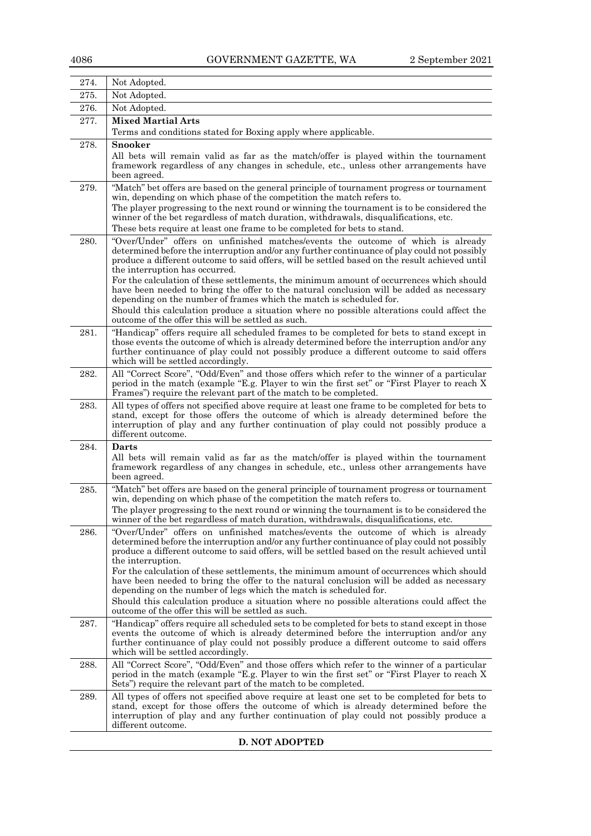| 274. | Not Adopted.                                                                                                                                                                                                                                                                                                                                                                                                                                                                                                                                                                                                                                                                                                                            |
|------|-----------------------------------------------------------------------------------------------------------------------------------------------------------------------------------------------------------------------------------------------------------------------------------------------------------------------------------------------------------------------------------------------------------------------------------------------------------------------------------------------------------------------------------------------------------------------------------------------------------------------------------------------------------------------------------------------------------------------------------------|
| 275. | Not Adopted.                                                                                                                                                                                                                                                                                                                                                                                                                                                                                                                                                                                                                                                                                                                            |
| 276. | Not Adopted.                                                                                                                                                                                                                                                                                                                                                                                                                                                                                                                                                                                                                                                                                                                            |
| 277. | <b>Mixed Martial Arts</b><br>Terms and conditions stated for Boxing apply where applicable.                                                                                                                                                                                                                                                                                                                                                                                                                                                                                                                                                                                                                                             |
| 278. | Snooker<br>All bets will remain valid as far as the match/offer is played within the tournament<br>framework regardless of any changes in schedule, etc., unless other arrangements have<br>been agreed.                                                                                                                                                                                                                                                                                                                                                                                                                                                                                                                                |
| 279. | "Match" bet offers are based on the general principle of tournament progress or tournament<br>win, depending on which phase of the competition the match refers to.<br>The player progressing to the next round or winning the tournament is to be considered the<br>winner of the bet regardless of match duration, withdrawals, disqualifications, etc.<br>These bets require at least one frame to be completed for bets to stand.                                                                                                                                                                                                                                                                                                   |
| 280. | "Over/Under" offers on unfinished matches/events the outcome of which is already<br>determined before the interruption and/or any further continuance of play could not possibly<br>produce a different outcome to said offers, will be settled based on the result achieved until<br>the interruption has occurred.<br>For the calculation of these settlements, the minimum amount of occurrences which should<br>have been needed to bring the offer to the natural conclusion will be added as necessary<br>depending on the number of frames which the match is scheduled for.<br>Should this calculation produce a situation where no possible alterations could affect the<br>outcome of the offer this will be settled as such. |
| 281. | "Handicap" offers require all scheduled frames to be completed for bets to stand except in<br>those events the outcome of which is already determined before the interruption and/or any<br>further continuance of play could not possibly produce a different outcome to said offers<br>which will be settled accordingly.                                                                                                                                                                                                                                                                                                                                                                                                             |
| 282. | All "Correct Score", "Odd/Even" and those offers which refer to the winner of a particular<br>period in the match (example "E.g. Player to win the first set" or "First Player to reach X<br>Frames") require the relevant part of the match to be completed.                                                                                                                                                                                                                                                                                                                                                                                                                                                                           |
| 283. | All types of offers not specified above require at least one frame to be completed for bets to<br>stand, except for those offers the outcome of which is already determined before the<br>interruption of play and any further continuation of play could not possibly produce a<br>different outcome.                                                                                                                                                                                                                                                                                                                                                                                                                                  |
| 284. | Darts<br>All bets will remain valid as far as the match/offer is played within the tournament<br>framework regardless of any changes in schedule, etc., unless other arrangements have<br>been agreed.                                                                                                                                                                                                                                                                                                                                                                                                                                                                                                                                  |
| 285. | "Match" bet offers are based on the general principle of tournament progress or tournament<br>win, depending on which phase of the competition the match refers to.<br>The player progressing to the next round or winning the tournament is to be considered the<br>winner of the bet regardless of match duration, withdrawals, disqualifications, etc.                                                                                                                                                                                                                                                                                                                                                                               |
| 286. | "Over/Under" offers on unfinished matches/events the outcome of which is already<br>determined before the interruption and/or any further continuance of play could not possibly<br>produce a different outcome to said offers, will be settled based on the result achieved until<br>the interruption.<br>For the calculation of these settlements, the minimum amount of occurrences which should<br>have been needed to bring the offer to the natural conclusion will be added as necessary<br>depending on the number of legs which the match is scheduled for.<br>Should this calculation produce a situation where no possible alterations could affect the<br>outcome of the offer this will be settled as such.                |
| 287. | "Handicap" offers require all scheduled sets to be completed for bets to stand except in those<br>events the outcome of which is already determined before the interruption and/or any<br>further continuance of play could not possibly produce a different outcome to said offers<br>which will be settled accordingly.                                                                                                                                                                                                                                                                                                                                                                                                               |
| 288. | All "Correct Score", "Odd/Even" and those offers which refer to the winner of a particular<br>period in the match (example "E.g. Player to win the first set" or "First Player to reach X<br>Sets") require the relevant part of the match to be completed.                                                                                                                                                                                                                                                                                                                                                                                                                                                                             |
| 289. | All types of offers not specified above require at least one set to be completed for bets to<br>stand, except for those offers the outcome of which is already determined before the<br>interruption of play and any further continuation of play could not possibly produce a<br>different outcome.                                                                                                                                                                                                                                                                                                                                                                                                                                    |

## **D. NOT ADOPTED**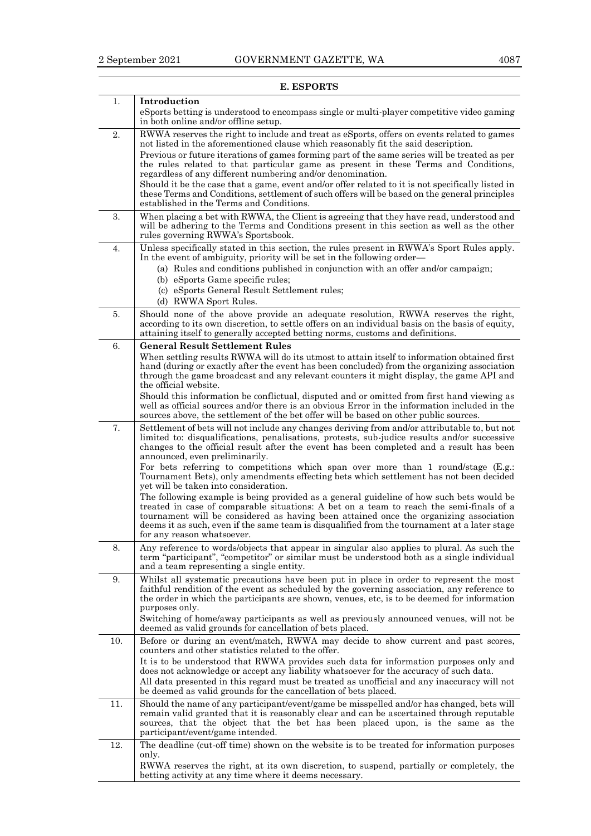| 1.  | Introduction                                                                                                                                                                                                                                                                                                                                                                                                                                                                                                                                                                                                                                                                                                                                                                                                                                                                                                                                                     |
|-----|------------------------------------------------------------------------------------------------------------------------------------------------------------------------------------------------------------------------------------------------------------------------------------------------------------------------------------------------------------------------------------------------------------------------------------------------------------------------------------------------------------------------------------------------------------------------------------------------------------------------------------------------------------------------------------------------------------------------------------------------------------------------------------------------------------------------------------------------------------------------------------------------------------------------------------------------------------------|
|     | eSports betting is understood to encompass single or multi-player competitive video gaming<br>in both online and/or offline setup.                                                                                                                                                                                                                                                                                                                                                                                                                                                                                                                                                                                                                                                                                                                                                                                                                               |
| 2.  | RWWA reserves the right to include and treat as eSports, offers on events related to games<br>not listed in the aforementioned clause which reasonably fit the said description.<br>Previous or future iterations of games forming part of the same series will be treated as per<br>the rules related to that particular game as present in these Terms and Conditions,<br>regardless of any different numbering and/or denomination.<br>Should it be the case that a game, event and/or offer related to it is not specifically listed in<br>these Terms and Conditions, settlement of such offers will be based on the general principles<br>established in the Terms and Conditions.                                                                                                                                                                                                                                                                         |
| 3.  | When placing a bet with RWWA, the Client is agreeing that they have read, understood and<br>will be adhering to the Terms and Conditions present in this section as well as the other<br>rules governing RWWA's Sportsbook.                                                                                                                                                                                                                                                                                                                                                                                                                                                                                                                                                                                                                                                                                                                                      |
| 4.  | Unless specifically stated in this section, the rules present in RWWA's Sport Rules apply.<br>In the event of ambiguity, priority will be set in the following order—<br>(a) Rules and conditions published in conjunction with an offer and/or campaign;<br>(b) eSports Game specific rules;<br>(c) eSports General Result Settlement rules;<br>(d) RWWA Sport Rules.                                                                                                                                                                                                                                                                                                                                                                                                                                                                                                                                                                                           |
| 5.  | Should none of the above provide an adequate resolution, RWWA reserves the right,<br>according to its own discretion, to settle offers on an individual basis on the basis of equity,<br>attaining itself to generally accepted betting norms, customs and definitions.                                                                                                                                                                                                                                                                                                                                                                                                                                                                                                                                                                                                                                                                                          |
| 6.  | <b>General Result Settlement Rules</b><br>When settling results RWWA will do its utmost to attain itself to information obtained first<br>hand (during or exactly after the event has been concluded) from the organizing association<br>through the game broadcast and any relevant counters it might display, the game API and<br>the official website.<br>Should this information be conflictual, disputed and or omitted from first hand viewing as<br>well as official sources and/or there is an obvious Error in the information included in the<br>sources above, the settlement of the bet offer will be based on other public sources.                                                                                                                                                                                                                                                                                                                 |
| 7.  | Settlement of bets will not include any changes deriving from and/or attributable to, but not<br>limited to: disqualifications, penalisations, protests, sub-judice results and/or successive<br>changes to the official result after the event has been completed and a result has been<br>announced, even preliminarily.<br>For bets referring to competitions which span over more than 1 round/stage (E.g.:<br>Tournament Bets), only amendments effecting bets which settlement has not been decided<br>yet will be taken into consideration.<br>The following example is being provided as a general guideline of how such bets would be<br>treated in case of comparable situations: A bet on a team to reach the semi-finals of a<br>tournament will be considered as having been attained once the organizing association<br>deems it as such, even if the same team is disqualified from the tournament at a later stage<br>for any reason whatsoever. |
| 8.  | Any reference to words/objects that appear in singular also applies to plural. As such the<br>term "participant", "competitor" or similar must be understood both as a single individual<br>and a team representing a single entity.                                                                                                                                                                                                                                                                                                                                                                                                                                                                                                                                                                                                                                                                                                                             |
| 9.  | Whilst all systematic precautions have been put in place in order to represent the most<br>faithful rendition of the event as scheduled by the governing association, any reference to<br>the order in which the participants are shown, venues, etc, is to be deemed for information<br>purposes only.<br>Switching of home/away participants as well as previously announced venues, will not be<br>deemed as valid grounds for cancellation of bets placed.                                                                                                                                                                                                                                                                                                                                                                                                                                                                                                   |
| 10. | Before or during an event/match, RWWA may decide to show current and past scores,<br>counters and other statistics related to the offer.<br>It is to be understood that RWWA provides such data for information purposes only and<br>does not acknowledge or accept any liability whatsoever for the accuracy of such data.<br>All data presented in this regard must be treated as unofficial and any inaccuracy will not<br>be deemed as valid grounds for the cancellation of bets placed.                                                                                                                                                                                                                                                                                                                                                                                                                                                                    |
| 11. | Should the name of any participant/event/game be misspelled and/or has changed, bets will<br>remain valid granted that it is reasonably clear and can be ascertained through reputable<br>sources, that the object that the bet has been placed upon, is the same as the<br>participant/event/game intended.                                                                                                                                                                                                                                                                                                                                                                                                                                                                                                                                                                                                                                                     |
| 12. | The deadline (cut-off time) shown on the website is to be treated for information purposes<br>only.<br>RWWA reserves the right, at its own discretion, to suspend, partially or completely, the<br>betting activity at any time where it deems necessary.                                                                                                                                                                                                                                                                                                                                                                                                                                                                                                                                                                                                                                                                                                        |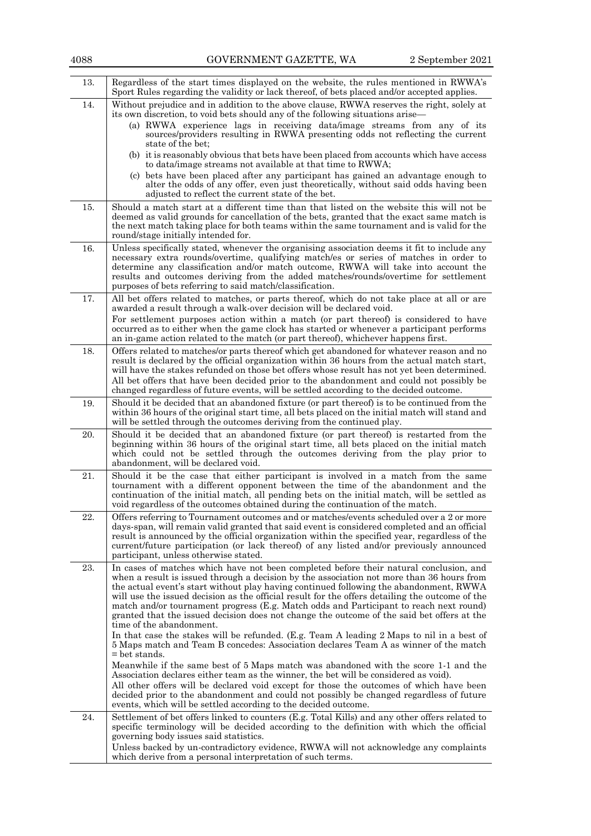| 13. | Regardless of the start times displayed on the website, the rules mentioned in RWWA's<br>Sport Rules regarding the validity or lack thereof, of bets placed and/or accepted applies.                                                                                                                                                                                                                                                                                                                                                                                                                 |
|-----|------------------------------------------------------------------------------------------------------------------------------------------------------------------------------------------------------------------------------------------------------------------------------------------------------------------------------------------------------------------------------------------------------------------------------------------------------------------------------------------------------------------------------------------------------------------------------------------------------|
| 14. | Without prejudice and in addition to the above clause, RWWA reserves the right, solely at<br>its own discretion, to void bets should any of the following situations arise—<br>(a) RWWA experience lags in receiving data/image streams from any of its<br>sources/providers resulting in RWWA presenting odds not reflecting the current                                                                                                                                                                                                                                                            |
|     | state of the bet:<br>(b) it is reasonably obvious that bets have been placed from accounts which have access                                                                                                                                                                                                                                                                                                                                                                                                                                                                                         |
|     | to data/image streams not available at that time to RWWA;<br>(c) bets have been placed after any participant has gained an advantage enough to                                                                                                                                                                                                                                                                                                                                                                                                                                                       |
|     | alter the odds of any offer, even just theoretically, without said odds having been<br>adjusted to reflect the current state of the bet.                                                                                                                                                                                                                                                                                                                                                                                                                                                             |
| 15. | Should a match start at a different time than that listed on the website this will not be<br>deemed as valid grounds for cancellation of the bets, granted that the exact same match is<br>the next match taking place for both teams within the same tournament and is valid for the<br>round/stage initially intended for.                                                                                                                                                                                                                                                                         |
| 16. | Unless specifically stated, whenever the organising association deems it fit to include any<br>necessary extra rounds/overtime, qualifying match/es or series of matches in order to<br>determine any classification and/or match outcome, RWWA will take into account the<br>results and outcomes deriving from the added matches/rounds/overtime for settlement<br>purposes of bets referring to said match/classification.                                                                                                                                                                        |
| 17. | All bet offers related to matches, or parts thereof, which do not take place at all or are<br>awarded a result through a walk-over decision will be declared void.                                                                                                                                                                                                                                                                                                                                                                                                                                   |
|     | For settlement purposes action within a match (or part thereof) is considered to have<br>occurred as to either when the game clock has started or whenever a participant performs<br>an in-game action related to the match (or part thereof), whichever happens first.                                                                                                                                                                                                                                                                                                                              |
| 18. | Offers related to matches/or parts thereof which get abandoned for whatever reason and no<br>result is declared by the official organization within 36 hours from the actual match start,<br>will have the stakes refunded on those bet offers whose result has not yet been determined.<br>All bet offers that have been decided prior to the abandonment and could not possibly be<br>changed regardless of future events, will be settled according to the decided outcome.                                                                                                                       |
| 19. | Should it be decided that an abandoned fixture (or part thereof) is to be continued from the<br>within 36 hours of the original start time, all bets placed on the initial match will stand and<br>will be settled through the outcomes deriving from the continued play.                                                                                                                                                                                                                                                                                                                            |
| 20. | Should it be decided that an abandoned fixture (or part thereof) is restarted from the<br>beginning within 36 hours of the original start time, all bets placed on the initial match<br>which could not be settled through the outcomes deriving from the play prior to<br>abandonment, will be declared void.                                                                                                                                                                                                                                                                                       |
| 21. | Should it be the case that either participant is involved in a match from the same<br>tournament with a different opponent between the time of the abandonment and the<br>continuation of the initial match, all pending bets on the initial match, will be settled as<br>void regardless of the outcomes obtained during the continuation of the match.                                                                                                                                                                                                                                             |
| 22. | Offers referring to Tournament outcomes and or matches/events scheduled over a 2 or more<br>days-span, will remain valid granted that said event is considered completed and an official<br>result is announced by the official organization within the specified year, regardless of the<br>current/future participation (or lack thereof) of any listed and/or previously announced<br>participant, unless otherwise stated.                                                                                                                                                                       |
| 23. | In cases of matches which have not been completed before their natural conclusion, and<br>when a result is issued through a decision by the association not more than 36 hours from<br>the actual event's start without play having continued following the abandonment, RWWA<br>will use the issued decision as the official result for the offers detailing the outcome of the<br>match and/or tournament progress (E.g. Match odds and Participant to reach next round)<br>granted that the issued decision does not change the outcome of the said bet offers at the<br>time of the abandonment. |
|     | In that case the stakes will be refunded. (E.g. Team A leading 2 Maps to nil in a best of<br>5 Maps match and Team B concedes: Association declares Team A as winner of the match<br>$=$ bet stands.                                                                                                                                                                                                                                                                                                                                                                                                 |
|     | Meanwhile if the same best of 5 Maps match was abandoned with the score 1-1 and the<br>Association declares either team as the winner, the bet will be considered as void.                                                                                                                                                                                                                                                                                                                                                                                                                           |
|     | All other offers will be declared void except for those the outcomes of which have been<br>decided prior to the abandonment and could not possibly be changed regardless of future<br>events, which will be settled according to the decided outcome.                                                                                                                                                                                                                                                                                                                                                |
| 24. | Settlement of bet offers linked to counters (E.g. Total Kills) and any other offers related to<br>specific terminology will be decided according to the definition with which the official<br>governing body issues said statistics.                                                                                                                                                                                                                                                                                                                                                                 |
|     | Unless backed by un-contradictory evidence, RWWA will not acknowledge any complaints<br>which derive from a personal interpretation of such terms.                                                                                                                                                                                                                                                                                                                                                                                                                                                   |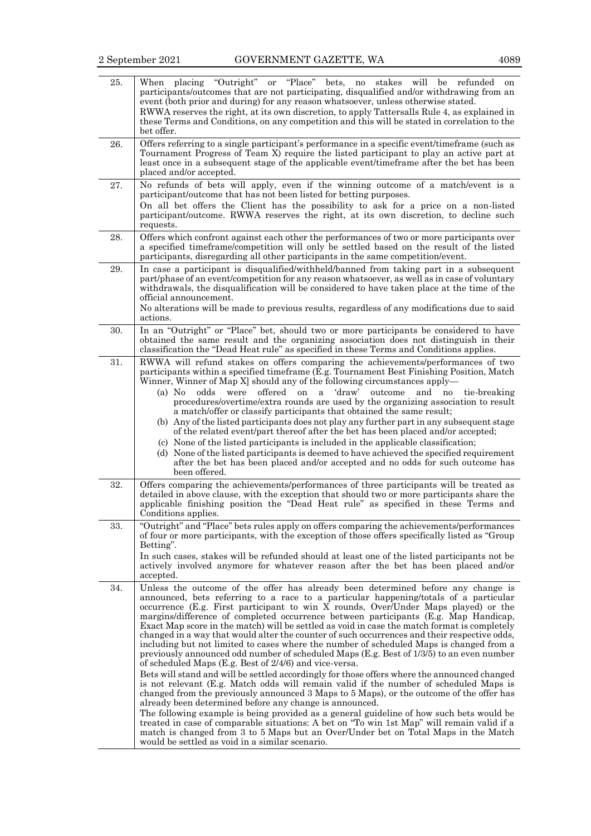| 25. | placing "Outright" or "Place" bets, no stakes will be refunded on<br>When<br>participants/outcomes that are not participating, disqualified and/or withdrawing from an<br>event (both prior and during) for any reason whatsoever, unless otherwise stated.<br>RWWA reserves the right, at its own discretion, to apply Tattersalls Rule 4, as explained in<br>these Terms and Conditions, on any competition and this will be stated in correlation to the<br>bet offer.                                                                                                                                                                                                                                                                                                                                                                                                                                                                                                                                                                                                                                                                                                                                                                                                                                                                                                                                                                                                                         |
|-----|---------------------------------------------------------------------------------------------------------------------------------------------------------------------------------------------------------------------------------------------------------------------------------------------------------------------------------------------------------------------------------------------------------------------------------------------------------------------------------------------------------------------------------------------------------------------------------------------------------------------------------------------------------------------------------------------------------------------------------------------------------------------------------------------------------------------------------------------------------------------------------------------------------------------------------------------------------------------------------------------------------------------------------------------------------------------------------------------------------------------------------------------------------------------------------------------------------------------------------------------------------------------------------------------------------------------------------------------------------------------------------------------------------------------------------------------------------------------------------------------------|
| 26. | Offers referring to a single participant's performance in a specific event/timeframe (such as<br>Tournament Progress of Team X) require the listed participant to play an active part at<br>least once in a subsequent stage of the applicable event/timeframe after the bet has been<br>placed and/or accepted.                                                                                                                                                                                                                                                                                                                                                                                                                                                                                                                                                                                                                                                                                                                                                                                                                                                                                                                                                                                                                                                                                                                                                                                  |
| 27. | No refunds of bets will apply, even if the winning outcome of a match/event is a<br>participant/outcome that has not been listed for betting purposes.<br>On all bet offers the Client has the possibility to ask for a price on a non-listed<br>participant/outcome. RWWA reserves the right, at its own discretion, to decline such<br>requests.                                                                                                                                                                                                                                                                                                                                                                                                                                                                                                                                                                                                                                                                                                                                                                                                                                                                                                                                                                                                                                                                                                                                                |
| 28. | Offers which confront against each other the performances of two or more participants over<br>a specified timeframe/competition will only be settled based on the result of the listed<br>participants, disregarding all other participants in the same competition/event.                                                                                                                                                                                                                                                                                                                                                                                                                                                                                                                                                                                                                                                                                                                                                                                                                                                                                                                                                                                                                                                                                                                                                                                                                        |
| 29. | In case a participant is disqualified/withheld/banned from taking part in a subsequent<br>part/phase of an event/competition for any reason whatsoever, as well as in case of voluntary<br>withdrawals, the disqualification will be considered to have taken place at the time of the<br>official announcement.<br>No alterations will be made to previous results, regardless of any modifications due to said<br>actions.                                                                                                                                                                                                                                                                                                                                                                                                                                                                                                                                                                                                                                                                                                                                                                                                                                                                                                                                                                                                                                                                      |
| 30. | In an "Outright" or "Place" bet, should two or more participants be considered to have<br>obtained the same result and the organizing association does not distinguish in their<br>classification the "Dead Heat rule" as specified in these Terms and Conditions applies.                                                                                                                                                                                                                                                                                                                                                                                                                                                                                                                                                                                                                                                                                                                                                                                                                                                                                                                                                                                                                                                                                                                                                                                                                        |
| 31. | RWWA will refund stakes on offers comparing the achievements/performances of two<br>participants within a specified timeframe (E.g. Tournament Best Finishing Position, Match<br>Winner, Winner of Map X] should any of the following circumstances apply—<br>offered<br>'draw'<br>$(a)$ No<br>on<br>and no<br>odds<br>were<br>a<br>outcome<br>tie-breaking<br>procedures/overtime/extra rounds are used by the organizing association to result<br>a match/offer or classify participants that obtained the same result;<br>(b) Any of the listed participants does not play any further part in any subsequent stage<br>of the related event/part thereof after the bet has been placed and/or accepted;<br>(c) None of the listed participants is included in the applicable classification;<br>(d) None of the listed participants is deemed to have achieved the specified requirement<br>after the bet has been placed and/or accepted and no odds for such outcome has<br>been offered.                                                                                                                                                                                                                                                                                                                                                                                                                                                                                                    |
| 32. | Offers comparing the achievements/performances of three participants will be treated as<br>detailed in above clause, with the exception that should two or more participants share the<br>applicable finishing position the "Dead Heat rule" as specified in these Terms and<br>Conditions applies.                                                                                                                                                                                                                                                                                                                                                                                                                                                                                                                                                                                                                                                                                                                                                                                                                                                                                                                                                                                                                                                                                                                                                                                               |
| 33. | "Outright" and "Place" bets rules apply on offers comparing the achievements/performances<br>of four or more participants, with the exception of those offers specifically listed as "Group"<br>Betting".<br>In such cases, stakes will be refunded should at least one of the listed participants not be<br>actively involved anymore for whatever reason after the bet has been placed and/or<br>accepted.                                                                                                                                                                                                                                                                                                                                                                                                                                                                                                                                                                                                                                                                                                                                                                                                                                                                                                                                                                                                                                                                                      |
| 34. | Unless the outcome of the offer has already been determined before any change is<br>announced, bets referring to a race to a particular happening/totals of a particular<br>occurrence (E.g. First participant to win $\bar{X}$ rounds, Over/Under Maps played) or the<br>margins/difference of completed occurrence between participants (E.g. Map Handicap,<br>Exact Map score in the match) will be settled as void in case the match format is completely<br>changed in a way that would alter the counter of such occurrences and their respective odds,<br>including but not limited to cases where the number of scheduled Maps is changed from a<br>previously announced odd number of scheduled Maps (E.g. Best of 1/3/5) to an even number<br>of scheduled Maps (E.g. Best of 2/4/6) and vice-versa.<br>Bets will stand and will be settled accordingly for those offers where the announced changed<br>is not relevant (E.g. Match odds will remain valid if the number of scheduled Maps is<br>changed from the previously announced 3 Maps to 5 Maps), or the outcome of the offer has<br>already been determined before any change is announced.<br>The following example is being provided as a general guideline of how such bets would be<br>treated in case of comparable situations: A bet on "To win 1st Map" will remain valid if a<br>match is changed from 3 to 5 Maps but an Over/Under bet on Total Maps in the Match<br>would be settled as void in a similar scenario. |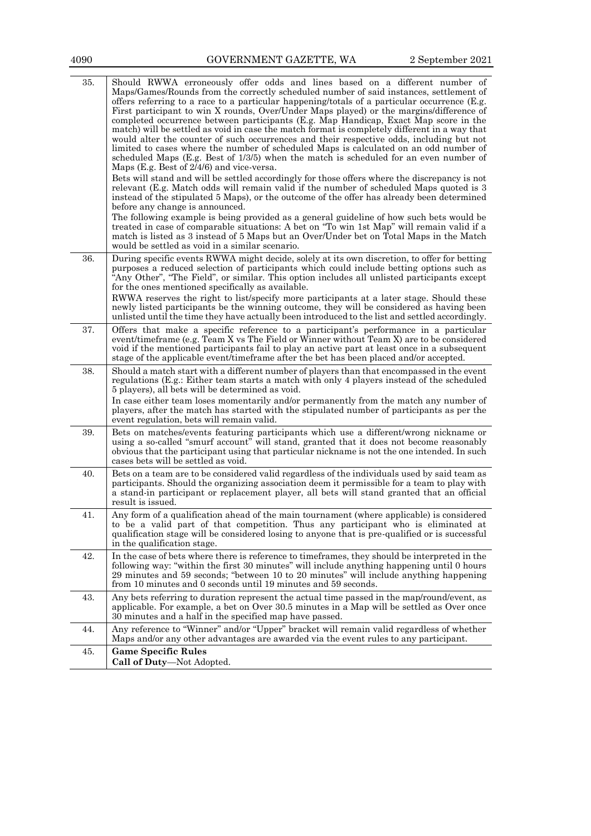| 35. | Should RWWA erroneously offer odds and lines based on a different number of<br>Maps/Games/Rounds from the correctly scheduled number of said instances, settlement of<br>offers referring to a race to a particular happening/totals of a particular occurrence (E.g.<br>First participant to win X rounds, Over/Under Maps played) or the margins/difference of<br>completed occurrence between participants (E.g. Map Handicap, Exact Map score in the<br>match) will be settled as void in case the match format is completely different in a way that<br>would alter the counter of such occurrences and their respective odds, including but not<br>limited to cases where the number of scheduled Maps is calculated on an odd number of<br>scheduled Maps (E.g. Best of $1/3/5$ ) when the match is scheduled for an even number of<br>Maps (E.g. Best of 2/4/6) and vice-versa.<br>Bets will stand and will be settled accordingly for those offers where the discrepancy is not<br>relevant (E.g. Match odds will remain valid if the number of scheduled Maps quoted is 3<br>instead of the stipulated 5 Maps), or the outcome of the offer has already been determined<br>before any change is announced.<br>The following example is being provided as a general guideline of how such bets would be<br>treated in case of comparable situations: A bet on "To win 1st Map" will remain valid if a<br>match is listed as 3 instead of 5 Maps but an Over/Under bet on Total Maps in the Match<br>would be settled as void in a similar scenario. |
|-----|--------------------------------------------------------------------------------------------------------------------------------------------------------------------------------------------------------------------------------------------------------------------------------------------------------------------------------------------------------------------------------------------------------------------------------------------------------------------------------------------------------------------------------------------------------------------------------------------------------------------------------------------------------------------------------------------------------------------------------------------------------------------------------------------------------------------------------------------------------------------------------------------------------------------------------------------------------------------------------------------------------------------------------------------------------------------------------------------------------------------------------------------------------------------------------------------------------------------------------------------------------------------------------------------------------------------------------------------------------------------------------------------------------------------------------------------------------------------------------------------------------------------------------------------------------------|
| 36. | During specific events RWWA might decide, solely at its own discretion, to offer for betting<br>purposes a reduced selection of participants which could include betting options such as<br>"Any Other", "The Field", or similar. This option includes all unlisted participants except<br>for the ones mentioned specifically as available.<br>RWWA reserves the right to list/specify more participants at a later stage. Should these<br>newly listed participants be the winning outcome, they will be considered as having been<br>unlisted until the time they have actually been introduced to the list and settled accordingly.                                                                                                                                                                                                                                                                                                                                                                                                                                                                                                                                                                                                                                                                                                                                                                                                                                                                                                                      |
| 37. | Offers that make a specific reference to a participant's performance in a particular<br>event/timeframe (e.g. Team X vs The Field or Winner without Team X) are to be considered<br>void if the mentioned participants fail to play an active part at least once in a subsequent<br>stage of the applicable event/timeframe after the bet has been placed and/or accepted.                                                                                                                                                                                                                                                                                                                                                                                                                                                                                                                                                                                                                                                                                                                                                                                                                                                                                                                                                                                                                                                                                                                                                                                   |
| 38. | Should a match start with a different number of players than that encompassed in the event<br>regulations (E.g.: Either team starts a match with only 4 players instead of the scheduled<br>5 players), all bets will be determined as void.<br>In case either team loses momentarily and/or permanently from the match any number of<br>players, after the match has started with the stipulated number of participants as per the<br>event regulation, bets will remain valid.                                                                                                                                                                                                                                                                                                                                                                                                                                                                                                                                                                                                                                                                                                                                                                                                                                                                                                                                                                                                                                                                             |
| 39. | Bets on matches/events featuring participants which use a different/wrong nickname or<br>using a so-called "smurf account" will stand, granted that it does not become reasonably<br>obvious that the participant using that particular nickname is not the one intended. In such<br>cases bets will be settled as void.                                                                                                                                                                                                                                                                                                                                                                                                                                                                                                                                                                                                                                                                                                                                                                                                                                                                                                                                                                                                                                                                                                                                                                                                                                     |
| 40. | Bets on a team are to be considered valid regardless of the individuals used by said team as<br>participants. Should the organizing association deem it permissible for a team to play with<br>a stand-in participant or replacement player, all bets will stand granted that an official<br>result is issued.                                                                                                                                                                                                                                                                                                                                                                                                                                                                                                                                                                                                                                                                                                                                                                                                                                                                                                                                                                                                                                                                                                                                                                                                                                               |
| 41. | Any form of a qualification ahead of the main tournament (where applicable) is considered<br>to be a valid part of that competition. Thus any participant who is eliminated at<br>qualification stage will be considered losing to anyone that is pre-qualified or is successful<br>in the qualification stage.                                                                                                                                                                                                                                                                                                                                                                                                                                                                                                                                                                                                                                                                                                                                                                                                                                                                                                                                                                                                                                                                                                                                                                                                                                              |
| 42. | In the case of bets where there is reference to timeframes, they should be interpreted in the<br>following way: "within the first 30 minutes" will include anything happening until 0 hours<br>29 minutes and 59 seconds; "between 10 to 20 minutes" will include anything happening<br>from 10 minutes and 0 seconds until 19 minutes and 59 seconds.                                                                                                                                                                                                                                                                                                                                                                                                                                                                                                                                                                                                                                                                                                                                                                                                                                                                                                                                                                                                                                                                                                                                                                                                       |
| 43. | Any bets referring to duration represent the actual time passed in the map/round/event, as<br>applicable. For example, a bet on Over 30.5 minutes in a Map will be settled as Over once<br>30 minutes and a half in the specified map have passed.                                                                                                                                                                                                                                                                                                                                                                                                                                                                                                                                                                                                                                                                                                                                                                                                                                                                                                                                                                                                                                                                                                                                                                                                                                                                                                           |
| 44. | Any reference to "Winner" and/or "Upper" bracket will remain valid regardless of whether<br>Maps and/or any other advantages are awarded via the event rules to any participant.                                                                                                                                                                                                                                                                                                                                                                                                                                                                                                                                                                                                                                                                                                                                                                                                                                                                                                                                                                                                                                                                                                                                                                                                                                                                                                                                                                             |
| 45. | <b>Game Specific Rules</b><br>Call of Duty-Not Adopted.                                                                                                                                                                                                                                                                                                                                                                                                                                                                                                                                                                                                                                                                                                                                                                                                                                                                                                                                                                                                                                                                                                                                                                                                                                                                                                                                                                                                                                                                                                      |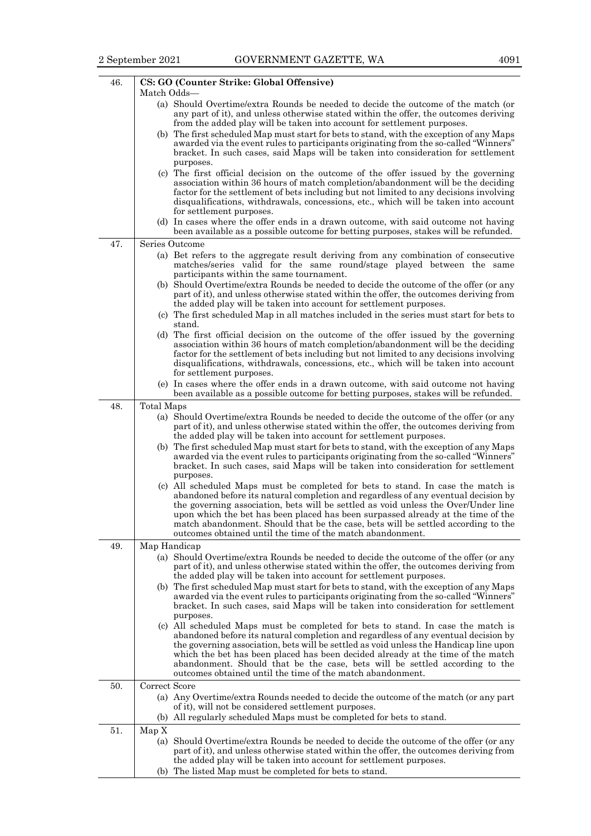| 46. | CS: GO (Counter Strike: Global Offensive)                                                                                                                                        |
|-----|----------------------------------------------------------------------------------------------------------------------------------------------------------------------------------|
|     | Match Odds—                                                                                                                                                                      |
|     | (a) Should Overtime/extra Rounds be needed to decide the outcome of the match (or<br>any part of it), and unless otherwise stated within the offer, the outcomes deriving        |
|     | from the added play will be taken into account for settlement purposes.                                                                                                          |
|     | (b) The first scheduled Map must start for bets to stand, with the exception of any Maps                                                                                         |
|     | awarded via the event rules to participants originating from the so-called "Winners"<br>bracket. In such cases, said Maps will be taken into consideration for settlement        |
|     | purposes.                                                                                                                                                                        |
|     | (c) The first official decision on the outcome of the offer issued by the governing                                                                                              |
|     | association within 36 hours of match completion/abandonment will be the deciding                                                                                                 |
|     | factor for the settlement of bets including but not limited to any decisions involving<br>disqualifications, withdrawals, concessions, etc., which will be taken into account    |
|     | for settlement purposes.                                                                                                                                                         |
|     | (d) In cases where the offer ends in a drawn outcome, with said outcome not having<br>been available as a possible outcome for betting purposes, stakes will be refunded.        |
| 47. | Series Outcome                                                                                                                                                                   |
|     | (a) Bet refers to the aggregate result deriving from any combination of consecutive                                                                                              |
|     | matches/series valid for the same round/stage played between the same                                                                                                            |
|     | participants within the same tournament.                                                                                                                                         |
|     | (b) Should Overtime/extra Rounds be needed to decide the outcome of the offer (or any<br>part of it), and unless otherwise stated within the offer, the outcomes deriving from   |
|     | the added play will be taken into account for settlement purposes.                                                                                                               |
|     | (c) The first scheduled Map in all matches included in the series must start for bets to                                                                                         |
|     | stand.<br>(d) The first official decision on the outcome of the offer issued by the governing                                                                                    |
|     | association within 36 hours of match completion/abandonment will be the deciding                                                                                                 |
|     | factor for the settlement of bets including but not limited to any decisions involving                                                                                           |
|     | disqualifications, withdrawals, concessions, etc., which will be taken into account<br>for settlement purposes.                                                                  |
|     | (e) In cases where the offer ends in a drawn outcome, with said outcome not having                                                                                               |
|     | been available as a possible outcome for betting purposes, stakes will be refunded.                                                                                              |
| 48. | Total Maps                                                                                                                                                                       |
|     | (a) Should Overtime/extra Rounds be needed to decide the outcome of the offer (or any<br>part of it), and unless otherwise stated within the offer, the outcomes deriving from   |
|     | the added play will be taken into account for settlement purposes.                                                                                                               |
|     | (b) The first scheduled Map must start for bets to stand, with the exception of any Maps                                                                                         |
|     | awarded via the event rules to participants originating from the so-called "Winners"<br>bracket. In such cases, said Maps will be taken into consideration for settlement        |
|     | purposes.                                                                                                                                                                        |
|     | (c) All scheduled Maps must be completed for bets to stand. In case the match is                                                                                                 |
|     | abandoned before its natural completion and regardless of any eventual decision by<br>the governing association, bets will be settled as void unless the Over/Under line         |
|     | upon which the bet has been placed has been surpassed already at the time of the                                                                                                 |
|     | match abandonment. Should that be the case, bets will be settled according to the                                                                                                |
|     | outcomes obtained until the time of the match abandonment.                                                                                                                       |
| 49. | Map Handicap<br>(a) Should Overtime/extra Rounds be needed to decide the outcome of the offer (or any                                                                            |
|     | part of it), and unless otherwise stated within the offer, the outcomes deriving from                                                                                            |
|     | the added play will be taken into account for settlement purposes.                                                                                                               |
|     | (b) The first scheduled Map must start for bets to stand, with the exception of any Maps<br>awarded via the event rules to participants originating from the so-called "Winners" |
|     | bracket. In such cases, said Maps will be taken into consideration for settlement                                                                                                |
|     | purposes.                                                                                                                                                                        |
|     | (c) All scheduled Maps must be completed for bets to stand. In case the match is<br>abandoned before its natural completion and regardless of any eventual decision by           |
|     | the governing association, bets will be settled as void unless the Handicap line upon                                                                                            |
|     | which the bet has been placed has been decided already at the time of the match                                                                                                  |
|     | abandonment. Should that be the case, bets will be settled according to the<br>outcomes obtained until the time of the match abandonment.                                        |
| 50. | Correct Score                                                                                                                                                                    |
|     | (a) Any Overtime/extra Rounds needed to decide the outcome of the match (or any part                                                                                             |
|     | of it), will not be considered settlement purposes.                                                                                                                              |
|     | (b) All regularly scheduled Maps must be completed for bets to stand.                                                                                                            |
| 51. | Map X<br>(a) Should Overtime/extra Rounds be needed to decide the outcome of the offer (or any                                                                                   |
|     | part of it), and unless otherwise stated within the offer, the outcomes deriving from                                                                                            |
|     | the added play will be taken into account for settlement purposes.                                                                                                               |
|     | (b) The listed Map must be completed for bets to stand.                                                                                                                          |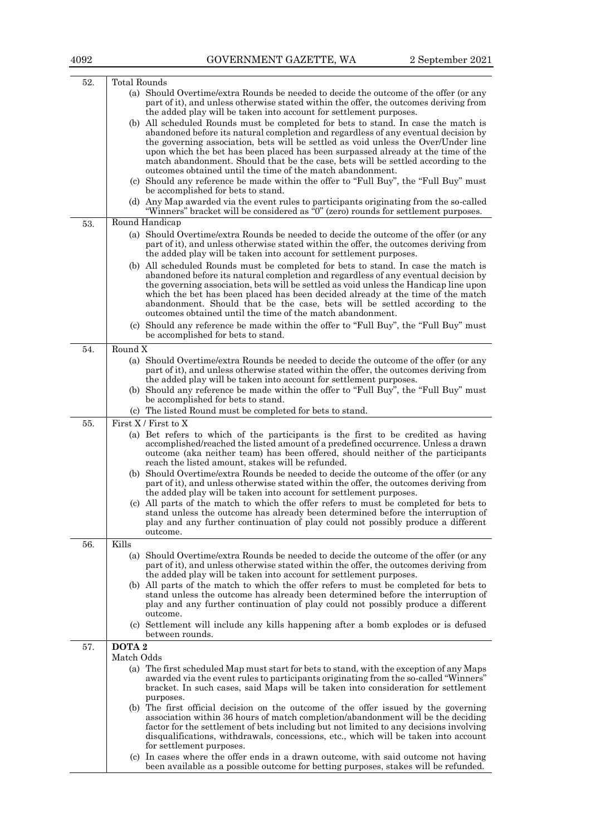| 52. | Total Rounds                                                                                                                                                                   |
|-----|--------------------------------------------------------------------------------------------------------------------------------------------------------------------------------|
|     | (a) Should Overtime/extra Rounds be needed to decide the outcome of the offer (or any                                                                                          |
|     | part of it), and unless otherwise stated within the offer, the outcomes deriving from                                                                                          |
|     | the added play will be taken into account for settlement purposes.                                                                                                             |
|     | (b) All scheduled Rounds must be completed for bets to stand. In case the match is<br>abandoned before its natural completion and regardless of any eventual decision by       |
|     | the governing association, bets will be settled as void unless the Over/Under line                                                                                             |
|     | upon which the bet has been placed has been surpassed already at the time of the                                                                                               |
|     | match abandonment. Should that be the case, bets will be settled according to the                                                                                              |
|     | outcomes obtained until the time of the match abandonment.                                                                                                                     |
|     | (c) Should any reference be made within the offer to "Full Buy", the "Full Buy" must                                                                                           |
|     | be accomplished for bets to stand.                                                                                                                                             |
|     | (d) Any Map awarded via the event rules to participants originating from the so-called<br>"Winners" bracket will be considered as "0" (zero) rounds for settlement purposes.   |
|     | Round Handicap                                                                                                                                                                 |
| 53. |                                                                                                                                                                                |
|     | (a) Should Overtime/extra Rounds be needed to decide the outcome of the offer (or any<br>part of it), and unless otherwise stated within the offer, the outcomes deriving from |
|     | the added play will be taken into account for settlement purposes.                                                                                                             |
|     | (b) All scheduled Rounds must be completed for bets to stand. In case the match is                                                                                             |
|     | abandoned before its natural completion and regardless of any eventual decision by                                                                                             |
|     | the governing association, bets will be settled as void unless the Handicap line upon                                                                                          |
|     | which the bet has been placed has been decided already at the time of the match                                                                                                |
|     | abandonment. Should that be the case, bets will be settled according to the<br>outcomes obtained until the time of the match abandonment.                                      |
|     |                                                                                                                                                                                |
|     | (c) Should any reference be made within the offer to "Full Buy", the "Full Buy" must<br>be accomplished for bets to stand.                                                     |
|     |                                                                                                                                                                                |
| 54. | Round X<br>(a) Should Overtime/extra Rounds be needed to decide the outcome of the offer (or any                                                                               |
|     | part of it), and unless otherwise stated within the offer, the outcomes deriving from                                                                                          |
|     | the added play will be taken into account for settlement purposes.                                                                                                             |
|     | (b) Should any reference be made within the offer to "Full Buy", the "Full Buy" must                                                                                           |
|     | be accomplished for bets to stand.                                                                                                                                             |
|     | (c) The listed Round must be completed for bets to stand.                                                                                                                      |
| 55. | First X / First to X                                                                                                                                                           |
|     | (a) Bet refers to which of the participants is the first to be credited as having                                                                                              |
|     | accomplished/reached the listed amount of a predefined occurrence. Unless a drawn<br>outcome (aka neither team) has been offered, should neither of the participants           |
|     | reach the listed amount, stakes will be refunded.                                                                                                                              |
|     | (b) Should Overtime/extra Rounds be needed to decide the outcome of the offer (or any                                                                                          |
|     | part of it), and unless otherwise stated within the offer, the outcomes deriving from                                                                                          |
|     | the added play will be taken into account for settlement purposes.                                                                                                             |
|     | (c) All parts of the match to which the offer refers to must be completed for bets to                                                                                          |
|     | stand unless the outcome has already been determined before the interruption of<br>play and any further continuation of play could not possibly produce a different            |
|     | outcome.                                                                                                                                                                       |
| 56. | Kills                                                                                                                                                                          |
|     | (a) Should Overtime/extra Rounds be needed to decide the outcome of the offer (or any                                                                                          |
|     | part of it), and unless otherwise stated within the offer, the outcomes deriving from                                                                                          |
|     | the added play will be taken into account for settlement purposes.                                                                                                             |
|     | (b) All parts of the match to which the offer refers to must be completed for bets to                                                                                          |
|     | stand unless the outcome has already been determined before the interruption of<br>play and any further continuation of play could not possibly produce a different            |
|     | outcome.                                                                                                                                                                       |
|     | (c) Settlement will include any kills happening after a bomb explodes or is defused                                                                                            |
|     | between rounds.                                                                                                                                                                |
| 57. | DOTA <sub>2</sub>                                                                                                                                                              |
|     | Match Odds                                                                                                                                                                     |
|     | (a) The first scheduled Map must start for bets to stand, with the exception of any Maps                                                                                       |
|     | awarded via the event rules to participants originating from the so-called "Winners"                                                                                           |
|     | bracket. In such cases, said Maps will be taken into consideration for settlement<br>purposes.                                                                                 |
|     | (b) The first official decision on the outcome of the offer issued by the governing                                                                                            |
|     | association within 36 hours of match completion/abandonment will be the deciding                                                                                               |
|     | factor for the settlement of bets including but not limited to any decisions involving                                                                                         |
|     | disqualifications, withdrawals, concessions, etc., which will be taken into account                                                                                            |
|     | for settlement purposes.<br>(c) In cases where the offer ends in a drawn outcome, with said outcome not having                                                                 |
|     | been available as a possible outcome for betting purposes, stakes will be refunded.                                                                                            |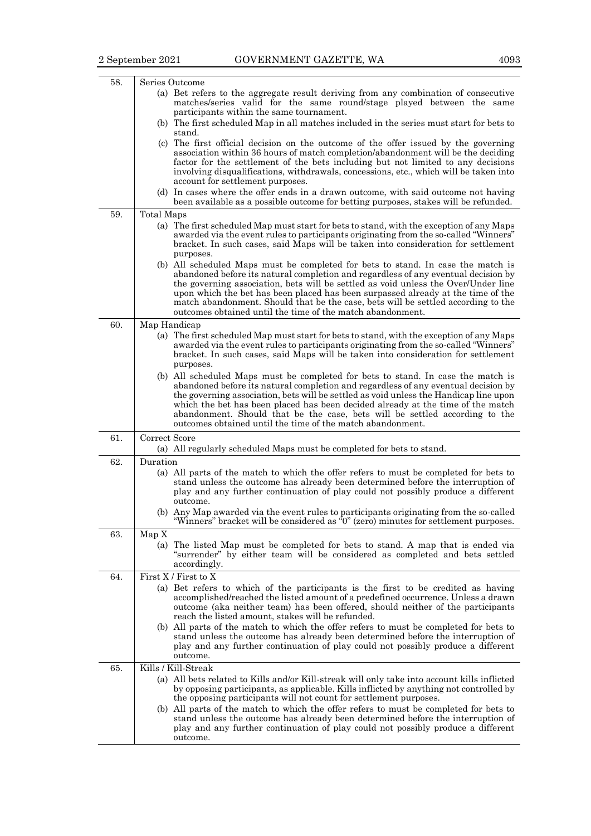| 58. | Series Outcome<br>(a) Bet refers to the aggregate result deriving from any combination of consecutive<br>matches/series valid for the same round/stage played between the same<br>participants within the same tournament.<br>(b) The first scheduled Map in all matches included in the series must start for bets to<br>stand.<br>(c) The first official decision on the outcome of the offer issued by the governing<br>association within 36 hours of match completion/abandonment will be the deciding<br>factor for the settlement of the bets including but not limited to any decisions<br>involving disqualifications, withdrawals, concessions, etc., which will be taken into<br>account for settlement purposes.<br>(d) In cases where the offer ends in a drawn outcome, with said outcome not having<br>been available as a possible outcome for betting purposes, stakes will be refunded. |
|-----|-----------------------------------------------------------------------------------------------------------------------------------------------------------------------------------------------------------------------------------------------------------------------------------------------------------------------------------------------------------------------------------------------------------------------------------------------------------------------------------------------------------------------------------------------------------------------------------------------------------------------------------------------------------------------------------------------------------------------------------------------------------------------------------------------------------------------------------------------------------------------------------------------------------|
| 59. | Total Maps<br>(a) The first scheduled Map must start for bets to stand, with the exception of any Maps<br>awarded via the event rules to participants originating from the so-called "Winners"<br>bracket. In such cases, said Maps will be taken into consideration for settlement<br>purposes.<br>(b) All scheduled Maps must be completed for bets to stand. In case the match is<br>abandoned before its natural completion and regardless of any eventual decision by<br>the governing association, bets will be settled as void unless the Over/Under line<br>upon which the bet has been placed has been surpassed already at the time of the<br>match abandonment. Should that be the case, bets will be settled according to the<br>outcomes obtained until the time of the match abandonment.                                                                                                   |
| 60. | Map Handicap<br>(a) The first scheduled Map must start for bets to stand, with the exception of any Maps<br>awarded via the event rules to participants originating from the so-called "Winners"<br>bracket. In such cases, said Maps will be taken into consideration for settlement<br>purposes.<br>(b) All scheduled Maps must be completed for bets to stand. In case the match is<br>abandoned before its natural completion and regardless of any eventual decision by<br>the governing association, bets will be settled as void unless the Handicap line upon<br>which the bet has been placed has been decided already at the time of the match<br>abandonment. Should that be the case, bets will be settled according to the<br>outcomes obtained until the time of the match abandonment.                                                                                                     |
| 61. | Correct Score<br>(a) All regularly scheduled Maps must be completed for bets to stand.                                                                                                                                                                                                                                                                                                                                                                                                                                                                                                                                                                                                                                                                                                                                                                                                                    |
| 62. | Duration<br>(a) All parts of the match to which the offer refers to must be completed for bets to<br>stand unless the outcome has already been determined before the interruption of<br>play and any further continuation of play could not possibly produce a different<br>outcome.<br>(b) Any Map awarded via the event rules to participants originating from the so-called<br>"Winners" bracket will be considered as "0" (zero) minutes for settlement purposes.                                                                                                                                                                                                                                                                                                                                                                                                                                     |
| 63. | Map X<br>(a) The listed Map must be completed for bets to stand. A map that is ended via<br>"surrender" by either team will be considered as completed and bets settled<br>accordingly.                                                                                                                                                                                                                                                                                                                                                                                                                                                                                                                                                                                                                                                                                                                   |
| 64. | First X / First to X<br>(a) Bet refers to which of the participants is the first to be credited as having<br>accomplished/reached the listed amount of a predefined occurrence. Unless a drawn<br>outcome (aka neither team) has been offered, should neither of the participants<br>reach the listed amount, stakes will be refunded.<br>(b) All parts of the match to which the offer refers to must be completed for bets to<br>stand unless the outcome has already been determined before the interruption of<br>play and any further continuation of play could not possibly produce a different<br>outcome.                                                                                                                                                                                                                                                                                        |
| 65. | Kills / Kill-Streak<br>(a) All bets related to Kills and/or Kill-streak will only take into account kills inflicted<br>by opposing participants, as applicable. Kills inflicted by anything not controlled by<br>the opposing participants will not count for settlement purposes.<br>(b) All parts of the match to which the offer refers to must be completed for bets to<br>stand unless the outcome has already been determined before the interruption of<br>play and any further continuation of play could not possibly produce a different<br>outcome.                                                                                                                                                                                                                                                                                                                                            |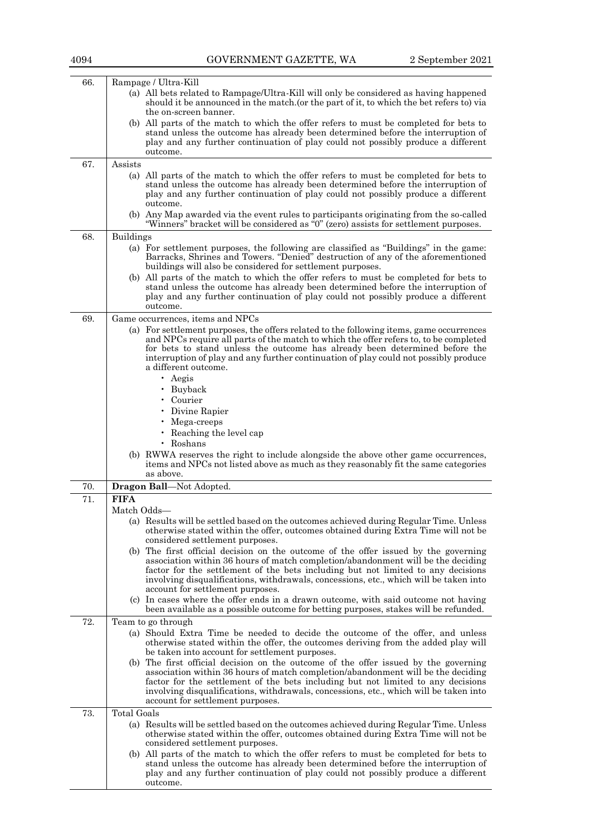| 66. | Rampage / Ultra-Kill<br>(a) All bets related to Rampage/Ultra-Kill will only be considered as having happened<br>should it be announced in the match (or the part of it, to which the bet refers to) via                                                                                                                                                 |
|-----|----------------------------------------------------------------------------------------------------------------------------------------------------------------------------------------------------------------------------------------------------------------------------------------------------------------------------------------------------------|
|     | the on-screen banner.<br>(b) All parts of the match to which the offer refers to must be completed for bets to                                                                                                                                                                                                                                           |
|     | stand unless the outcome has already been determined before the interruption of<br>play and any further continuation of play could not possibly produce a different                                                                                                                                                                                      |
|     | outcome.                                                                                                                                                                                                                                                                                                                                                 |
| 67. | Assists<br>(a) All parts of the match to which the offer refers to must be completed for bets to                                                                                                                                                                                                                                                         |
|     | stand unless the outcome has already been determined before the interruption of<br>play and any further continuation of play could not possibly produce a different<br>outcome.                                                                                                                                                                          |
|     | (b) Any Map awarded via the event rules to participants originating from the so-called<br>"Winners" bracket will be considered as "0" (zero) assists for settlement purposes.                                                                                                                                                                            |
| 68. | <b>Buildings</b>                                                                                                                                                                                                                                                                                                                                         |
|     | (a) For settlement purposes, the following are classified as "Buildings" in the game:<br>Barracks, Shrines and Towers. "Denied" destruction of any of the aforementioned<br>buildings will also be considered for settlement purposes.                                                                                                                   |
|     | (b) All parts of the match to which the offer refers to must be completed for bets to                                                                                                                                                                                                                                                                    |
|     | stand unless the outcome has already been determined before the interruption of<br>play and any further continuation of play could not possibly produce a different<br>outcome.                                                                                                                                                                          |
| 69. | Game occurrences, items and NPCs                                                                                                                                                                                                                                                                                                                         |
|     | (a) For settlement purposes, the offers related to the following items, game occurrences<br>and NPCs require all parts of the match to which the offer refers to, to be completed<br>for bets to stand unless the outcome has already been determined before the<br>interruption of play and any further continuation of play could not possibly produce |
|     | a different outcome.                                                                                                                                                                                                                                                                                                                                     |
|     | $\cdot$ Aegis                                                                                                                                                                                                                                                                                                                                            |
|     | · Buyback                                                                                                                                                                                                                                                                                                                                                |
|     | • Courier                                                                                                                                                                                                                                                                                                                                                |
|     | Divine Rapier                                                                                                                                                                                                                                                                                                                                            |
|     | Mega-creeps<br>• Reaching the level cap                                                                                                                                                                                                                                                                                                                  |
|     | • Roshans                                                                                                                                                                                                                                                                                                                                                |
|     | (b) RWWA reserves the right to include alongside the above other game occurrences,                                                                                                                                                                                                                                                                       |
|     | items and NPCs not listed above as much as they reasonably fit the same categories<br>as above.                                                                                                                                                                                                                                                          |
| 70. | Dragon Ball-Not Adopted.                                                                                                                                                                                                                                                                                                                                 |
| 71. | <b>FIFA</b>                                                                                                                                                                                                                                                                                                                                              |
|     | Match Odds-                                                                                                                                                                                                                                                                                                                                              |
|     | (a) Results will be settled based on the outcomes achieved during Regular Time. Unless<br>otherwise stated within the offer, outcomes obtained during Extra Time will not be                                                                                                                                                                             |
|     | considered settlement purposes.<br>(b) The first official decision on the outcome of the offer issued by the governing                                                                                                                                                                                                                                   |
|     | association within 36 hours of match completion/abandonment will be the deciding<br>factor for the settlement of the bets including but not limited to any decisions                                                                                                                                                                                     |
|     | involving disqualifications, withdrawals, concessions, etc., which will be taken into<br>account for settlement purposes.                                                                                                                                                                                                                                |
|     | (c) In cases where the offer ends in a drawn outcome, with said outcome not having<br>been available as a possible outcome for betting purposes, stakes will be refunded.                                                                                                                                                                                |
| 72. | Team to go through                                                                                                                                                                                                                                                                                                                                       |
|     | (a) Should Extra Time be needed to decide the outcome of the offer, and unless<br>otherwise stated within the offer, the outcomes deriving from the added play will<br>be taken into account for settlement purposes.                                                                                                                                    |
|     | (b) The first official decision on the outcome of the offer issued by the governing                                                                                                                                                                                                                                                                      |
|     | association within 36 hours of match completion/abandonment will be the deciding                                                                                                                                                                                                                                                                         |
|     | factor for the settlement of the bets including but not limited to any decisions                                                                                                                                                                                                                                                                         |
|     | involving disqualifications, withdrawals, concessions, etc., which will be taken into<br>account for settlement purposes.                                                                                                                                                                                                                                |
|     | <b>Total Goals</b>                                                                                                                                                                                                                                                                                                                                       |
| 73. |                                                                                                                                                                                                                                                                                                                                                          |
|     | (a) Results will be settled based on the outcomes achieved during Regular Time. Unless<br>otherwise stated within the offer, outcomes obtained during Extra Time will not be                                                                                                                                                                             |
|     | considered settlement purposes.                                                                                                                                                                                                                                                                                                                          |
|     | (b) All parts of the match to which the offer refers to must be completed for bets to                                                                                                                                                                                                                                                                    |
|     | stand unless the outcome has already been determined before the interruption of                                                                                                                                                                                                                                                                          |
|     | play and any further continuation of play could not possibly produce a different<br>outcome.                                                                                                                                                                                                                                                             |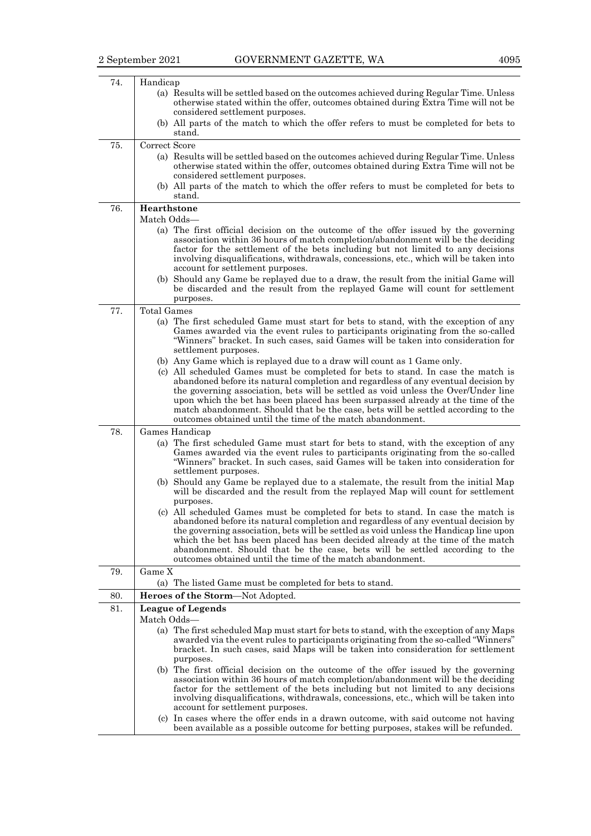| 74. | Handicap<br>(a) Results will be settled based on the outcomes achieved during Regular Time. Unless<br>otherwise stated within the offer, outcomes obtained during Extra Time will not be<br>considered settlement purposes.<br>(b) All parts of the match to which the offer refers to must be completed for bets to<br>stand.                                                                                                                                                                   |
|-----|--------------------------------------------------------------------------------------------------------------------------------------------------------------------------------------------------------------------------------------------------------------------------------------------------------------------------------------------------------------------------------------------------------------------------------------------------------------------------------------------------|
| 75. | Correct Score<br>(a) Results will be settled based on the outcomes achieved during Regular Time. Unless<br>otherwise stated within the offer, outcomes obtained during Extra Time will not be<br>considered settlement purposes.<br>(b) All parts of the match to which the offer refers to must be completed for bets to<br>stand.                                                                                                                                                              |
| 76. | Hearthstone                                                                                                                                                                                                                                                                                                                                                                                                                                                                                      |
|     | Match Odds-                                                                                                                                                                                                                                                                                                                                                                                                                                                                                      |
|     | (a) The first official decision on the outcome of the offer issued by the governing<br>association within 36 hours of match completion/abandonment will be the deciding<br>factor for the settlement of the bets including but not limited to any decisions<br>involving disqualifications, withdrawals, concessions, etc., which will be taken into<br>account for settlement purposes.<br>(b) Should any Game be replayed due to a draw, the result from the initial Game will                 |
|     | be discarded and the result from the replayed Game will count for settlement<br>purposes.                                                                                                                                                                                                                                                                                                                                                                                                        |
| 77. | <b>Total Games</b>                                                                                                                                                                                                                                                                                                                                                                                                                                                                               |
|     | (a) The first scheduled Game must start for bets to stand, with the exception of any<br>Games awarded via the event rules to participants originating from the so-called<br>"Winners" bracket. In such cases, said Games will be taken into consideration for<br>settlement purposes.                                                                                                                                                                                                            |
|     | (b) Any Game which is replayed due to a draw will count as 1 Game only.                                                                                                                                                                                                                                                                                                                                                                                                                          |
|     | (c) All scheduled Games must be completed for bets to stand. In case the match is<br>abandoned before its natural completion and regardless of any eventual decision by<br>the governing association, bets will be settled as void unless the Over/Under line                                                                                                                                                                                                                                    |
|     | upon which the bet has been placed has been surpassed already at the time of the<br>match abandonment. Should that be the case, bets will be settled according to the<br>outcomes obtained until the time of the match abandonment.                                                                                                                                                                                                                                                              |
| 78. | Games Handicap                                                                                                                                                                                                                                                                                                                                                                                                                                                                                   |
|     | (a) The first scheduled Game must start for bets to stand, with the exception of any<br>Games awarded via the event rules to participants originating from the so-called<br>"Winners" bracket. In such cases, said Games will be taken into consideration for<br>settlement purposes.                                                                                                                                                                                                            |
|     | (b) Should any Game be replayed due to a stalemate, the result from the initial Map<br>will be discarded and the result from the replayed Map will count for settlement<br>purposes.                                                                                                                                                                                                                                                                                                             |
|     | (c) All scheduled Games must be completed for bets to stand. In case the match is<br>abandoned before its natural completion and regardless of any eventual decision by<br>the governing association, bets will be settled as void unless the Handicap line upon<br>which the bet has been placed has been decided already at the time of the match<br>abandonment. Should that be the case, bets will be settled according to the<br>outcomes obtained until the time of the match abandonment. |
| 79. | Game X                                                                                                                                                                                                                                                                                                                                                                                                                                                                                           |
| 80. | (a) The listed Game must be completed for bets to stand.<br>Heroes of the Storm-Not Adopted.                                                                                                                                                                                                                                                                                                                                                                                                     |
| 81. | <b>League of Legends</b>                                                                                                                                                                                                                                                                                                                                                                                                                                                                         |
|     | Match Odds-                                                                                                                                                                                                                                                                                                                                                                                                                                                                                      |
|     | (a) The first scheduled Map must start for bets to stand, with the exception of any Maps<br>awarded via the event rules to participants originating from the so-called "Winners"<br>bracket. In such cases, said Maps will be taken into consideration for settlement<br>purposes.                                                                                                                                                                                                               |
|     | (b) The first official decision on the outcome of the offer issued by the governing<br>association within 36 hours of match completion/abandonment will be the deciding<br>factor for the settlement of the bets including but not limited to any decisions<br>involving disqualifications, withdrawals, concessions, etc., which will be taken into<br>account for settlement purposes.                                                                                                         |
|     | (c) In cases where the offer ends in a drawn outcome, with said outcome not having<br>been available as a possible outcome for betting purposes, stakes will be refunded.                                                                                                                                                                                                                                                                                                                        |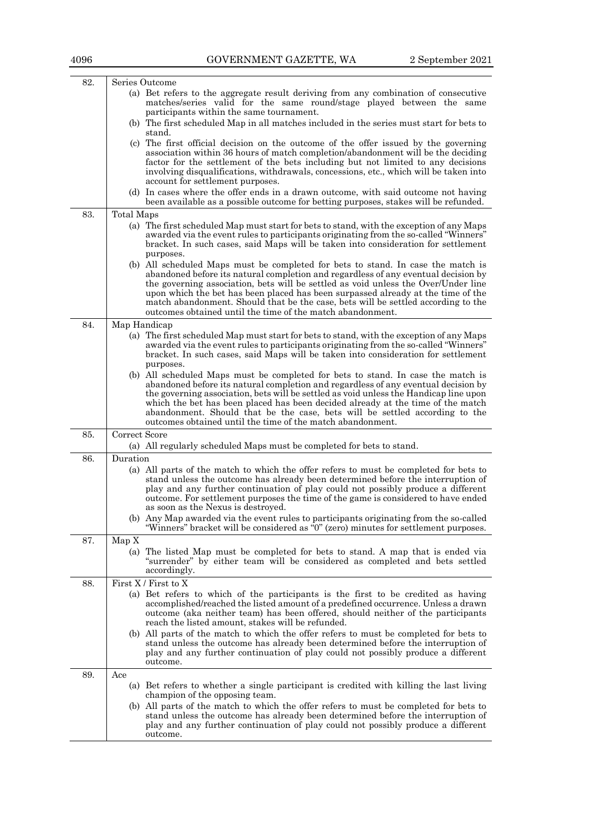| 82. | Series Outcome                                                                                                                                                                                                                                                                                                                                                                                                                                                                                                                                                                             |
|-----|--------------------------------------------------------------------------------------------------------------------------------------------------------------------------------------------------------------------------------------------------------------------------------------------------------------------------------------------------------------------------------------------------------------------------------------------------------------------------------------------------------------------------------------------------------------------------------------------|
|     | (a) Bet refers to the aggregate result deriving from any combination of consecutive<br>matches/series valid for the same round/stage played between the same<br>participants within the same tournament.                                                                                                                                                                                                                                                                                                                                                                                   |
|     | (b) The first scheduled Map in all matches included in the series must start for bets to<br>stand.                                                                                                                                                                                                                                                                                                                                                                                                                                                                                         |
|     | (c) The first official decision on the outcome of the offer issued by the governing<br>association within 36 hours of match completion/abandonment will be the deciding<br>factor for the settlement of the bets including but not limited to any decisions<br>involving disqualifications, withdrawals, concessions, etc., which will be taken into<br>account for settlement purposes.                                                                                                                                                                                                   |
|     | (d) In cases where the offer ends in a drawn outcome, with said outcome not having<br>been available as a possible outcome for betting purposes, stakes will be refunded.                                                                                                                                                                                                                                                                                                                                                                                                                  |
| 83. | Total Maps                                                                                                                                                                                                                                                                                                                                                                                                                                                                                                                                                                                 |
|     | (a) The first scheduled Map must start for bets to stand, with the exception of any Maps<br>awarded via the event rules to participants originating from the so-called "Winners"<br>bracket. In such cases, said Maps will be taken into consideration for settlement<br>purposes.                                                                                                                                                                                                                                                                                                         |
|     | (b) All scheduled Maps must be completed for bets to stand. In case the match is<br>abandoned before its natural completion and regardless of any eventual decision by<br>the governing association, bets will be settled as void unless the Over/Under line<br>upon which the bet has been placed has been surpassed already at the time of the<br>match abandonment. Should that be the case, bets will be settled according to the<br>outcomes obtained until the time of the match abandonment.                                                                                        |
| 84. | Map Handicap                                                                                                                                                                                                                                                                                                                                                                                                                                                                                                                                                                               |
|     | (a) The first scheduled Map must start for bets to stand, with the exception of any Maps<br>awarded via the event rules to participants originating from the so-called "Winners"<br>bracket. In such cases, said Maps will be taken into consideration for settlement<br>purposes.                                                                                                                                                                                                                                                                                                         |
|     | (b) All scheduled Maps must be completed for bets to stand. In case the match is<br>abandoned before its natural completion and regardless of any eventual decision by<br>the governing association, bets will be settled as void unless the Handicap line upon<br>which the bet has been placed has been decided already at the time of the match<br>abandonment. Should that be the case, bets will be settled according to the<br>outcomes obtained until the time of the match abandonment.                                                                                            |
| 85. | Correct Score                                                                                                                                                                                                                                                                                                                                                                                                                                                                                                                                                                              |
|     | (a) All regularly scheduled Maps must be completed for bets to stand.                                                                                                                                                                                                                                                                                                                                                                                                                                                                                                                      |
| 86. | Duration                                                                                                                                                                                                                                                                                                                                                                                                                                                                                                                                                                                   |
|     | (a) All parts of the match to which the offer refers to must be completed for bets to<br>stand unless the outcome has already been determined before the interruption of<br>play and any further continuation of play could not possibly produce a different<br>outcome. For settlement purposes the time of the game is considered to have ended<br>as soon as the Nexus is destroyed.                                                                                                                                                                                                    |
|     | (b) Any Map awarded via the event rules to participants originating from the so-called<br>"Winners" bracket will be considered as "0" (zero) minutes for settlement purposes.                                                                                                                                                                                                                                                                                                                                                                                                              |
| 87. | Map X                                                                                                                                                                                                                                                                                                                                                                                                                                                                                                                                                                                      |
|     | (a) The listed Map must be completed for bets to stand. A map that is ended via<br>"surrender" by either team will be considered as completed and bets settled<br>accordingly.                                                                                                                                                                                                                                                                                                                                                                                                             |
| 88. | First $X /$ First to X                                                                                                                                                                                                                                                                                                                                                                                                                                                                                                                                                                     |
|     | (a) Bet refers to which of the participants is the first to be credited as having<br>accomplished/reached the listed amount of a predefined occurrence. Unless a drawn<br>outcome (aka neither team) has been offered, should neither of the participants<br>reach the listed amount, stakes will be refunded.<br>(b) All parts of the match to which the offer refers to must be completed for bets to<br>stand unless the outcome has already been determined before the interruption of<br>play and any further continuation of play could not possibly produce a different<br>outcome. |
| 89. | Ace                                                                                                                                                                                                                                                                                                                                                                                                                                                                                                                                                                                        |
|     | (a) Bet refers to whether a single participant is credited with killing the last living                                                                                                                                                                                                                                                                                                                                                                                                                                                                                                    |
|     | champion of the opposing team.<br>(b) All parts of the match to which the offer refers to must be completed for bets to                                                                                                                                                                                                                                                                                                                                                                                                                                                                    |
|     | stand unless the outcome has already been determined before the interruption of<br>play and any further continuation of play could not possibly produce a different<br>outcome.                                                                                                                                                                                                                                                                                                                                                                                                            |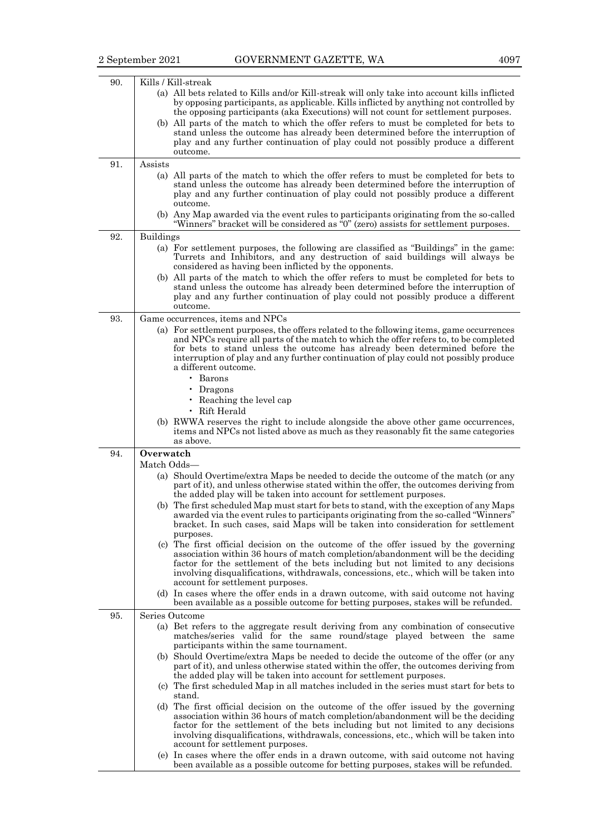| 90. | Kills / Kill-streak<br>(a) All bets related to Kills and/or Kill-streak will only take into account kills inflicted<br>by opposing participants, as applicable. Kills inflicted by anything not controlled by<br>the opposing participants (aka Executions) will not count for settlement purposes.<br>(b) All parts of the match to which the offer refers to must be completed for bets to<br>stand unless the outcome has already been determined before the interruption of<br>play and any further continuation of play could not possibly produce a different<br>outcome.                                                                                                                                                                                                                                                                                                                                                                                                                                                                                                                                                  |
|-----|----------------------------------------------------------------------------------------------------------------------------------------------------------------------------------------------------------------------------------------------------------------------------------------------------------------------------------------------------------------------------------------------------------------------------------------------------------------------------------------------------------------------------------------------------------------------------------------------------------------------------------------------------------------------------------------------------------------------------------------------------------------------------------------------------------------------------------------------------------------------------------------------------------------------------------------------------------------------------------------------------------------------------------------------------------------------------------------------------------------------------------|
| 91. | Assists<br>(a) All parts of the match to which the offer refers to must be completed for bets to<br>stand unless the outcome has already been determined before the interruption of<br>play and any further continuation of play could not possibly produce a different<br>outcome.<br>(b) Any Map awarded via the event rules to participants originating from the so-called<br>"Winners" bracket will be considered as "0" (zero) assists for settlement purposes.                                                                                                                                                                                                                                                                                                                                                                                                                                                                                                                                                                                                                                                             |
| 92. | <b>Buildings</b><br>(a) For settlement purposes, the following are classified as "Buildings" in the game:<br>Turrets and Inhibitors, and any destruction of said buildings will always be<br>considered as having been inflicted by the opponents.<br>(b) All parts of the match to which the offer refers to must be completed for bets to<br>stand unless the outcome has already been determined before the interruption of<br>play and any further continuation of play could not possibly produce a different<br>outcome.                                                                                                                                                                                                                                                                                                                                                                                                                                                                                                                                                                                                   |
| 93. | Game occurrences, items and NPCs<br>(a) For settlement purposes, the offers related to the following items, game occurrences<br>and NPCs require all parts of the match to which the offer refers to, to be completed<br>for bets to stand unless the outcome has already been determined before the<br>interruption of play and any further continuation of play could not possibly produce<br>a different outcome.<br>$\cdot$ Barons<br>Dragons<br>Reaching the level cap<br>• Rift Herald<br>(b) RWWA reserves the right to include alongside the above other game occurrences,<br>items and NPCs not listed above as much as they reasonably fit the same categories<br>as above.                                                                                                                                                                                                                                                                                                                                                                                                                                            |
| 94. | Overwatch                                                                                                                                                                                                                                                                                                                                                                                                                                                                                                                                                                                                                                                                                                                                                                                                                                                                                                                                                                                                                                                                                                                        |
|     | Match Odds—<br>(a) Should Overtime/extra Maps be needed to decide the outcome of the match (or any<br>part of it), and unless otherwise stated within the offer, the outcomes deriving from<br>the added play will be taken into account for settlement purposes.<br>(b) The first scheduled Map must start for bets to stand, with the exception of any Maps<br>awarded via the event rules to participants originating from the so-called "Winners"<br>bracket. In such cases, said Maps will be taken into consideration for settlement<br>purposes.<br>(c) The first official decision on the outcome of the offer issued by the governing<br>association within 36 hours of match completion/abandonment will be the deciding<br>factor for the settlement of the bets including but not limited to any decisions<br>involving disqualifications, withdrawals, concessions, etc., which will be taken into<br>account for settlement purposes.<br>(d) In cases where the offer ends in a drawn outcome, with said outcome not having<br>been available as a possible outcome for betting purposes, stakes will be refunded. |
| 95. | Series Outcome                                                                                                                                                                                                                                                                                                                                                                                                                                                                                                                                                                                                                                                                                                                                                                                                                                                                                                                                                                                                                                                                                                                   |
|     | (a) Bet refers to the aggregate result deriving from any combination of consecutive<br>matches/series valid for the same round/stage played between the same<br>participants within the same tournament.<br>(b) Should Overtime/extra Maps be needed to decide the outcome of the offer (or any<br>part of it), and unless otherwise stated within the offer, the outcomes deriving from<br>the added play will be taken into account for settlement purposes.<br>(c) The first scheduled Map in all matches included in the series must start for bets to<br>stand.<br>(d) The first official decision on the outcome of the offer issued by the governing<br>association within 36 hours of match completion/abandonment will be the deciding<br>factor for the settlement of the bets including but not limited to any decisions<br>involving disqualifications, withdrawals, concessions, etc., which will be taken into<br>account for settlement purposes.<br>(e) In cases where the offer ends in a drawn outcome, with said outcome not having                                                                           |
|     | been available as a possible outcome for betting purposes, stakes will be refunded.                                                                                                                                                                                                                                                                                                                                                                                                                                                                                                                                                                                                                                                                                                                                                                                                                                                                                                                                                                                                                                              |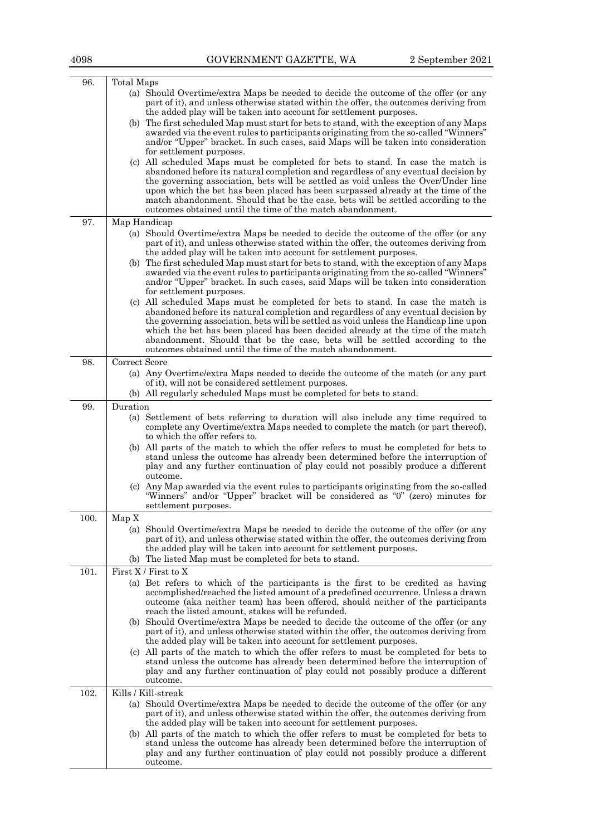| 96.  | Total Maps                                                                                                                                                                       |
|------|----------------------------------------------------------------------------------------------------------------------------------------------------------------------------------|
|      | (a) Should Overtime/extra Maps be needed to decide the outcome of the offer (or any                                                                                              |
|      | part of it), and unless otherwise stated within the offer, the outcomes deriving from                                                                                            |
|      | the added play will be taken into account for settlement purposes.                                                                                                               |
|      | (b) The first scheduled Map must start for bets to stand, with the exception of any Maps<br>awarded via the event rules to participants originating from the so-called "Winners" |
|      | and/or "Upper" bracket. In such cases, said Maps will be taken into consideration                                                                                                |
|      | for settlement purposes.                                                                                                                                                         |
|      | (c) All scheduled Maps must be completed for bets to stand. In case the match is                                                                                                 |
|      | abandoned before its natural completion and regardless of any eventual decision by                                                                                               |
|      | the governing association, bets will be settled as void unless the Over/Under line                                                                                               |
|      | upon which the bet has been placed has been surpassed already at the time of the                                                                                                 |
|      | match abandonment. Should that be the case, bets will be settled according to the<br>outcomes obtained until the time of the match abandonment.                                  |
|      |                                                                                                                                                                                  |
| 97.  | Map Handicap                                                                                                                                                                     |
|      | (a) Should Overtime/extra Maps be needed to decide the outcome of the offer (or any<br>part of it), and unless otherwise stated within the offer, the outcomes deriving from     |
|      | the added play will be taken into account for settlement purposes.                                                                                                               |
|      | (b) The first scheduled Map must start for bets to stand, with the exception of any Maps                                                                                         |
|      | awarded via the event rules to participants originating from the so-called "Winners"                                                                                             |
|      | and/or "Upper" bracket. In such cases, said Maps will be taken into consideration                                                                                                |
|      | for settlement purposes.                                                                                                                                                         |
|      | (c) All scheduled Maps must be completed for bets to stand. In case the match is                                                                                                 |
|      | abandoned before its natural completion and regardless of any eventual decision by<br>the governing association, bets will be settled as void unless the Handicap line upon      |
|      | which the bet has been placed has been decided already at the time of the match                                                                                                  |
|      | abandonment. Should that be the case, bets will be settled according to the                                                                                                      |
|      | outcomes obtained until the time of the match abandonment.                                                                                                                       |
| 98.  | Correct Score                                                                                                                                                                    |
|      | (a) Any Overtime/extra Maps needed to decide the outcome of the match (or any part                                                                                               |
|      | of it), will not be considered settlement purposes.                                                                                                                              |
|      | (b) All regularly scheduled Maps must be completed for bets to stand.                                                                                                            |
| 99.  | Duration                                                                                                                                                                         |
|      | (a) Settlement of bets referring to duration will also include any time required to                                                                                              |
|      | complete any Overtime/extra Maps needed to complete the match (or part thereof),<br>to which the offer refers to.                                                                |
|      | (b) All parts of the match to which the offer refers to must be completed for bets to                                                                                            |
|      | stand unless the outcome has already been determined before the interruption of                                                                                                  |
|      | play and any further continuation of play could not possibly produce a different                                                                                                 |
|      | outcome.                                                                                                                                                                         |
|      | (c) Any Map awarded via the event rules to participants originating from the so-called                                                                                           |
|      | "Winners" and/or "Upper" bracket will be considered as "0" (zero) minutes for                                                                                                    |
|      | settlement purposes.                                                                                                                                                             |
| 100. | Map X                                                                                                                                                                            |
|      | (a) Should Overtime/extra Maps be needed to decide the outcome of the offer (or any                                                                                              |
|      | part of it), and unless otherwise stated within the offer, the outcomes deriving from<br>the added play will be taken into account for settlement purposes.                      |
|      | (b) The listed Map must be completed for bets to stand.                                                                                                                          |
| 101. | First X / First to X                                                                                                                                                             |
|      | (a) Bet refers to which of the participants is the first to be credited as having                                                                                                |
|      | accomplished/reached the listed amount of a predefined occurrence. Unless a drawn                                                                                                |
|      | outcome (aka neither team) has been offered, should neither of the participants                                                                                                  |
|      | reach the listed amount, stakes will be refunded.                                                                                                                                |
|      | (b) Should Overtime/extra Maps be needed to decide the outcome of the offer (or any                                                                                              |
|      | part of it), and unless otherwise stated within the offer, the outcomes deriving from                                                                                            |
|      | the added play will be taken into account for settlement purposes.                                                                                                               |
|      | (c) All parts of the match to which the offer refers to must be completed for bets to<br>stand unless the outcome has already been determined before the interruption of         |
|      | play and any further continuation of play could not possibly produce a different                                                                                                 |
|      | outcome.                                                                                                                                                                         |
| 102. | Kills / Kill-streak                                                                                                                                                              |
|      | (a) Should Overtime/extra Maps be needed to decide the outcome of the offer (or any                                                                                              |
|      | part of it), and unless otherwise stated within the offer, the outcomes deriving from                                                                                            |
|      | the added play will be taken into account for settlement purposes.                                                                                                               |
|      | (b) All parts of the match to which the offer refers to must be completed for bets to                                                                                            |
|      | stand unless the outcome has already been determined before the interruption of<br>play and any further continuation of play could not possibly produce a different              |
|      | outcome.                                                                                                                                                                         |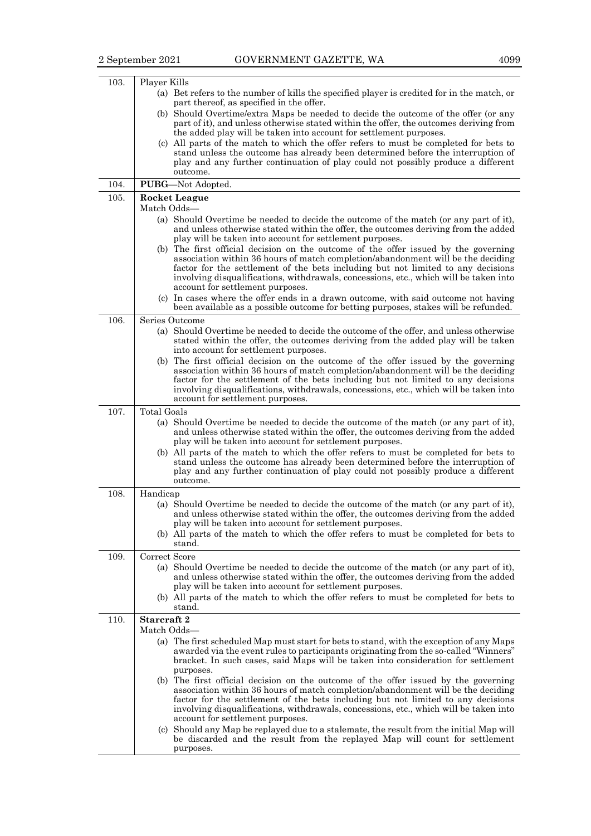| 103. | Player Kills                                                                                                                                                                                                                                                                                                                                                                             |  |
|------|------------------------------------------------------------------------------------------------------------------------------------------------------------------------------------------------------------------------------------------------------------------------------------------------------------------------------------------------------------------------------------------|--|
|      | (a) Bet refers to the number of kills the specified player is credited for in the match, or<br>part thereof, as specified in the offer.                                                                                                                                                                                                                                                  |  |
|      | (b) Should Overtime/extra Maps be needed to decide the outcome of the offer (or any<br>part of it), and unless otherwise stated within the offer, the outcomes deriving from<br>the added play will be taken into account for settlement purposes.                                                                                                                                       |  |
|      | (c) All parts of the match to which the offer refers to must be completed for bets to<br>stand unless the outcome has already been determined before the interruption of<br>play and any further continuation of play could not possibly produce a different<br>outcome.                                                                                                                 |  |
| 104. | PUBG-Not Adopted.                                                                                                                                                                                                                                                                                                                                                                        |  |
| 105. | Rocket League                                                                                                                                                                                                                                                                                                                                                                            |  |
|      | Match Odds-                                                                                                                                                                                                                                                                                                                                                                              |  |
|      | (a) Should Overtime be needed to decide the outcome of the match (or any part of it),<br>and unless otherwise stated within the offer, the outcomes deriving from the added<br>play will be taken into account for settlement purposes.                                                                                                                                                  |  |
|      | (b) The first official decision on the outcome of the offer issued by the governing<br>association within 36 hours of match completion/abandonment will be the deciding<br>factor for the settlement of the bets including but not limited to any decisions<br>involving disqualifications, withdrawals, concessions, etc., which will be taken into<br>account for settlement purposes. |  |
|      | (c) In cases where the offer ends in a drawn outcome, with said outcome not having<br>been available as a possible outcome for betting purposes, stakes will be refunded.                                                                                                                                                                                                                |  |
| 106. | Series Outcome                                                                                                                                                                                                                                                                                                                                                                           |  |
|      | (a) Should Overtime be needed to decide the outcome of the offer, and unless otherwise<br>stated within the offer, the outcomes deriving from the added play will be taken<br>into account for settlement purposes.                                                                                                                                                                      |  |
|      | (b) The first official decision on the outcome of the offer issued by the governing<br>association within 36 hours of match completion/abandonment will be the deciding<br>factor for the settlement of the bets including but not limited to any decisions<br>involving disqualifications, withdrawals, concessions, etc., which will be taken into                                     |  |
|      | account for settlement purposes.                                                                                                                                                                                                                                                                                                                                                         |  |
| 107. | <b>Total Goals</b>                                                                                                                                                                                                                                                                                                                                                                       |  |
|      | (a) Should Overtime be needed to decide the outcome of the match (or any part of it),<br>and unless otherwise stated within the offer, the outcomes deriving from the added<br>play will be taken into account for settlement purposes.                                                                                                                                                  |  |
|      | (b) All parts of the match to which the offer refers to must be completed for bets to<br>stand unless the outcome has already been determined before the interruption of<br>play and any further continuation of play could not possibly produce a different<br>outcome.                                                                                                                 |  |
| 108. | Handicap                                                                                                                                                                                                                                                                                                                                                                                 |  |
|      | (a) Should Overtime be needed to decide the outcome of the match (or any part of it),<br>and unless otherwise stated within the offer, the outcomes deriving from the added<br>play will be taken into account for settlement purposes.                                                                                                                                                  |  |
|      | (b) All parts of the match to which the offer refers to must be completed for bets to                                                                                                                                                                                                                                                                                                    |  |
| 109. | stand.<br>Correct Score                                                                                                                                                                                                                                                                                                                                                                  |  |
|      | (a) Should Overtime be needed to decide the outcome of the match (or any part of it),                                                                                                                                                                                                                                                                                                    |  |
|      | and unless otherwise stated within the offer, the outcomes deriving from the added                                                                                                                                                                                                                                                                                                       |  |
|      | play will be taken into account for settlement purposes.                                                                                                                                                                                                                                                                                                                                 |  |
|      | (b) All parts of the match to which the offer refers to must be completed for bets to<br>stand.                                                                                                                                                                                                                                                                                          |  |
| 110. | Starcraft 2                                                                                                                                                                                                                                                                                                                                                                              |  |
|      | Match Odds-                                                                                                                                                                                                                                                                                                                                                                              |  |
|      | (a) The first scheduled Map must start for bets to stand, with the exception of any Maps<br>awarded via the event rules to participants originating from the so-called "Winners"<br>bracket. In such cases, said Maps will be taken into consideration for settlement                                                                                                                    |  |
|      | purposes.<br>(b) The first official decision on the outcome of the offer issued by the governing                                                                                                                                                                                                                                                                                         |  |
|      | association within 36 hours of match completion/abandonment will be the deciding<br>factor for the settlement of the bets including but not limited to any decisions<br>involving disqualifications, withdrawals, concessions, etc., which will be taken into<br>account for settlement purposes.                                                                                        |  |
|      | (c) Should any Map be replayed due to a stalemate, the result from the initial Map will<br>be discarded and the result from the replayed Map will count for settlement<br>purposes.                                                                                                                                                                                                      |  |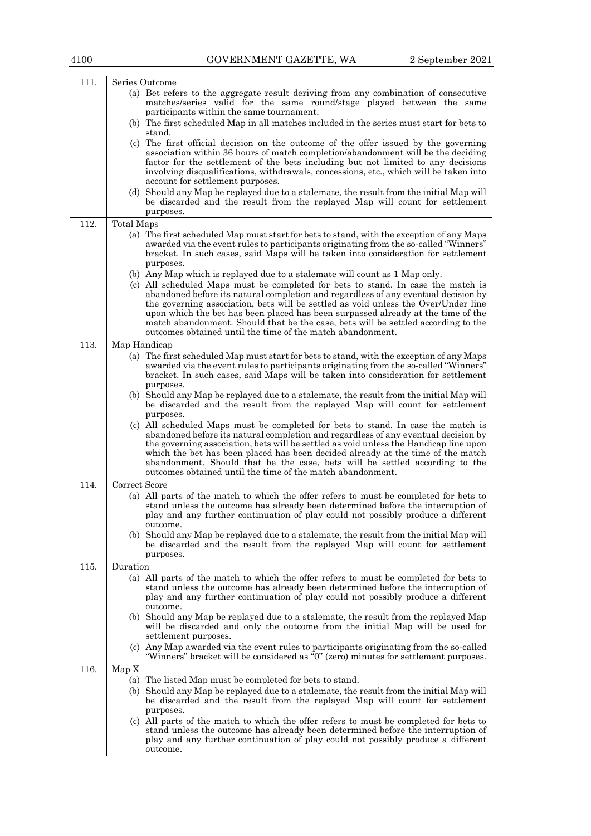| 111. |               | Series Outcome                                                                                                                                                            |
|------|---------------|---------------------------------------------------------------------------------------------------------------------------------------------------------------------------|
|      |               | (a) Bet refers to the aggregate result deriving from any combination of consecutive                                                                                       |
|      |               | matches/series valid for the same round/stage played between the same                                                                                                     |
|      |               | participants within the same tournament.                                                                                                                                  |
|      |               | (b) The first scheduled Map in all matches included in the series must start for bets to<br>stand.                                                                        |
|      |               | (c) The first official decision on the outcome of the offer issued by the governing                                                                                       |
|      |               | association within 36 hours of match completion/abandonment will be the deciding                                                                                          |
|      |               | factor for the settlement of the bets including but not limited to any decisions<br>involving disqualifications, withdrawals, concessions, etc., which will be taken into |
|      |               | account for settlement purposes.                                                                                                                                          |
|      |               | (d) Should any Map be replayed due to a stalemate, the result from the initial Map will                                                                                   |
|      |               | be discarded and the result from the replayed Map will count for settlement                                                                                               |
|      |               | purposes.                                                                                                                                                                 |
| 112. | Total Maps    |                                                                                                                                                                           |
|      |               | (a) The first scheduled Map must start for bets to stand, with the exception of any Maps                                                                                  |
|      |               | awarded via the event rules to participants originating from the so-called "Winners"                                                                                      |
|      |               | bracket. In such cases, said Maps will be taken into consideration for settlement                                                                                         |
|      |               | purposes.                                                                                                                                                                 |
|      |               | (b) Any Map which is replayed due to a stalemate will count as 1 Map only.                                                                                                |
|      |               | (c) All scheduled Maps must be completed for bets to stand. In case the match is<br>abandoned before its natural completion and regardless of any eventual decision by    |
|      |               | the governing association, bets will be settled as void unless the Over/Under line                                                                                        |
|      |               | upon which the bet has been placed has been surpassed already at the time of the                                                                                          |
|      |               | match abandonment. Should that be the case, bets will be settled according to the                                                                                         |
|      |               | outcomes obtained until the time of the match abandonment.                                                                                                                |
| 113. | Map Handicap  |                                                                                                                                                                           |
|      |               | (a) The first scheduled Map must start for bets to stand, with the exception of any Maps                                                                                  |
|      |               | awarded via the event rules to participants originating from the so-called "Winners"<br>bracket. In such cases, said Maps will be taken into consideration for settlement |
|      |               | purposes.                                                                                                                                                                 |
|      |               | (b) Should any Map be replayed due to a stalemate, the result from the initial Map will                                                                                   |
|      |               | be discarded and the result from the replayed Map will count for settlement                                                                                               |
|      |               | purposes.                                                                                                                                                                 |
|      |               | (c) All scheduled Maps must be completed for bets to stand. In case the match is                                                                                          |
|      |               | abandoned before its natural completion and regardless of any eventual decision by                                                                                        |
|      |               | the governing association, bets will be settled as void unless the Handicap line upon<br>which the bet has been placed has been decided already at the time of the match  |
|      |               | abandonment. Should that be the case, bets will be settled according to the                                                                                               |
|      |               | outcomes obtained until the time of the match abandonment.                                                                                                                |
| 114. | Correct Score |                                                                                                                                                                           |
|      |               | (a) All parts of the match to which the offer refers to must be completed for bets to                                                                                     |
|      |               | stand unless the outcome has already been determined before the interruption of                                                                                           |
|      |               | play and any further continuation of play could not possibly produce a different                                                                                          |
|      |               | outcome.                                                                                                                                                                  |
|      |               | (b) Should any Map be replayed due to a stalemate, the result from the initial Map will<br>be discarded and the result from the replayed Map will count for settlement    |
|      |               | purposes.                                                                                                                                                                 |
| 115. | Duration      |                                                                                                                                                                           |
|      |               | (a) All parts of the match to which the offer refers to must be completed for bets to                                                                                     |
|      |               | stand unless the outcome has already been determined before the interruption of                                                                                           |
|      |               | play and any further continuation of play could not possibly produce a different                                                                                          |
|      |               | outcome.                                                                                                                                                                  |
|      |               | (b) Should any Map be replayed due to a stalemate, the result from the replayed Map                                                                                       |
|      |               | will be discarded and only the outcome from the initial Map will be used for<br>settlement purposes.                                                                      |
|      |               | (c) Any Map awarded via the event rules to participants originating from the so-called                                                                                    |
|      |               | "Winners" bracket will be considered as "0" (zero) minutes for settlement purposes.                                                                                       |
| 116. | Map X         |                                                                                                                                                                           |
|      |               | (a) The listed Map must be completed for bets to stand.                                                                                                                   |
|      |               | (b) Should any Map be replayed due to a stalemate, the result from the initial Map will                                                                                   |
|      |               | be discarded and the result from the replayed Map will count for settlement                                                                                               |
|      |               | purposes.                                                                                                                                                                 |
|      |               | (c) All parts of the match to which the offer refers to must be completed for bets to                                                                                     |
|      |               | stand unless the outcome has already been determined before the interruption of                                                                                           |
|      |               | play and any further continuation of play could not possibly produce a different<br>outcome.                                                                              |
|      |               |                                                                                                                                                                           |